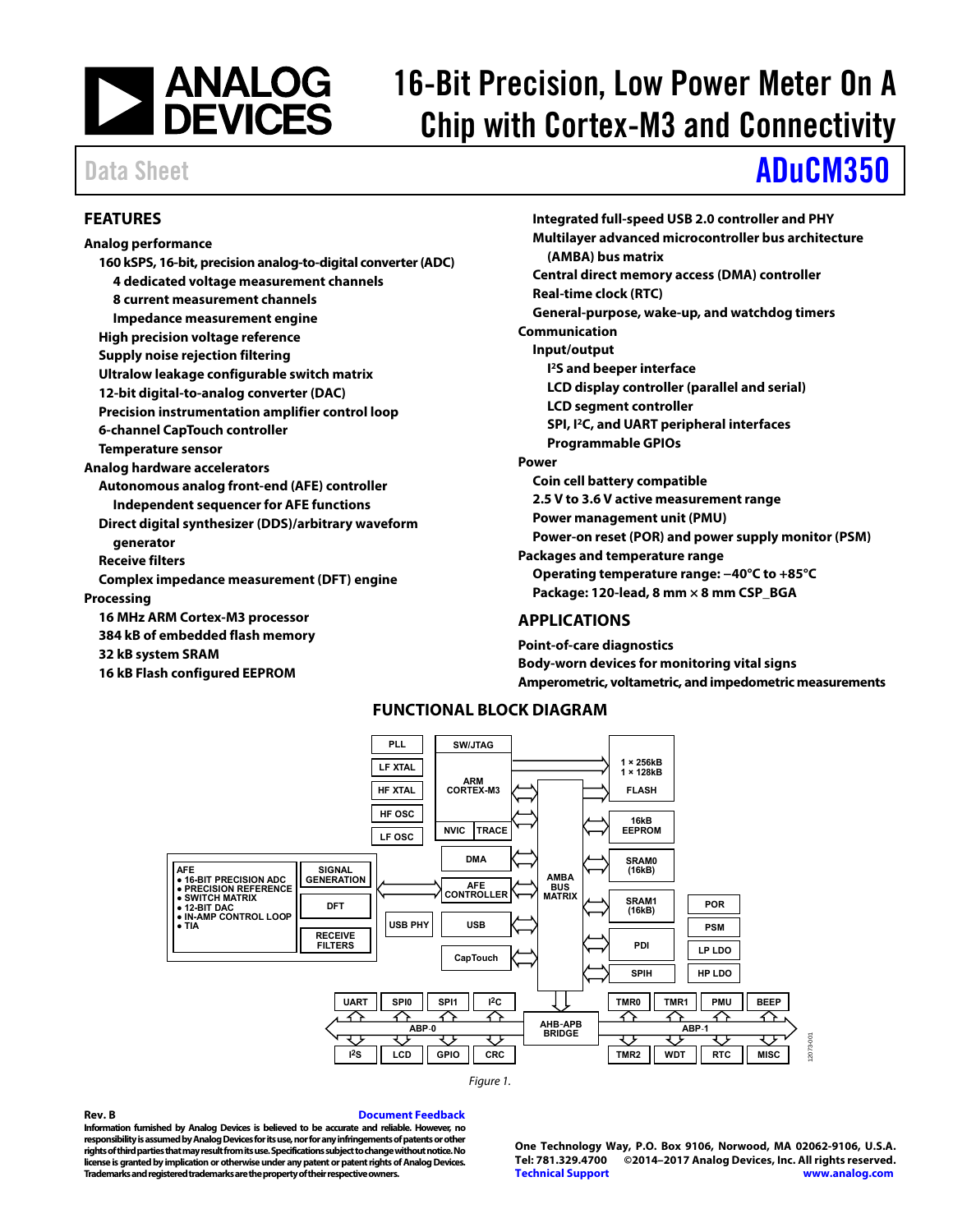# **NEXALOGES**

## 16-Bit Precision, Low Power Meter On A Chip with Cortex-M3 and Connectivity

## Data Sheet **[ADuCM350](http://www.analog.com/ADuCM350?doc=ADuCM350.pdf)**

#### <span id="page-0-0"></span>**FEATURES**

#### **Analog performance 160 kSPS, 16-bit, precision analog-to-digital converter (ADC) 4 dedicated voltage measurement channels 8 current measurement channels Impedance measurement engine High precision voltage reference Supply noise rejection filtering Ultralow leakage configurable switch matrix 12-bit digital-to-analog converter (DAC) Precision instrumentation amplifier control loop 6-channel CapTouch controller Temperature sensor Autonomous analog front-end (AFE) controller Independent sequencer for AFE functions Direct digital synthesizer (DDS)/arbitrary waveform generator Receive filters Complex impedance measurement (DFT) engine Processing 16 MHz ARM Cortex-M3 processor 384 kB of embedded flash memory 32 kB system SRAM**

**Analog hardware accelerators** 

<span id="page-0-2"></span>**16 kB Flash configured EEPROM** 

**Integrated full-speed USB 2.0 controller and PHY Multilayer advanced microcontroller bus architecture (AMBA) bus matrix Central direct memory access (DMA) controller Real-time clock (RTC) General-purpose, wake-up, and watchdog timers Communication Input/output I 2S and beeper interface LCD display controller (parallel and serial) LCD segment controller SPI, I2C, and UART peripheral interfaces Programmable GPIOs Power Coin cell battery compatible 2.5 V to 3.6 V active measurement range Power management unit (PMU) Power-on reset (POR) and power supply monitor (PSM) Packages and temperature range Operating temperature range: −40°C to +85°C Package: 120-lead, 8 mm × 8 mm CSP\_BGA** 

### <span id="page-0-1"></span>**APPLICATIONS**

**Point-of-care diagnostics Body-worn devices for monitoring vital signs Amperometric, voltametric, and impedometric measurements** 

### **FUNCTIONAL BLOCK DIAGRAM**





**Rev. B [Document Feedback](https://form.analog.com/Form_Pages/feedback/documentfeedback.aspx?doc=ADuCM350.pdf&product=ADuCM350&rev=B)  Information furnished by Analog Devices is believed to be accurate and reliable. However, no responsibility is assumed by Analog Devices for its use, nor for any infringements of patents or other rights of third parties that may result from its use. Specifications subject to change without notice. No license is granted by implication or otherwise under any patent or patent rights of Analog Devices. Trademarks and registered trademarks are the property of their respective owners.** 

**One Technology Way, P.O. Box 9106, Norwood, MA 02062-9106, U.S.A. Tel: 781.329.4700 ©2014–2017 Analog Devices, Inc. All rights reserved. [Technical Support](http://www.analog.com/en/content/technical_support_page/fca.html) [www.analog.com](http://www.analog.com/)**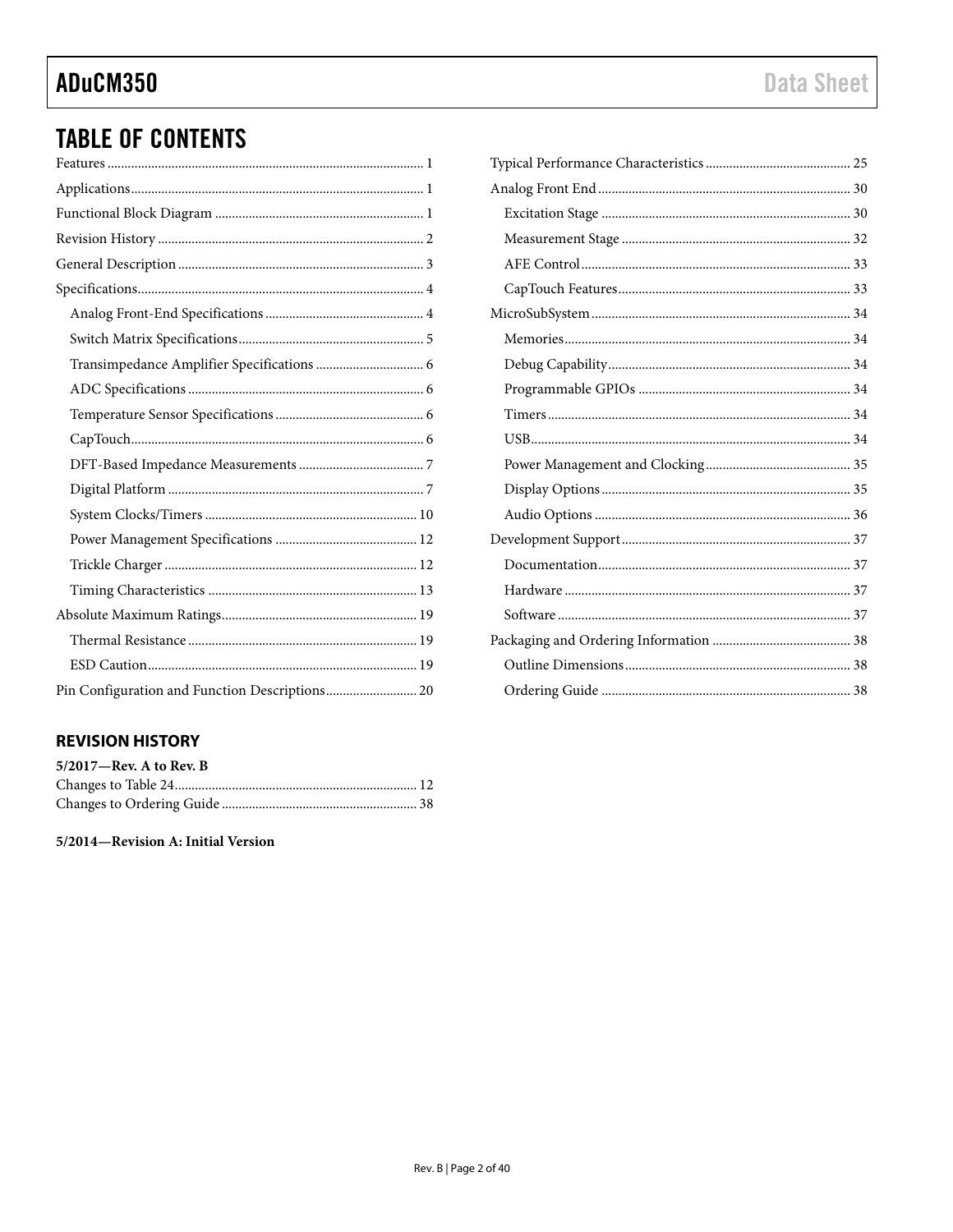### ADuCM350

## **TABLE OF CONTENTS**

| Pin Configuration and Function Descriptions 20 |
|------------------------------------------------|

### <span id="page-1-0"></span>**REVISION HISTORY**

| $5/2017$ —Rev. A to Rev. B |  |
|----------------------------|--|
|                            |  |
|                            |  |

5/2014-Revision A: Initial Version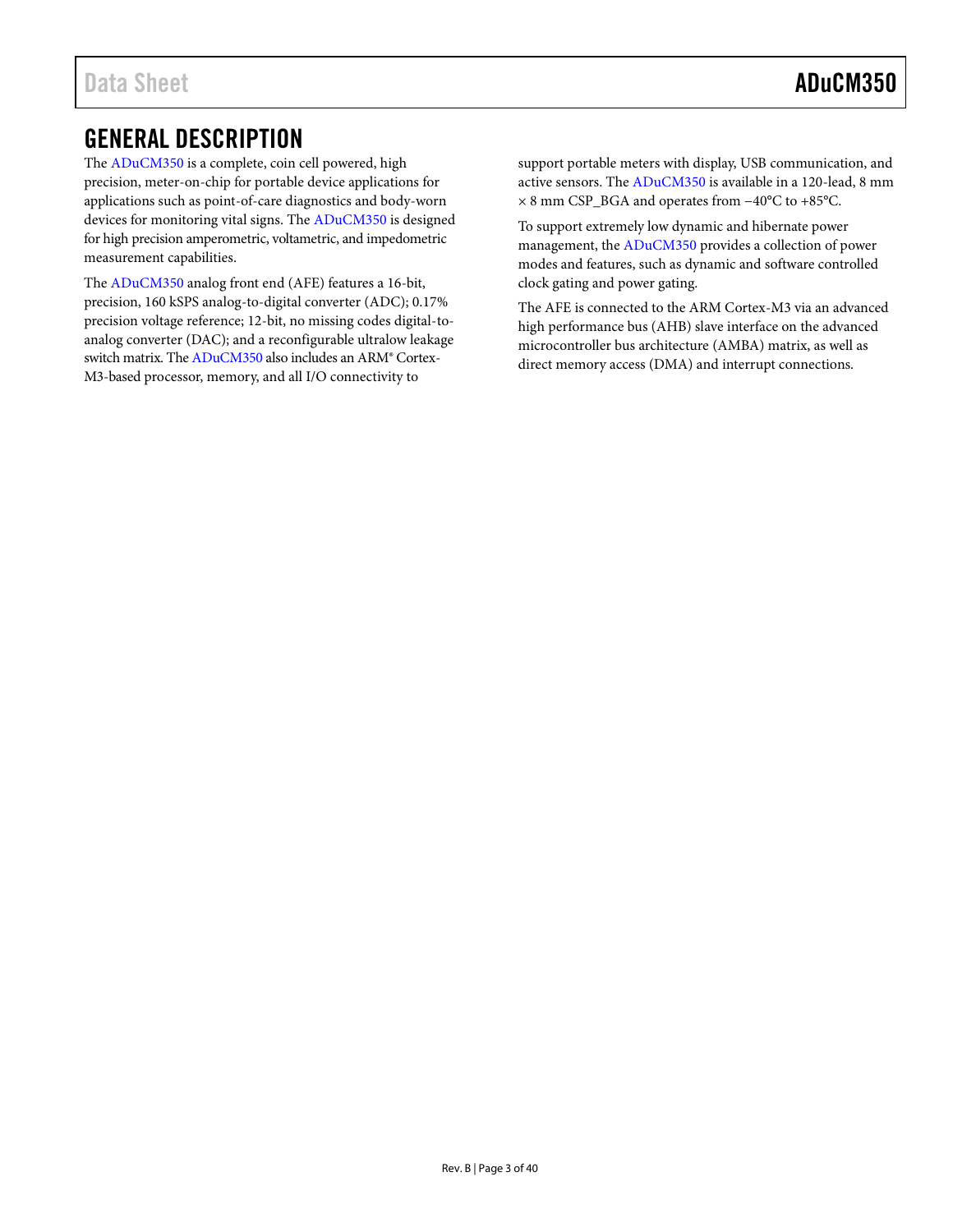### <span id="page-2-0"></span>GENERAL DESCRIPTION

The [ADuCM350](http://www.analog.com/ADuCM350?doc=ADuCM350.pdf) is a complete, coin cell powered, high precision, meter-on-chip for portable device applications for applications such as point-of-care diagnostics and body-worn devices for monitoring vital signs. Th[e ADuCM350](http://www.analog.com/ADuCM350?doc=ADuCM350.pdf) is designed for high precision amperometric, voltametric, and impedometric measurement capabilities.

The [ADuCM350](http://www.analog.com/ADuCM350?doc=ADuCM350.pdf) analog front end (AFE) features a 16-bit, precision, 160 kSPS analog-to-digital converter (ADC); 0.17% precision voltage reference; 12-bit, no missing codes digital-toanalog converter (DAC); and a reconfigurable ultralow leakage switch matrix. Th[e ADuCM350](http://www.analog.com/ADuCM350?doc=ADuCM350.pdf) also includes an ARM® Cortex-M3-based processor, memory, and all I/O connectivity to

support portable meters with display, USB communication, and active sensors. Th[e ADuCM350](http://www.analog.com/ADuCM350?doc=ADuCM350.pdf) is available in a 120-lead, 8 mm × 8 mm CSP\_BGA and operates from −40°C to +85°C.

To support extremely low dynamic and hibernate power management, th[e ADuCM350](http://www.analog.com/ADuCM350?doc=ADuCM350.pdf) provides a collection of power modes and features, such as dynamic and software controlled clock gating and power gating.

The AFE is connected to the ARM Cortex-M3 via an advanced high performance bus (AHB) slave interface on the advanced microcontroller bus architecture (AMBA) matrix, as well as direct memory access (DMA) and interrupt connections.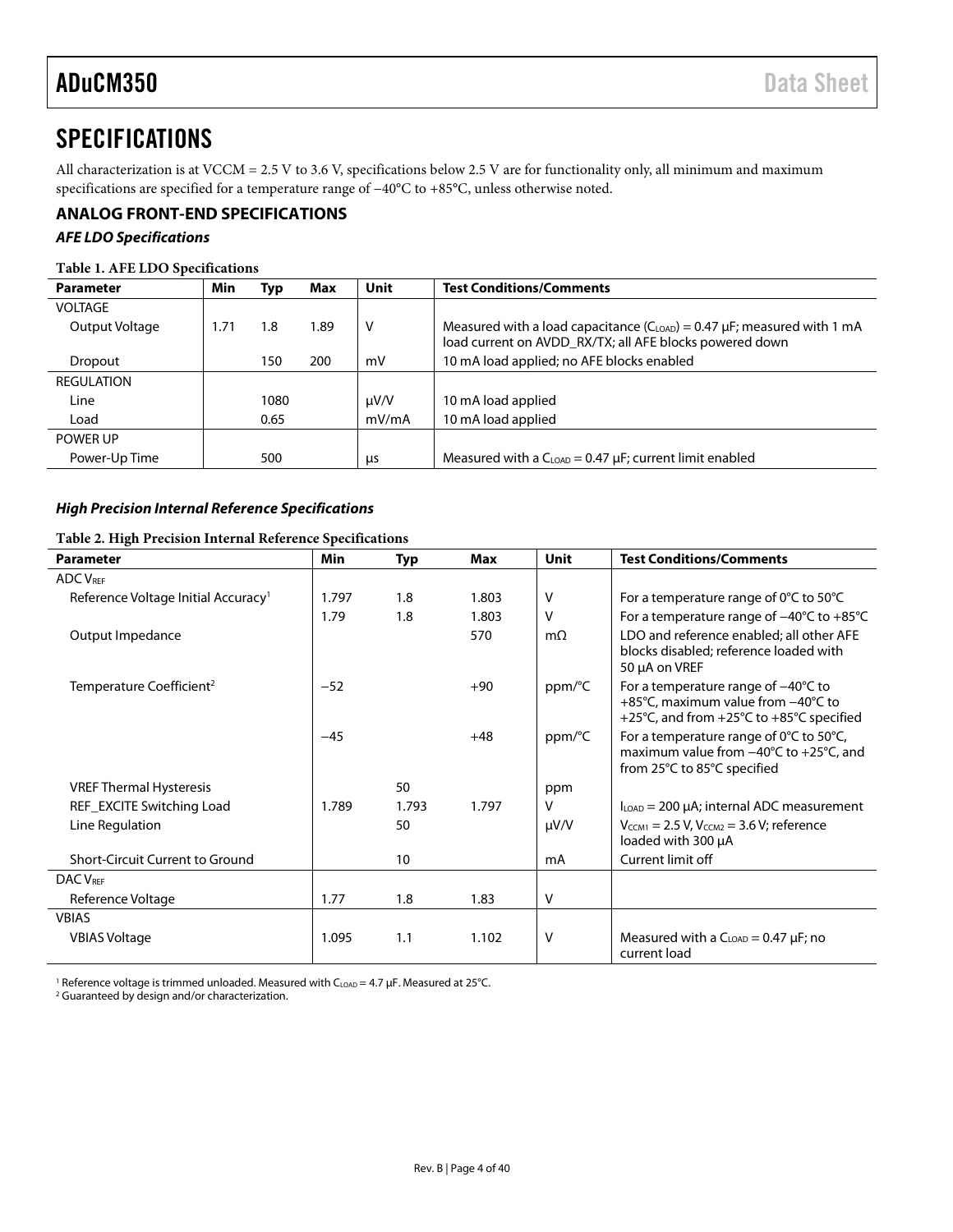### <span id="page-3-0"></span>**SPECIFICATIONS**

All characterization is at VCCM = 2.5 V to 3.6 V, specifications below 2.5 V are for functionality only, all minimum and maximum specifications are specified for a temperature range of −40°C to +85°C, unless otherwise noted.

#### <span id="page-3-1"></span>**ANALOG FRONT-END SPECIFICATIONS**

#### *AFE LDO Specifications*

#### **Table 1. AFE LDO Specifications**

| <b>Parameter</b>  | Min  | Typ  | Max  | Unit      | <b>Test Conditions/Comments</b>                                                                                                            |
|-------------------|------|------|------|-----------|--------------------------------------------------------------------------------------------------------------------------------------------|
| <b>VOLTAGE</b>    |      |      |      |           |                                                                                                                                            |
| Output Voltage    | 1.71 | 1.8  | 1.89 | v         | Measured with a load capacitance $(C_{LOAD}) = 0.47 \mu F$ ; measured with 1 mA<br>load current on AVDD_RX/TX; all AFE blocks powered down |
| Dropout           |      | 150  | 200  | mV        | 10 mA load applied; no AFE blocks enabled                                                                                                  |
| <b>REGULATION</b> |      |      |      |           |                                                                                                                                            |
| Line              |      | 1080 |      | $\mu V/V$ | 10 mA load applied                                                                                                                         |
| Load              |      | 0.65 |      | mV/mA     | 10 mA load applied                                                                                                                         |
| POWER UP          |      |      |      |           |                                                                                                                                            |
| Power-Up Time     |      | 500  |      | μs        | Measured with a $C_{LOAD} = 0.47 \mu F$ ; current limit enabled                                                                            |

#### *High Precision Internal Reference Specifications*

#### **Table 2. High Precision Internal Reference Specifications**

| <b>Parameter</b>                                | <b>Min</b> | <b>Typ</b> | Max   | <b>Unit</b>  | <b>Test Conditions/Comments</b>                                                                                                      |
|-------------------------------------------------|------------|------------|-------|--------------|--------------------------------------------------------------------------------------------------------------------------------------|
| <b>ADC VREF</b>                                 |            |            |       |              |                                                                                                                                      |
| Reference Voltage Initial Accuracy <sup>1</sup> | 1.797      | 1.8        | 1.803 | $\mathsf{V}$ | For a temperature range of $0^{\circ}$ C to 50 $^{\circ}$ C                                                                          |
|                                                 | 1.79       | 1.8        | 1.803 | v            | For a temperature range of $-40^{\circ}$ C to $+85^{\circ}$ C                                                                        |
| Output Impedance                                |            |            | 570   | $m\Omega$    | LDO and reference enabled; all other AFE<br>blocks disabled; reference loaded with<br>50 µA on VREF                                  |
| Temperature Coefficient <sup>2</sup>            | $-52$      |            | $+90$ | ppm/°C       | For a temperature range of $-40^{\circ}$ C to<br>+85°C, maximum value from -40°C to<br>+25°C, and from +25°C to +85°C specified      |
|                                                 | $-45$      |            | $+48$ | ppm/°C       | For a temperature range of 0°C to 50°C,<br>maximum value from $-40^{\circ}$ C to $+25^{\circ}$ C, and<br>from 25°C to 85°C specified |
| <b>VREF Thermal Hysteresis</b>                  |            | 50         |       | ppm          |                                                                                                                                      |
| REF_EXCITE Switching Load                       | 1.789      | 1.793      | 1.797 | v            | $I_{\text{LOAD}}$ = 200 µA; internal ADC measurement                                                                                 |
| Line Regulation                                 |            | 50         |       | $\mu V/V$    | $V_{CCM1} = 2.5 V$ , $V_{CCM2} = 3.6 V$ ; reference<br>loaded with 300 µA                                                            |
| Short-Circuit Current to Ground                 |            | 10         |       | mA           | Current limit off                                                                                                                    |
| <b>DAC VREF</b>                                 |            |            |       |              |                                                                                                                                      |
| Reference Voltage                               | 1.77       | 1.8        | 1.83  | V            |                                                                                                                                      |
| <b>VBIAS</b>                                    |            |            |       |              |                                                                                                                                      |
| <b>VBIAS Voltage</b>                            | 1.095      | 1.1        | 1.102 | $\vee$       | Measured with a $C_{\text{LOAD}} = 0.47 \mu F$ ; no<br>current load                                                                  |

<sup>1</sup> Reference voltage is trimmed unloaded. Measured with  $C_{LOAD} = 4.7 \mu F$ . Measured at 25°C.

<sup>2</sup> Guaranteed by design and/or characterization.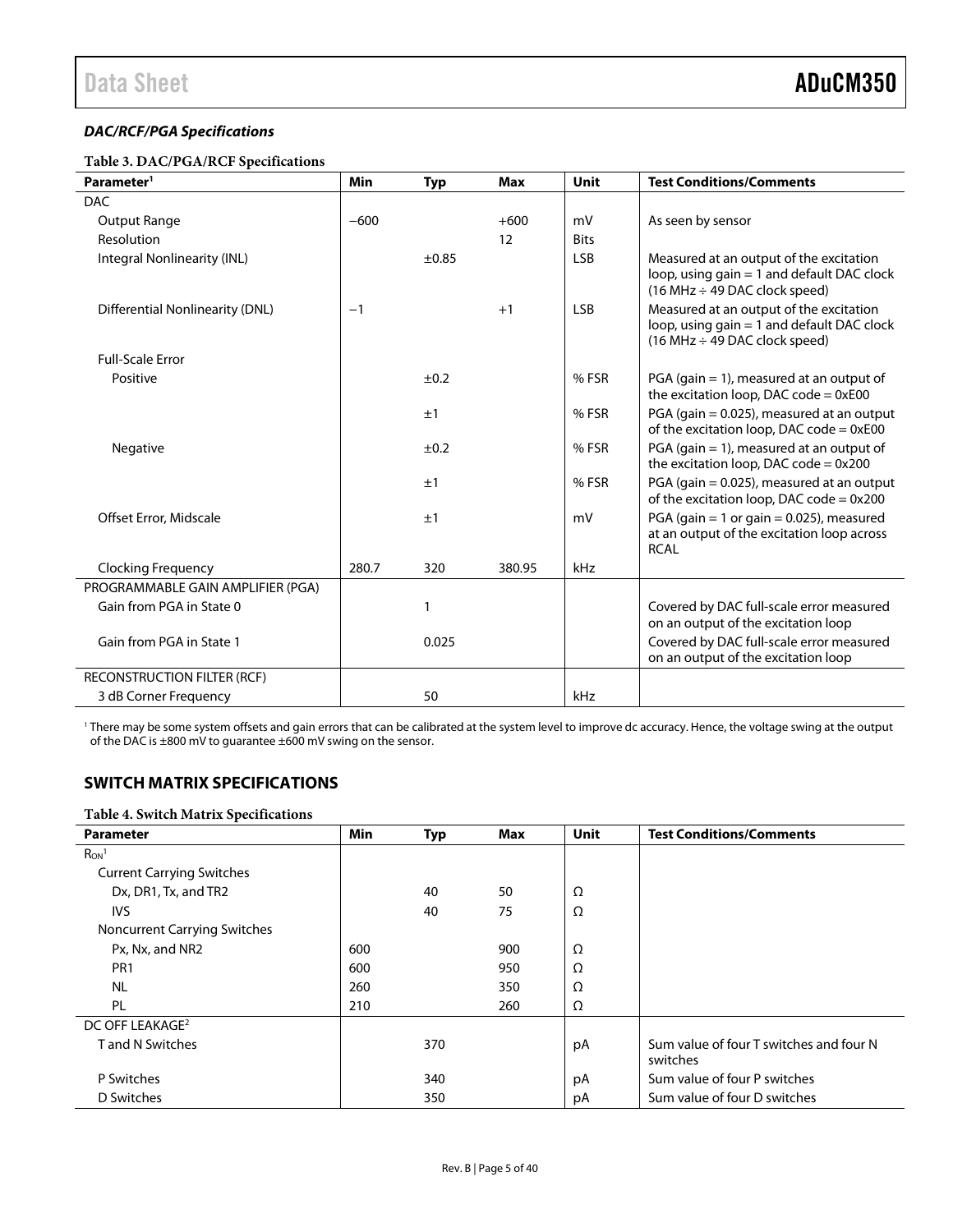#### *DAC/RCF/PGA Specifications*

#### **Table 3. DAC/PGA/RCF Specifications**

| Parameter <sup>1</sup>            | <b>Min</b> | <b>Typ</b> | <b>Max</b> | <b>Unit</b> | <b>Test Conditions/Comments</b>                                                                                             |
|-----------------------------------|------------|------------|------------|-------------|-----------------------------------------------------------------------------------------------------------------------------|
| <b>DAC</b>                        |            |            |            |             |                                                                                                                             |
| Output Range                      | $-600$     |            | $+600$     | mV          | As seen by sensor                                                                                                           |
| <b>Resolution</b>                 |            |            | 12         | <b>Bits</b> |                                                                                                                             |
| Integral Nonlinearity (INL)       |            | ±0.85      |            | <b>LSB</b>  | Measured at an output of the excitation<br>loop, using gain = 1 and default DAC clock<br>$(16 MHz \div 49 DAC clock speed)$ |
| Differential Nonlinearity (DNL)   | $-1$       |            | $+1$       | <b>LSB</b>  | Measured at an output of the excitation<br>loop, using gain = 1 and default DAC clock<br>$(16 MHz \div 49 DAC clock speed)$ |
| <b>Full-Scale Error</b>           |            |            |            |             |                                                                                                                             |
| Positive                          |            | ±0.2       |            | % FSR       | PGA (gain $= 1$ ), measured at an output of<br>the excitation loop, DAC code = $0xE00$                                      |
|                                   |            | ±1         |            | % FSR       | PGA (gain = 0.025), measured at an output<br>of the excitation loop, DAC code $= 0xE00$                                     |
| Negative                          |            | ±0.2       |            | % FSR       | PGA (gain $= 1$ ), measured at an output of<br>the excitation loop, DAC code = $0x200$                                      |
|                                   |            | ±1         |            | % FSR       | PGA (gain = 0.025), measured at an output<br>of the excitation loop, DAC code $= 0x200$                                     |
| Offset Error, Midscale            |            | ±1         |            | mV          | PGA (gain = 1 or gain = $0.025$ ), measured<br>at an output of the excitation loop across<br><b>RCAL</b>                    |
| <b>Clocking Frequency</b>         | 280.7      | 320        | 380.95     | kHz         |                                                                                                                             |
| PROGRAMMABLE GAIN AMPLIFIER (PGA) |            |            |            |             |                                                                                                                             |
| Gain from PGA in State 0          |            | 1          |            |             | Covered by DAC full-scale error measured<br>on an output of the excitation loop                                             |
| Gain from PGA in State 1          |            | 0.025      |            |             | Covered by DAC full-scale error measured<br>on an output of the excitation loop                                             |
| RECONSTRUCTION FILTER (RCF)       |            |            |            |             |                                                                                                                             |
| 3 dB Corner Frequency             |            | 50         |            | kHz         |                                                                                                                             |

<sup>1</sup> There may be some system offsets and gain errors that can be calibrated at the system level to improve dc accuracy. Hence, the voltage swing at the output of the DAC is ±800 mV to guarantee ±600 mV swing on the sensor.

### <span id="page-4-0"></span>**SWITCH MATRIX SPECIFICATIONS**

#### **Table 4. Switch Matrix Specifications**

<span id="page-4-1"></span>

| <b>Parameter</b>                    | <b>Min</b> | <b>Typ</b> | <b>Max</b> | <b>Unit</b> | <b>Test Conditions/Comments</b>         |
|-------------------------------------|------------|------------|------------|-------------|-----------------------------------------|
| $R_{ON}$ <sup>1</sup>               |            |            |            |             |                                         |
| <b>Current Carrying Switches</b>    |            |            |            |             |                                         |
| Dx, DR1, Tx, and TR2                |            | 40         | 50         | Ω           |                                         |
| <b>IVS</b>                          |            | 40         | 75         | Ω           |                                         |
| <b>Noncurrent Carrying Switches</b> |            |            |            |             |                                         |
| Px, Nx, and NR2                     | 600        |            | 900        | Ω           |                                         |
| PR <sub>1</sub>                     | 600        |            | 950        | Ω           |                                         |
| <b>NL</b>                           | 260        |            | 350        | Ω           |                                         |
| PL                                  | 210        |            | 260        | Ω           |                                         |
| DC OFF LEAKAGE <sup>2</sup>         |            |            |            |             |                                         |
| <b>Tand N Switches</b>              |            | 370        |            | рA          | Sum value of four T switches and four N |
|                                     |            |            |            |             | switches                                |
| P Switches                          |            | 340        |            | рA          | Sum value of four P switches            |
| D Switches                          |            | 350        |            | рA          | Sum value of four D switches            |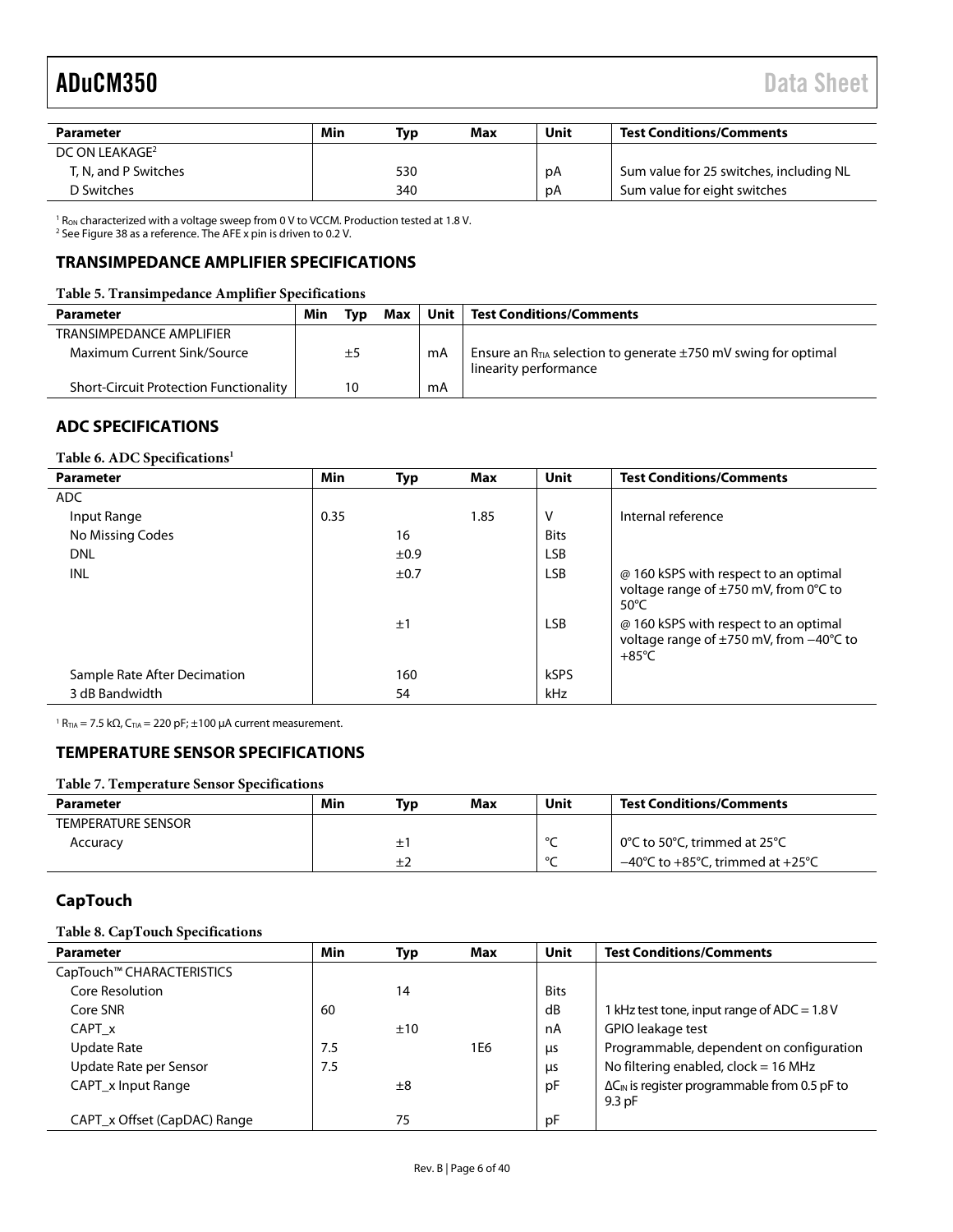| Parameter                  | Min | Typ | Max | Unit | <b>Test Conditions/Comments</b>         |
|----------------------------|-----|-----|-----|------|-----------------------------------------|
| DC ON LEAKAGE <sup>2</sup> |     |     |     |      |                                         |
| T. N. and P Switches       |     | 530 |     | рA   | Sum value for 25 switches, including NL |
| D Switches                 |     | 340 |     | рA   | Sum value for eight switches            |

 $1$  R<sub>ON</sub> characterized with a voltage sweep from 0 V to VCCM. Production tested at 1.8 V.

<sup>2</sup> Se[e Figure 38](#page-30-0) as a reference. The AFE x pin is driven to 0.2 V.

#### <span id="page-5-0"></span>**TRANSIMPEDANCE AMPLIFIER SPECIFICATIONS**

#### **Table 5. Transimpedance Amplifier Specifications**

| Parameter                                     | Min | Tvɒ | Max |    | Unit   Test Conditions/Comments                                                                   |
|-----------------------------------------------|-----|-----|-----|----|---------------------------------------------------------------------------------------------------|
| TRANSIMPEDANCE AMPLIFIER                      |     |     |     |    |                                                                                                   |
| Maximum Current Sink/Source                   |     | ±5  |     | mA | Ensure an $R_{TIA}$ selection to generate $\pm$ 750 mV swing for optimal<br>linearity performance |
| <b>Short-Circuit Protection Functionality</b> |     | 10  |     | mA |                                                                                                   |

### <span id="page-5-1"></span>**ADC SPECIFICATIONS**

#### **Table 6. ADC Specifications1**

| <b>Parameter</b>             | Min  | Typ  | Max  | Unit        | <b>Test Conditions/Comments</b>                                                                     |
|------------------------------|------|------|------|-------------|-----------------------------------------------------------------------------------------------------|
| <b>ADC</b>                   |      |      |      |             |                                                                                                     |
| Input Range                  | 0.35 |      | 1.85 | v           | Internal reference                                                                                  |
| No Missing Codes             |      | 16   |      | <b>Bits</b> |                                                                                                     |
| <b>DNL</b>                   |      | ±0.9 |      | <b>LSB</b>  |                                                                                                     |
| <b>INL</b>                   |      | ±0.7 |      | <b>LSB</b>  | @ 160 kSPS with respect to an optimal<br>voltage range of ±750 mV, from 0°C to<br>50 $\degree$ C    |
|                              |      | ±1   |      | <b>LSB</b>  | @ 160 kSPS with respect to an optimal<br>voltage range of ±750 mV, from -40°C to<br>$+85^{\circ}$ C |
| Sample Rate After Decimation |      | 160  |      | <b>kSPS</b> |                                                                                                     |
| 3 dB Bandwidth               |      | 54   |      | kHz         |                                                                                                     |

 $1 R_{TIA} = 7.5 kΩ$ , C<sub>TIA</sub> = 220 pF; ±100 μA current measurement.

#### <span id="page-5-2"></span>**TEMPERATURE SENSOR SPECIFICATIONS**

#### **Table 7. Temperature Sensor Specifications**

| <b>Parameter</b>   | Min | Typ | Max | Unit    | <b>Test Conditions/Comments</b>                                |
|--------------------|-----|-----|-----|---------|----------------------------------------------------------------|
| TEMPERATURE SENSOR |     |     |     |         |                                                                |
| Accuracy           |     |     |     | $\circ$ | 0°C to 50°C, trimmed at 25°C                                   |
|                    |     |     |     | $\sim$  | $-40^{\circ}$ C to $+85^{\circ}$ C, trimmed at $+25^{\circ}$ C |

#### <span id="page-5-3"></span>**CapTouch**

#### **Table 8. CapTouch Specifications**

| <b>Parameter</b>             | Min | Typ | Max | Unit        | <b>Test Conditions/Comments</b>                                |
|------------------------------|-----|-----|-----|-------------|----------------------------------------------------------------|
| CapTouch™ CHARACTERISTICS    |     |     |     |             |                                                                |
| Core Resolution              |     | 14  |     | <b>Bits</b> |                                                                |
| Core SNR                     | 60  |     |     | dB          | 1 kHz test tone, input range of ADC = 1.8 V                    |
| CAPT x                       |     | ±10 |     | nA          | GPIO leakage test                                              |
| Update Rate                  | 7.5 |     | 1E6 | μs          | Programmable, dependent on configuration                       |
| Update Rate per Sensor       | 7.5 |     |     | μs          | No filtering enabled, clock = 16 MHz                           |
| CAPT x Input Range           |     | ±8  |     | pF          | $\Delta C_{\text{IN}}$ is register programmable from 0.5 pF to |
|                              |     |     |     |             | 9.3 pF                                                         |
| CAPT_x Offset (CapDAC) Range |     | 75  |     | рF          |                                                                |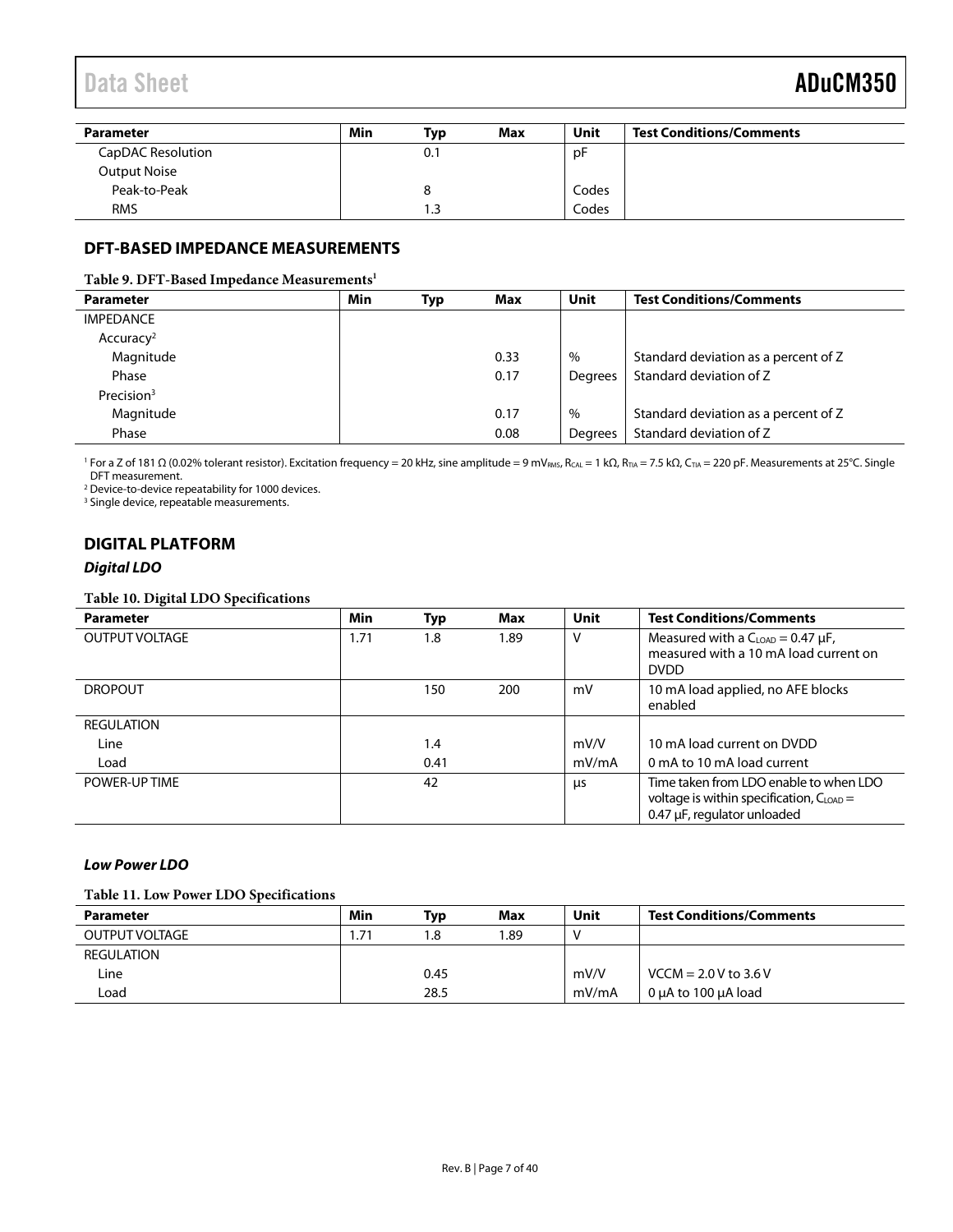## Data Sheet **ADuCM350**

| Parameter           | Min | Typ              | Max | Unit  | <b>Test Conditions/Comments</b> |
|---------------------|-----|------------------|-----|-------|---------------------------------|
| CapDAC Resolution   |     | 0.1              |     | pF    |                                 |
| <b>Output Noise</b> |     |                  |     |       |                                 |
| Peak-to-Peak        |     |                  |     | Codes |                                 |
| <b>RMS</b>          |     | $\overline{1.3}$ |     | Codes |                                 |

### <span id="page-6-0"></span>**DFT-BASED IMPEDANCE MEASUREMENTS**

#### **Table 9. DFT-Based Impedance Measurements1**

| <b>Parameter</b>      | Min | Typ | Max  | Unit           | <b>Test Conditions/Comments</b>      |
|-----------------------|-----|-----|------|----------------|--------------------------------------|
| <b>IMPEDANCE</b>      |     |     |      |                |                                      |
| Accuracy <sup>2</sup> |     |     |      |                |                                      |
| Magnitude             |     |     | 0.33 | $\%$           | Standard deviation as a percent of Z |
| Phase                 |     |     | 0.17 | <b>Dearees</b> | Standard deviation of Z              |
| Precision $3$         |     |     |      |                |                                      |
| Magnitude             |     |     | 0.17 | $\%$           | Standard deviation as a percent of Z |
| Phase                 |     |     | 0.08 | Degrees        | Standard deviation of Z              |

<sup>1</sup> For a Z of 181 Ω (0.02% tolerant resistor). Excitation frequency = 20 kHz, sine amplitude = 9 mV<sub>RMS</sub>, R<sub>CAL</sub> = 1 kΩ, R<sub>TIA</sub> = 7.5 kΩ, C<sub>TIA</sub> = 220 pF. Measurements at 25°C. Single DFT measurement.

<sup>2</sup> Device-to-device repeatability for 1000 devices.

<sup>3</sup> Single device, repeatable measurements.

### <span id="page-6-1"></span>**DIGITAL PLATFORM**

#### *Digital LDO*

#### **Table 10. Digital LDO Specifications**

| <b>Parameter</b>      | Min  | Typ  | Max  | Unit  | <b>Test Conditions/Comments</b>                                                                                               |
|-----------------------|------|------|------|-------|-------------------------------------------------------------------------------------------------------------------------------|
| <b>OUTPUT VOLTAGE</b> | 1.71 | 1.8  | 1.89 | v     | Measured with a $C_{LOAD} = 0.47 \mu F$ ,<br>measured with a 10 mA load current on<br><b>DVDD</b>                             |
| <b>DROPOUT</b>        |      | 150  | 200  | mV    | 10 mA load applied, no AFE blocks<br>enabled                                                                                  |
| <b>REGULATION</b>     |      |      |      |       |                                                                                                                               |
| Line                  |      | 1.4  |      | mV/V  | 10 mA load current on DVDD                                                                                                    |
| Load                  |      | 0.41 |      | mV/mA | 0 mA to 10 mA load current                                                                                                    |
| POWER-UP TIME         |      | 42   |      | μs    | Time taken from LDO enable to when LDO<br>voltage is within specification, $C_{\text{LOAD}} =$<br>0.47 µF, regulator unloaded |

#### *Low Power LDO*

#### **Table 11. Low Power LDO Specifications**

| Parameter             | Min          | Typ  | <b>Max</b> | Unit  | <b>Test Conditions/Comments</b> |
|-----------------------|--------------|------|------------|-------|---------------------------------|
| <b>OUTPUT VOLTAGE</b> | $.7^{\circ}$ | 8. ا | .89        |       |                                 |
| REGULATION            |              |      |            |       |                                 |
| Line                  |              | 0.45 |            | mV/V  | $VCCM = 2.0 V to 3.6 V$         |
| Load                  |              | 28.5 |            | mV/mA | 0 uA to 100 uA load             |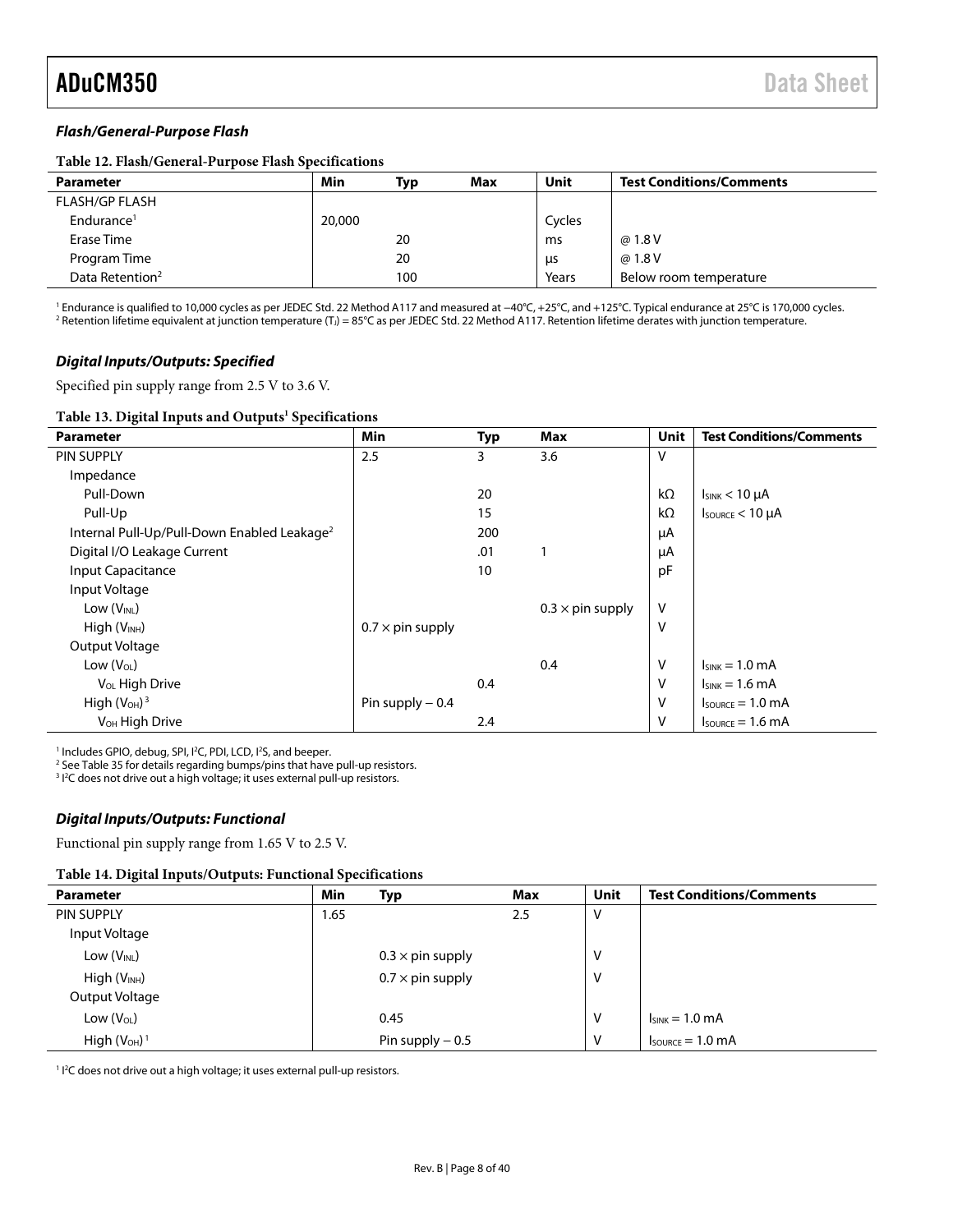#### *Flash/General-Purpose Flash*

#### **Table 12. Flash/General-Purpose Flash Specifications**

| <b>Parameter</b>            | Min    | Typ | Max | Unit   | <b>Test Conditions/Comments</b> |
|-----------------------------|--------|-----|-----|--------|---------------------------------|
| <b>FLASH/GP FLASH</b>       |        |     |     |        |                                 |
| Endurance <sup>1</sup>      | 20,000 |     |     | Cycles |                                 |
| Erase Time                  |        | 20  |     | ms     | @ 1.8 V                         |
| Program Time                |        | 20  |     | μs     | @ 1.8 V                         |
| Data Retention <sup>2</sup> |        | 100 |     | Years  | Below room temperature          |

<sup>1</sup> Endurance is qualified to 10,000 cycles as per JEDEC Std. 22 Method A117 and measured at −40°C, +25°C, and +125°C. Typical endurance at 25°C is 170,000 cycles. <sup>2</sup> Retention lifetime equivalent at junction temperature (T<sub>J</sub>) = 85°C as per JEDEC Std. 22 Method A117. Retention lifetime derates with junction temperature.

#### *Digital Inputs/Outputs: Specified*

Specified pin supply range from 2.5 V to 3.6 V.

#### Table 13. Digital Inputs and Outputs<sup>1</sup> Specifications

| <b>Parameter</b>                                        | Min                     | <b>Typ</b> | <b>Max</b>              | Unit      | <b>Test Conditions/Comments</b>      |
|---------------------------------------------------------|-------------------------|------------|-------------------------|-----------|--------------------------------------|
| <b>PIN SUPPLY</b>                                       | 2.5                     | 3          | 3.6                     | ٧         |                                      |
| Impedance                                               |                         |            |                         |           |                                      |
| Pull-Down                                               |                         | 20         |                         | $k\Omega$ | $I_{SINK}$ < 10 $\mu$ A              |
| Pull-Up                                                 |                         | 15         |                         | $k\Omega$ | $I_{\text{SOWRCE}}$ < 10 $\mu$ A     |
| Internal Pull-Up/Pull-Down Enabled Leakage <sup>2</sup> |                         | 200        |                         | μA        |                                      |
| Digital I/O Leakage Current                             |                         | .01        |                         | μA        |                                      |
| Input Capacitance                                       |                         | 10         |                         | pF        |                                      |
| Input Voltage                                           |                         |            |                         |           |                                      |
| Low (V <sub>INL</sub> )                                 |                         |            | $0.3 \times$ pin supply | $\vee$    |                                      |
| $High (V_{INH})$                                        | $0.7 \times$ pin supply |            |                         | ٧         |                                      |
| Output Voltage                                          |                         |            |                         |           |                                      |
| Low $(V_{OL})$                                          |                         |            | 0.4                     | v         | $I_{SINK} = 1.0$ mA                  |
| V <sub>OL</sub> High Drive                              |                         | 0.4        |                         | ٧         | $I_{SINK} = 1.6 \text{ mA}$          |
| High $(VOH)3$                                           | Pin supply $-0.4$       |            |                         | ٧         | $I_{\text{SOWRCE}} = 1.0 \text{ mA}$ |
| V <sub>OH</sub> High Drive                              |                         | 2.4        |                         | ٧         | $I_{\text{SOWRCE}} = 1.6 \text{ mA}$ |

<sup>1</sup> Includes GPIO, debug, SPI, I<sup>2</sup>C, PDI, LCD, I<sup>2</sup>S, and beeper.

<sup>2</sup> Se[e Table 35](#page-19-1) for details regarding bumps/pins that have pull-up resistors.

<sup>3</sup> I<sup>2</sup>C does not drive out a high voltage; it uses external pull-up resistors.

#### *Digital Inputs/Outputs: Functional*

Functional pin supply range from 1.65 V to 2.5 V.

#### **Table 14. Digital Inputs/Outputs: Functional Specifications**

| <b>Parameter</b>         | <b>Min</b> | Typ                     | Max | Unit | <b>Test Conditions/Comments</b>      |
|--------------------------|------------|-------------------------|-----|------|--------------------------------------|
| PIN SUPPLY               | 1.65       |                         | 2.5 | ٧    |                                      |
| Input Voltage            |            |                         |     |      |                                      |
| Low $(V_{INL})$          |            | $0.3 \times$ pin supply |     | ٧    |                                      |
| High (V <sub>INH</sub> ) |            | $0.7 \times$ pin supply |     | ٧    |                                      |
| Output Voltage           |            |                         |     |      |                                      |
| Low $(V_{OL})$           |            | 0.45                    |     | ٧    | $I_{SINK} = 1.0$ mA                  |
| High $(VOH)1$            |            | Pin supply $-0.5$       |     | ٧    | $I_{\text{SOWRCE}} = 1.0 \text{ mA}$ |

<sup>1</sup> I<sup>2</sup>C does not drive out a high voltage; it uses external pull-up resistors.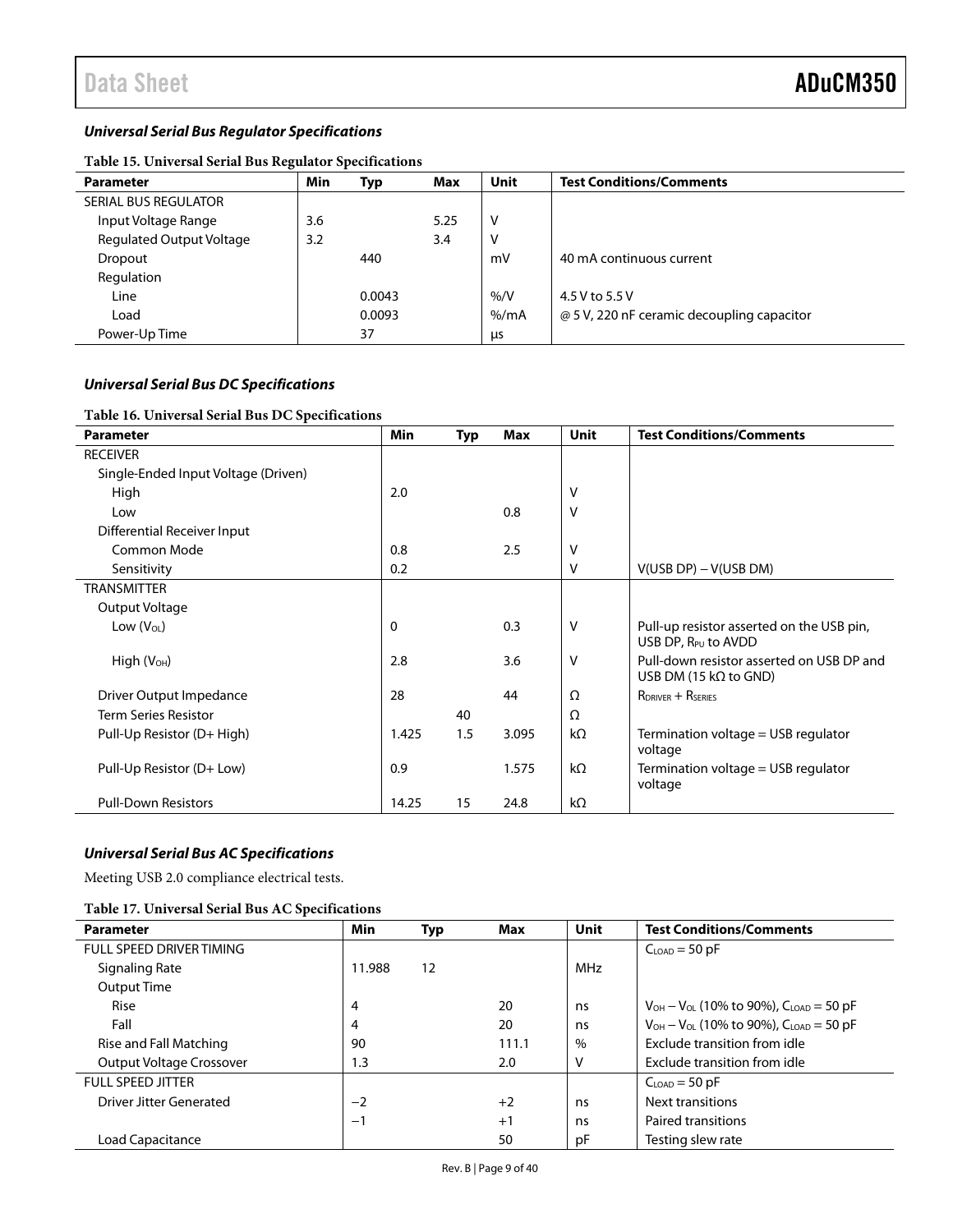#### *Universal Serial Bus Regulator Specifications*

| Table 15. Universal Serial Bus Regulator Specifications |     |        |      |         |                                            |  |  |  |  |  |
|---------------------------------------------------------|-----|--------|------|---------|--------------------------------------------|--|--|--|--|--|
| <b>Parameter</b>                                        | Min | Typ    | Max  | Unit    | <b>Test Conditions/Comments</b>            |  |  |  |  |  |
| <b>SERIAL BUS REGULATOR</b>                             |     |        |      |         |                                            |  |  |  |  |  |
| Input Voltage Range                                     | 3.6 |        | 5.25 | v       |                                            |  |  |  |  |  |
| <b>Regulated Output Voltage</b>                         | 3.2 |        | 3.4  | ٧       |                                            |  |  |  |  |  |
| Dropout                                                 |     | 440    |      | mV      | 40 mA continuous current                   |  |  |  |  |  |
| Regulation                                              |     |        |      |         |                                            |  |  |  |  |  |
| Line                                                    |     | 0.0043 |      | % / V   | 4.5 V to 5.5 V                             |  |  |  |  |  |
| Load                                                    |     | 0.0093 |      | $%$ /mA | @ 5 V, 220 nF ceramic decoupling capacitor |  |  |  |  |  |
| Power-Up Time                                           |     | 37     |      | μs      |                                            |  |  |  |  |  |
|                                                         |     |        |      |         |                                            |  |  |  |  |  |

### **Table 15. Universal Serial Bus Regulator Specifications**

#### *Universal Serial Bus DC Specifications*

#### **Table 16. Universal Serial Bus DC Specifications**

| <b>Parameter</b>                    | <b>Min</b> | <b>Typ</b> | <b>Max</b> | <b>Unit</b> | <b>Test Conditions/Comments</b>                                              |
|-------------------------------------|------------|------------|------------|-------------|------------------------------------------------------------------------------|
| <b>RECEIVER</b>                     |            |            |            |             |                                                                              |
| Single-Ended Input Voltage (Driven) |            |            |            |             |                                                                              |
| High                                | 2.0        |            |            | V           |                                                                              |
| Low                                 |            |            | 0.8        | V           |                                                                              |
| Differential Receiver Input         |            |            |            |             |                                                                              |
| Common Mode                         | 0.8        |            | 2.5        | ٧           |                                                                              |
| Sensitivity                         | 0.2        |            |            | ٧           | $V(USB DP) - V(USB DM)$                                                      |
| <b>TRANSMITTER</b>                  |            |            |            |             |                                                                              |
| Output Voltage                      |            |            |            |             |                                                                              |
| Low $(V_{OL})$                      | 0          |            | 0.3        | v           | Pull-up resistor asserted on the USB pin,<br>USB DP, R <sub>PU</sub> to AVDD |
| $High (V_{OH})$                     | 2.8        |            | 3.6        | V           | Pull-down resistor asserted on USB DP and<br>USB DM (15 $k\Omega$ to GND)    |
| Driver Output Impedance             | 28         |            | 44         | Ω           | $R_{DRIVER} + R_{SERIES}$                                                    |
| <b>Term Series Resistor</b>         |            | 40         |            | Ω           |                                                                              |
| Pull-Up Resistor (D+ High)          | 1.425      | 1.5        | 3.095      | $k\Omega$   | Termination voltage $=$ USB regulator<br>voltage                             |
| Pull-Up Resistor (D+ Low)           | 0.9        |            | 1.575      | $k\Omega$   | Termination voltage $=$ USB regulator<br>voltage                             |
| <b>Pull-Down Resistors</b>          | 14.25      | 15         | 24.8       | $k\Omega$   |                                                                              |

### *Universal Serial Bus AC Specifications*

Meeting USB 2.0 compliance electrical tests.

#### **Table 17. Universal Serial Bus AC Specifications**

| <b>Parameter</b>                | <b>Min</b> | Typ | Max   | Unit | <b>Test Conditions/Comments</b>                    |
|---------------------------------|------------|-----|-------|------|----------------------------------------------------|
| <b>FULL SPEED DRIVER TIMING</b> |            |     |       |      | $CLOAD = 50 pF$                                    |
| Signaling Rate                  | 11.988     | 12  |       | MHz  |                                                    |
| <b>Output Time</b>              |            |     |       |      |                                                    |
| Rise                            | 4          |     | 20    | ns   | $V_{OH} - V_{OL}$ (10% to 90%), $C_{LOAD} = 50$ pF |
| Fall                            | 4          |     | 20    | ns   | $V_{OH} - V_{OL}$ (10% to 90%), $C_{LOAD} = 50$ pF |
| Rise and Fall Matching          | 90         |     | 111.1 | $\%$ | Exclude transition from idle                       |
| Output Voltage Crossover        | 1.3        |     | 2.0   | v    | Exclude transition from idle                       |
| <b>FULL SPEED JITTER</b>        |            |     |       |      | $C_{LOAD} = 50$ pF                                 |
| Driver Jitter Generated         | $-2$       |     | $+2$  | ns   | Next transitions                                   |
|                                 | $-1$       |     | $+1$  | ns   | Paired transitions                                 |
| <b>Load Capacitance</b>         |            |     | 50    | pF   | Testing slew rate                                  |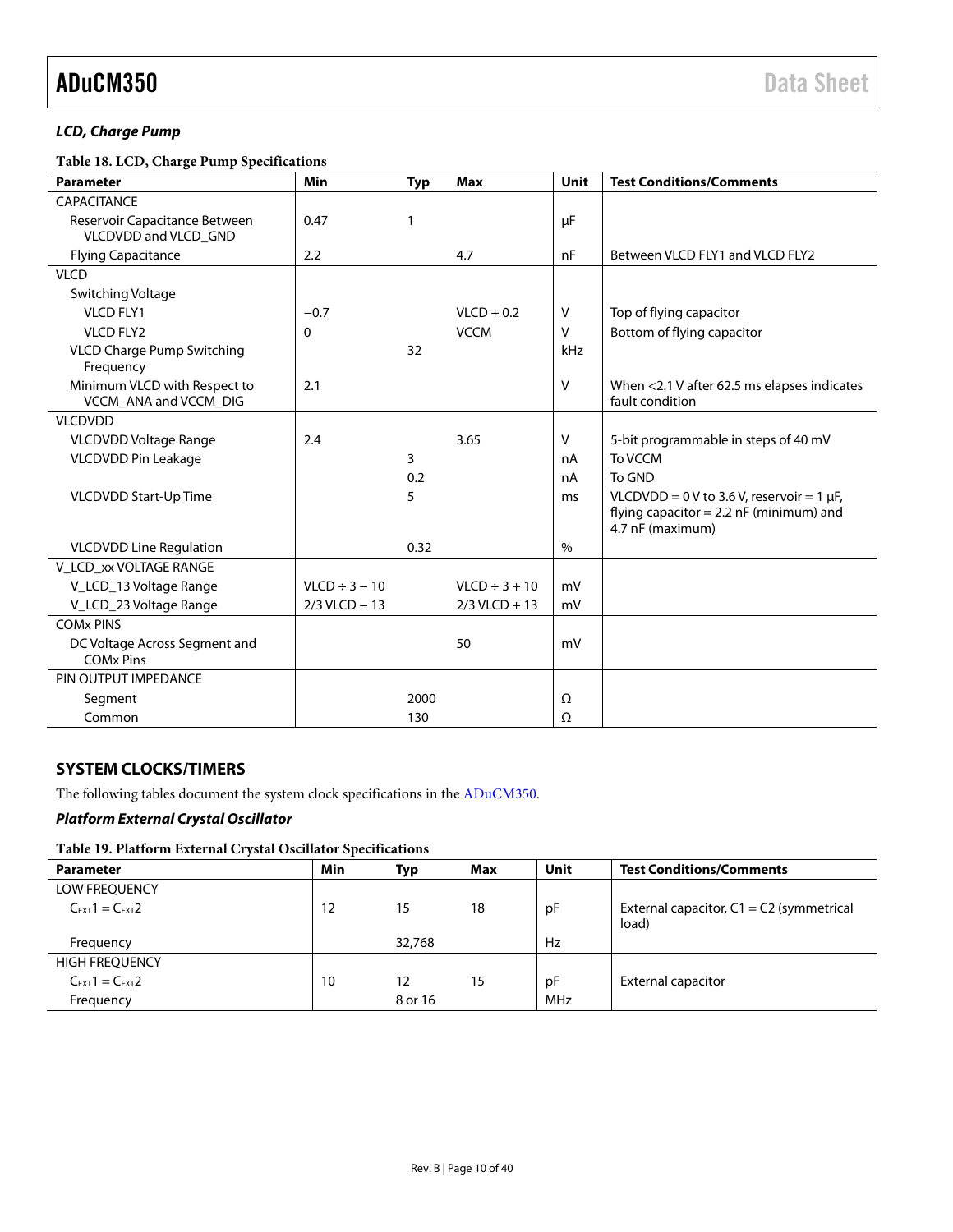#### *LCD, Charge Pump*

**Table 18. LCD, Charge Pump Specifications**

| <b>Parameter</b>                                      | Min                | <b>Typ</b>   | <b>Max</b>         | Unit   | <b>Test Conditions/Comments</b>                                                                              |
|-------------------------------------------------------|--------------------|--------------|--------------------|--------|--------------------------------------------------------------------------------------------------------------|
| <b>CAPACITANCE</b>                                    |                    |              |                    |        |                                                                                                              |
| Reservoir Capacitance Between<br>VLCDVDD and VLCD_GND | 0.47               | $\mathbf{1}$ |                    | μF     |                                                                                                              |
| <b>Flying Capacitance</b>                             | 2.2                |              | 4.7                | nF     | Between VLCD FLY1 and VLCD FLY2                                                                              |
| <b>VLCD</b>                                           |                    |              |                    |        |                                                                                                              |
| Switching Voltage                                     |                    |              |                    |        |                                                                                                              |
| <b>VLCD FLY1</b>                                      | $-0.7$             |              | $VLCD + 0.2$       | v      | Top of flying capacitor                                                                                      |
| <b>VLCD FLY2</b>                                      | 0                  |              | <b>VCCM</b>        | v      | Bottom of flying capacitor                                                                                   |
| <b>VLCD Charge Pump Switching</b><br>Frequency        |                    | 32           |                    | kHz    |                                                                                                              |
| Minimum VLCD with Respect to<br>VCCM ANA and VCCM DIG | 2.1                |              |                    | $\vee$ | When <2.1 V after 62.5 ms elapses indicates<br>fault condition                                               |
| <b>VLCDVDD</b>                                        |                    |              |                    |        |                                                                                                              |
| VLCDVDD Voltage Range                                 | 2.4                |              | 3.65               | v      | 5-bit programmable in steps of 40 mV                                                                         |
| VLCDVDD Pin Leakage                                   |                    | 3            |                    | nA     | To VCCM                                                                                                      |
|                                                       |                    | 0.2          |                    | nA     | To GND                                                                                                       |
| VLCDVDD Start-Up Time                                 |                    | 5            |                    | ms     | $VLCDVDD = 0 V$ to 3.6 V, reservoir = 1 µF,<br>flying capacitor = $2.2$ nF (minimum) and<br>4.7 nF (maximum) |
| <b>VLCDVDD Line Regulation</b>                        |                    | 0.32         |                    | $\%$   |                                                                                                              |
| V_LCD_xx VOLTAGE RANGE                                |                    |              |                    |        |                                                                                                              |
| V_LCD_13 Voltage Range                                | $VLCD \div 3 - 10$ |              | $VLCD \div 3 + 10$ | mV     |                                                                                                              |
| V_LCD_23 Voltage Range                                | $2/3$ VLCD $-13$   |              | $2/3$ VLCD + 13    | mV     |                                                                                                              |
| <b>COM<sub>x</sub> PINS</b>                           |                    |              |                    |        |                                                                                                              |
| DC Voltage Across Segment and<br><b>COMx Pins</b>     |                    |              | 50                 | mV     |                                                                                                              |
| PIN OUTPUT IMPEDANCE                                  |                    |              |                    |        |                                                                                                              |
| Segment                                               |                    | 2000         |                    | Ω      |                                                                                                              |
| Common                                                |                    | 130          |                    | Ω      |                                                                                                              |

#### <span id="page-9-0"></span>**SYSTEM CLOCKS/TIMERS**

The following tables document the system clock specifications in the [ADuCM350.](http://www.analog.com/ADuCM350?doc=ADuCM350.pdf)

#### *Platform External Crystal Oscillator*

#### **Table 19. Platform External Crystal Oscillator Specifications**

| <b>Parameter</b>                    | Min | Typ     | Max | Unit | <b>Test Conditions/Comments</b>                     |
|-------------------------------------|-----|---------|-----|------|-----------------------------------------------------|
| <b>LOW FREQUENCY</b>                |     |         |     |      |                                                     |
| $C_{\text{EXT}}1 = C_{\text{EXT}}2$ | 12  | 15      | 18  | рF   | External capacitor, $C1 = C2$ (symmetrical<br>load) |
| Frequency                           |     | 32.768  |     | Hz   |                                                     |
| <b>HIGH FREQUENCY</b>               |     |         |     |      |                                                     |
| $C_{\text{EXT}}1 = C_{\text{EXT}}2$ | 10  | 12      | 15  | рF   | <b>External capacitor</b>                           |
| Frequency                           |     | 8 or 16 |     | MHz  |                                                     |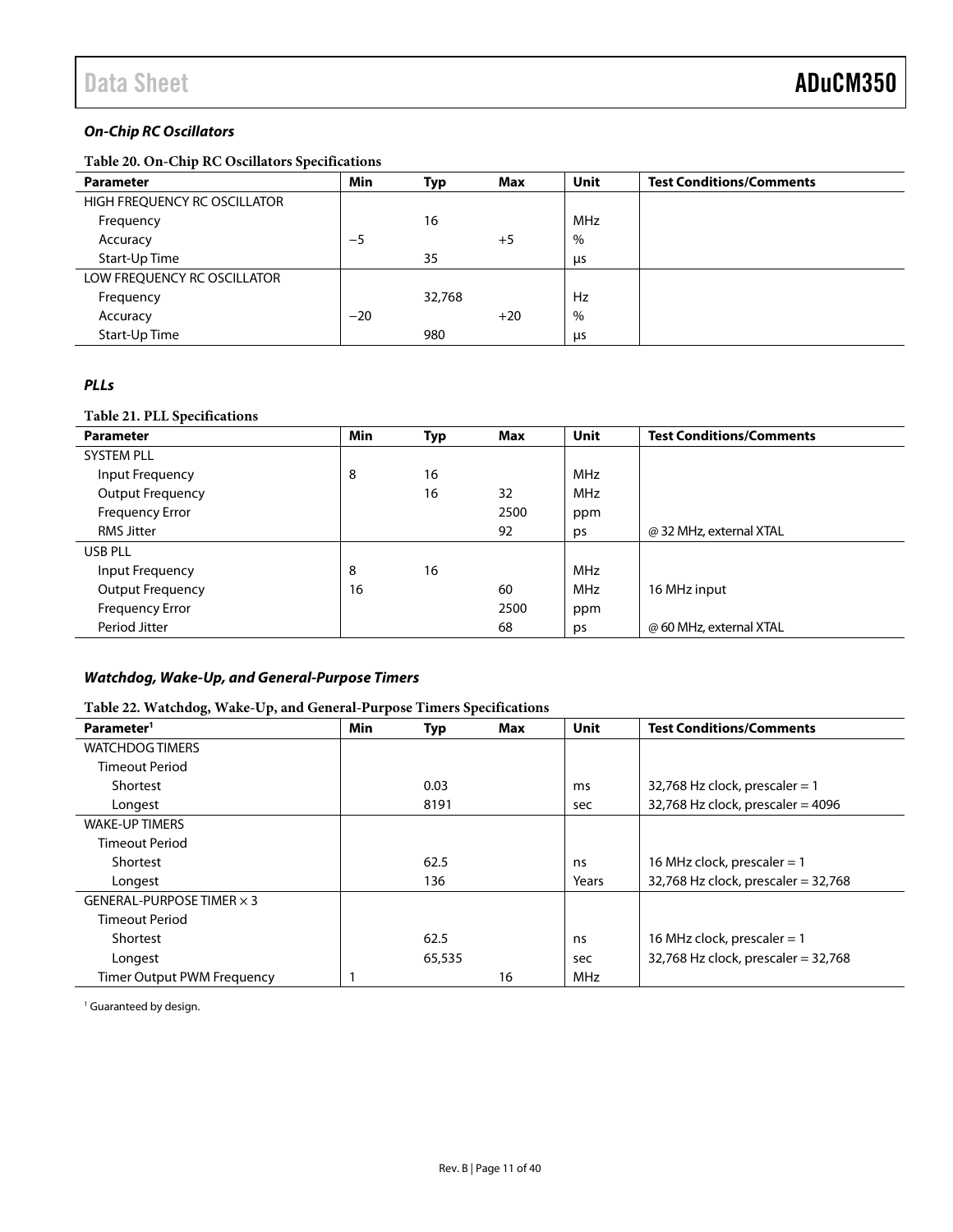### *On-Chip RC Oscillators*

**Table 20. On-Chip RC Oscillators Specifications**

| <b>Parameter</b>             | Min   | Typ    | Max   | <b>Unit</b> | <b>Test Conditions/Comments</b> |
|------------------------------|-------|--------|-------|-------------|---------------------------------|
| HIGH FREQUENCY RC OSCILLATOR |       |        |       |             |                                 |
| Frequency                    |       | 16     |       | <b>MHz</b>  |                                 |
| Accuracy                     | $-5$  |        | $+5$  | $\%$        |                                 |
| Start-Up Time                |       | 35     |       | μs          |                                 |
| LOW FREQUENCY RC OSCILLATOR  |       |        |       |             |                                 |
| Frequency                    |       | 32,768 |       | Hz          |                                 |
| Accuracy                     | $-20$ |        | $+20$ | $\%$        |                                 |
| Start-Up Time                |       | 980    |       | μs          |                                 |

#### *PLLs*

#### **Table 21. PLL Specifications**

| <b>Parameter</b>        | <b>Min</b> | Typ | Max  | Unit       | <b>Test Conditions/Comments</b> |
|-------------------------|------------|-----|------|------------|---------------------------------|
| <b>SYSTEM PLL</b>       |            |     |      |            |                                 |
| Input Frequency         | 8          | 16  |      | <b>MHz</b> |                                 |
| <b>Output Frequency</b> |            | 16  | 32   | <b>MHz</b> |                                 |
| <b>Frequency Error</b>  |            |     | 2500 | ppm        |                                 |
| <b>RMS Jitter</b>       |            |     | 92   | ps         | @ 32 MHz, external XTAL         |
| USB PLL                 |            |     |      |            |                                 |
| Input Frequency         | 8          | 16  |      | <b>MHz</b> |                                 |
| <b>Output Frequency</b> | 16         |     | 60   | <b>MHz</b> | 16 MHz input                    |
| <b>Frequency Error</b>  |            |     | 2500 | ppm        |                                 |
| Period Jitter           |            |     | 68   | ps         | @ 60 MHz, external XTAL         |

#### *Watchdog, Wake-Up, and General-Purpose Timers*

#### **Table 22. Watchdog, Wake-Up, and General-Purpose Timers Specifications**

| . .                              |     |        |     |             |                                       |
|----------------------------------|-----|--------|-----|-------------|---------------------------------------|
| Parameter <sup>1</sup>           | Min | Typ    | Max | <b>Unit</b> | <b>Test Conditions/Comments</b>       |
| <b>WATCHDOG TIMERS</b>           |     |        |     |             |                                       |
| <b>Timeout Period</b>            |     |        |     |             |                                       |
| Shortest                         |     | 0.03   |     | ms          | 32,768 Hz clock, prescaler = $1$      |
| Longest                          |     | 8191   |     | sec         | 32,768 Hz clock, prescaler = $4096$   |
| <b>WAKE-UP TIMERS</b>            |     |        |     |             |                                       |
| <b>Timeout Period</b>            |     |        |     |             |                                       |
| Shortest                         |     | 62.5   |     | ns          | 16 MHz clock, prescaler = $1$         |
| Longest                          |     | 136    |     | Years       | 32,768 Hz clock, prescaler = $32,768$ |
| GENERAL-PURPOSE TIMER $\times$ 3 |     |        |     |             |                                       |
| <b>Timeout Period</b>            |     |        |     |             |                                       |
| Shortest                         |     | 62.5   |     | ns          | 16 MHz clock, prescaler $=$ 1         |
| Longest                          |     | 65,535 |     | sec         | 32,768 Hz clock, prescaler = $32,768$ |
| Timer Output PWM Frequency       |     |        | 16  | MHz         |                                       |

<sup>1</sup> Guaranteed by design.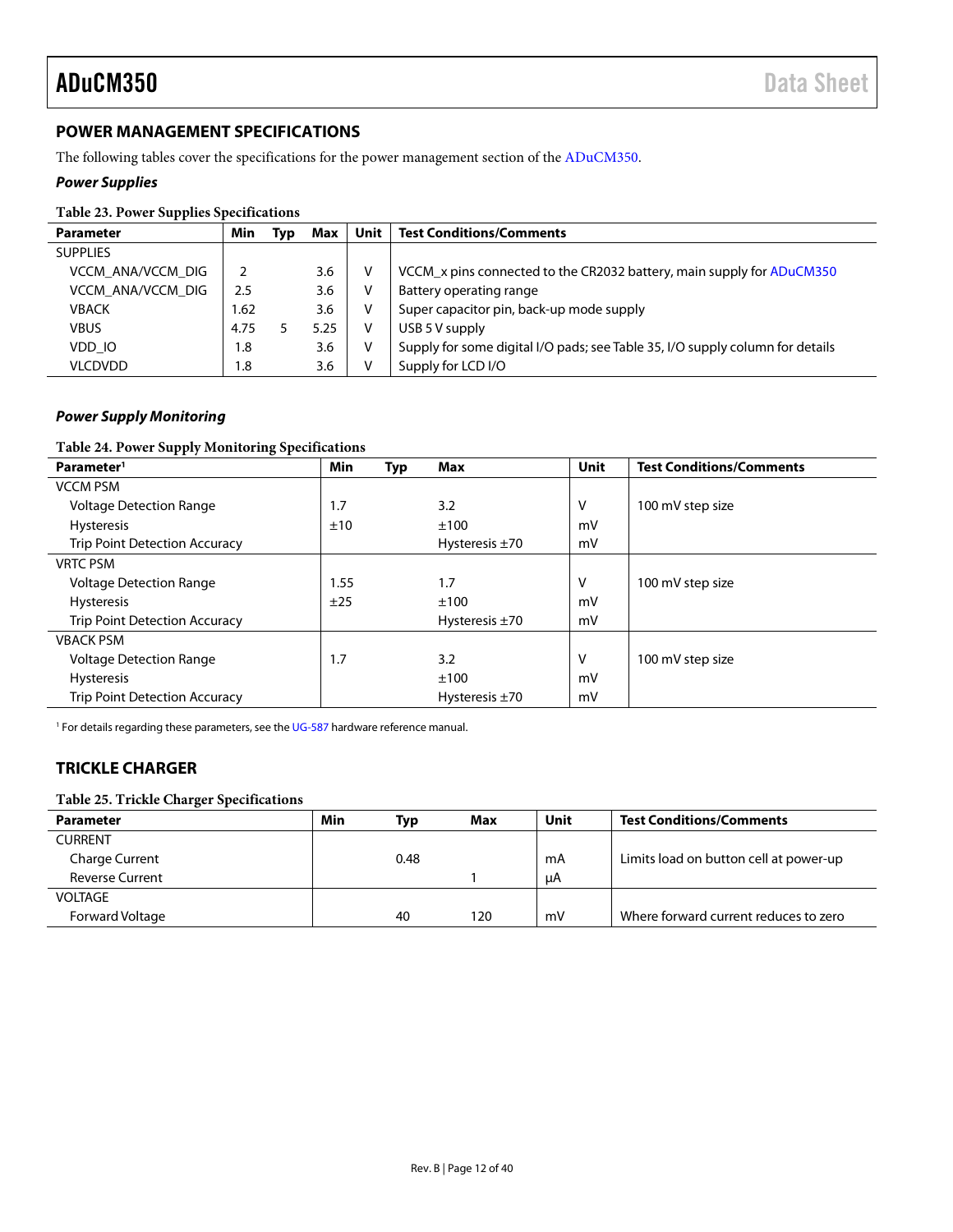#### <span id="page-11-0"></span>**POWER MANAGEMENT SPECIFICATIONS**

The following tables cover the specifications for the power management section of the [ADuCM350.](http://www.analog.com/ADuCM350?doc=ADuCM350.pdf)

#### *Power Supplies*

#### **Table 23. Power Supplies Specifications**

| <b>Parameter</b>  | Min  | Typ | Max  | Unit | <b>Test Conditions/Comments</b>                                               |
|-------------------|------|-----|------|------|-------------------------------------------------------------------------------|
| <b>SUPPLIES</b>   |      |     |      |      |                                                                               |
| VCCM ANA/VCCM DIG |      |     | 3.6  | v    | VCCM x pins connected to the CR2032 battery, main supply for ADuCM350         |
| VCCM ANA/VCCM DIG | 2.5  |     | 3.6  | v    | Battery operating range                                                       |
| <b>VBACK</b>      | .62  |     | 3.6  | v    | Super capacitor pin, back-up mode supply                                      |
| <b>VBUS</b>       | 4.75 |     | 5.25 | v    | USB 5 V supply                                                                |
| VDD IO            | 1.8  |     | 3.6  | v    | Supply for some digital I/O pads; see Table 35, I/O supply column for details |
| <b>VLCDVDD</b>    | 1.8  |     | 3.6  | v    | Supply for LCD I/O                                                            |

#### *Power Supply Monitoring*

#### **Table 24. Power Supply Monitoring Specifications**

| Parameter <sup>1</sup>               | Min  | Typ | Max                 | Unit | <b>Test Conditions/Comments</b> |
|--------------------------------------|------|-----|---------------------|------|---------------------------------|
| <b>VCCM PSM</b>                      |      |     |                     |      |                                 |
| <b>Voltage Detection Range</b>       | 1.7  |     | 3.2                 | v    | 100 mV step size                |
| <b>Hysteresis</b>                    | ±10  |     | ±100                | mV   |                                 |
| <b>Trip Point Detection Accuracy</b> |      |     | Hysteresis $\pm$ 70 | mV   |                                 |
| <b>VRTC PSM</b>                      |      |     |                     |      |                                 |
| <b>Voltage Detection Range</b>       | 1.55 |     | 1.7                 | v    | 100 mV step size                |
| <b>Hysteresis</b>                    | ±25  |     | ±100                | mV   |                                 |
| <b>Trip Point Detection Accuracy</b> |      |     | Hysteresis $\pm 70$ | mV   |                                 |
| <b>VBACK PSM</b>                     |      |     |                     |      |                                 |
| <b>Voltage Detection Range</b>       | 1.7  |     | 3.2                 | ٧    | 100 mV step size                |
| <b>Hysteresis</b>                    |      |     | ±100                | mV   |                                 |
| <b>Trip Point Detection Accuracy</b> |      |     | Hysteresis $\pm 70$ | mV   |                                 |

<sup>1</sup> For details regarding these parameters, see th[e UG-587](http://www.analog.com/EVAL-ADuCM350?doc=ADuCM350.pdf) hardware reference manual.

#### <span id="page-11-1"></span>**TRICKLE CHARGER**

#### **Table 25. Trickle Charger Specifications**

| <b>Parameter</b>       | Min | <b>Typ</b> | Max | Unit | <b>Test Conditions/Comments</b>        |
|------------------------|-----|------------|-----|------|----------------------------------------|
| <b>CURRENT</b>         |     |            |     |      |                                        |
| <b>Charge Current</b>  |     | 0.48       |     | mA   | Limits load on button cell at power-up |
| <b>Reverse Current</b> |     |            |     | uA   |                                        |
| <b>VOLTAGE</b>         |     |            |     |      |                                        |
| Forward Voltage        |     | 40         | 120 | mV   | Where forward current reduces to zero  |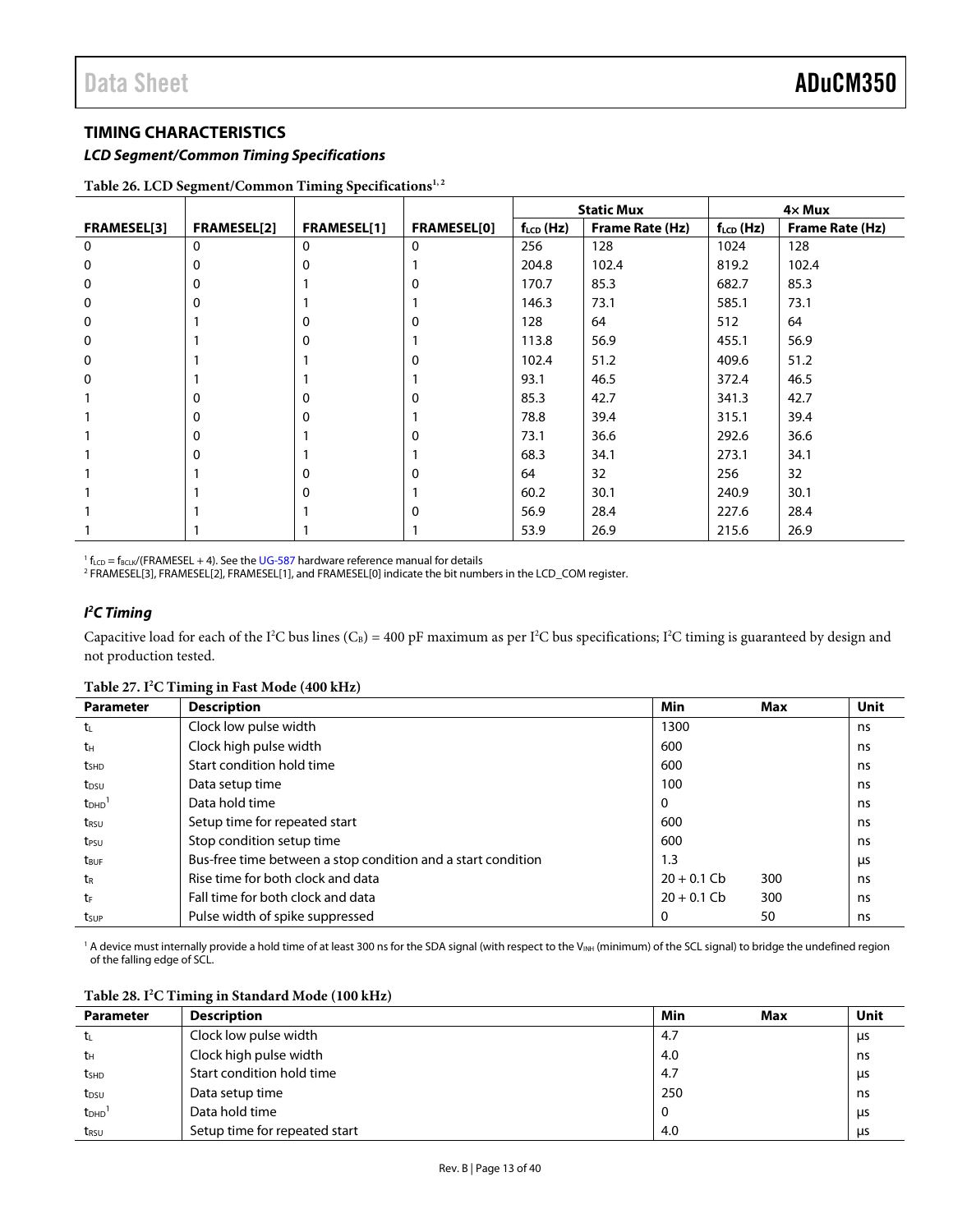#### <span id="page-12-0"></span>**TIMING CHARACTERISTICS**

*LCD Segment/Common Timing Specifications*

|             |                    |                    |                    | <b>Static Mux</b> |                        |                | $4 \times$ Mux  |
|-------------|--------------------|--------------------|--------------------|-------------------|------------------------|----------------|-----------------|
| FRAMESEL[3] | <b>FRAMESEL[2]</b> | <b>FRAMESEL[1]</b> | <b>FRAMESEL[0]</b> | $f_{LCD}$ (Hz)    | <b>Frame Rate (Hz)</b> | $f_{LCD}$ (Hz) | Frame Rate (Hz) |
| $\mathbf 0$ | 0                  | 0                  | $\mathbf{0}$       | 256               | 128                    | 1024           | 128             |
| 0           | $\Omega$           | $\Omega$           |                    | 204.8             | 102.4                  | 819.2          | 102.4           |
| 0           | $\Omega$           |                    | O                  | 170.7             | 85.3                   | 682.7          | 85.3            |
| 0           | $\Omega$           |                    |                    | 146.3             | 73.1                   | 585.1          | 73.1            |
| 0           |                    | $\Omega$           | O                  | 128               | 64                     | 512            | 64              |
| 0           |                    | $\Omega$           |                    | 113.8             | 56.9                   | 455.1          | 56.9            |
| 0           |                    |                    | 0                  | 102.4             | 51.2                   | 409.6          | 51.2            |
| 0           |                    |                    |                    | 93.1              | 46.5                   | 372.4          | 46.5            |
|             | 0                  | 0                  | 0                  | 85.3              | 42.7                   | 341.3          | 42.7            |
|             | 0                  | 0                  |                    | 78.8              | 39.4                   | 315.1          | 39.4            |
|             | 0                  |                    | 0                  | 73.1              | 36.6                   | 292.6          | 36.6            |
|             | $\Omega$           |                    |                    | 68.3              | 34.1                   | 273.1          | 34.1            |
|             |                    | $\Omega$           | 0                  | 64                | 32                     | 256            | 32              |
|             |                    | $\Omega$           |                    | 60.2              | 30.1                   | 240.9          | 30.1            |
|             |                    |                    | 0                  | 56.9              | 28.4                   | 227.6          | 28.4            |
|             |                    |                    |                    | 53.9              | 26.9                   | 215.6          | 26.9            |

Table 26. LCD Segment/Common Timing Specifications<sup>1,2</sup>

<sup>1</sup>  $f_{LCD} = f_{BCLK}/(FRAMESEL + 4)$ . See the UG-587 hardware reference manual for details

fLCD = fBCLK/(FRAMESEL + 4). See the UG-587 hardware reference manual for details 2 FRAMESEL[3], FRAMESEL[2], FRAMESEL[1], and FRAMESEL[0] indicate the bit numbers in the LCD\_COM register.

#### *I 2 C Timing*

Capacitive load for each of the I<sup>2</sup>C bus lines (C<sub>B</sub>) = 400 pF maximum as per I<sup>2</sup>C bus specifications; I<sup>2</sup>C timing is guaranteed by design and not production tested.

#### **Table 27. I2 C Timing in Fast Mode (400 kHz)**

| <b>Parameter</b>        | <b>Description</b>                                           | Min           | Max | <b>Unit</b> |
|-------------------------|--------------------------------------------------------------|---------------|-----|-------------|
| $t_{\rm L}$             | Clock low pulse width                                        | 1300          |     | ns          |
| tн                      | Clock high pulse width                                       | 600           |     | ns          |
| t <sub>SHD</sub>        | Start condition hold time                                    | 600           |     | ns          |
| t <sub>DSU</sub>        | Data setup time                                              | 100           |     | ns          |
| t <sub>DHD</sub>        | Data hold time                                               | 0             |     | ns          |
| t <sub>RSU</sub>        | Setup time for repeated start                                | 600           |     | ns          |
| t <sub>PSU</sub>        | Stop condition setup time                                    | 600           |     | ns          |
| <b>t</b> <sub>BUF</sub> | Bus-free time between a stop condition and a start condition | 1.3           |     | μs          |
| tr                      | Rise time for both clock and data                            | $20 + 0.1$ Cb | 300 | ns          |
| tF                      | Fall time for both clock and data                            | $20 + 0.1$ Cb | 300 | ns          |
| tsup                    | Pulse width of spike suppressed                              |               | 50  | ns.         |

<sup>1</sup> A device must internally provide a hold time of at least 300 ns for the SDA signal (with respect to the V<sub>INH</sub> (minimum) of the SCL signal) to bridge the undefined region of the falling edge of SCL.

| Table 28. I <sup>2</sup> C Timing in Standard Mode (100 kHz) |  |
|--------------------------------------------------------------|--|
|--------------------------------------------------------------|--|

| <b>Parameter</b> | <b>Description</b>            | Min<br>Max | Unit |
|------------------|-------------------------------|------------|------|
| tı               | Clock low pulse width         | 4.7        | μs   |
| tн               | Clock high pulse width        | 4.0        | ns   |
| t <sub>SHD</sub> | Start condition hold time     | 4.7        | μs   |
| $t_{DSU}$        | Data setup time               | 250        | ns   |
| t <sub>DHD</sub> | Data hold time                | υ          | μs   |
| t <sub>RSU</sub> | Setup time for repeated start | 4.0        | μs   |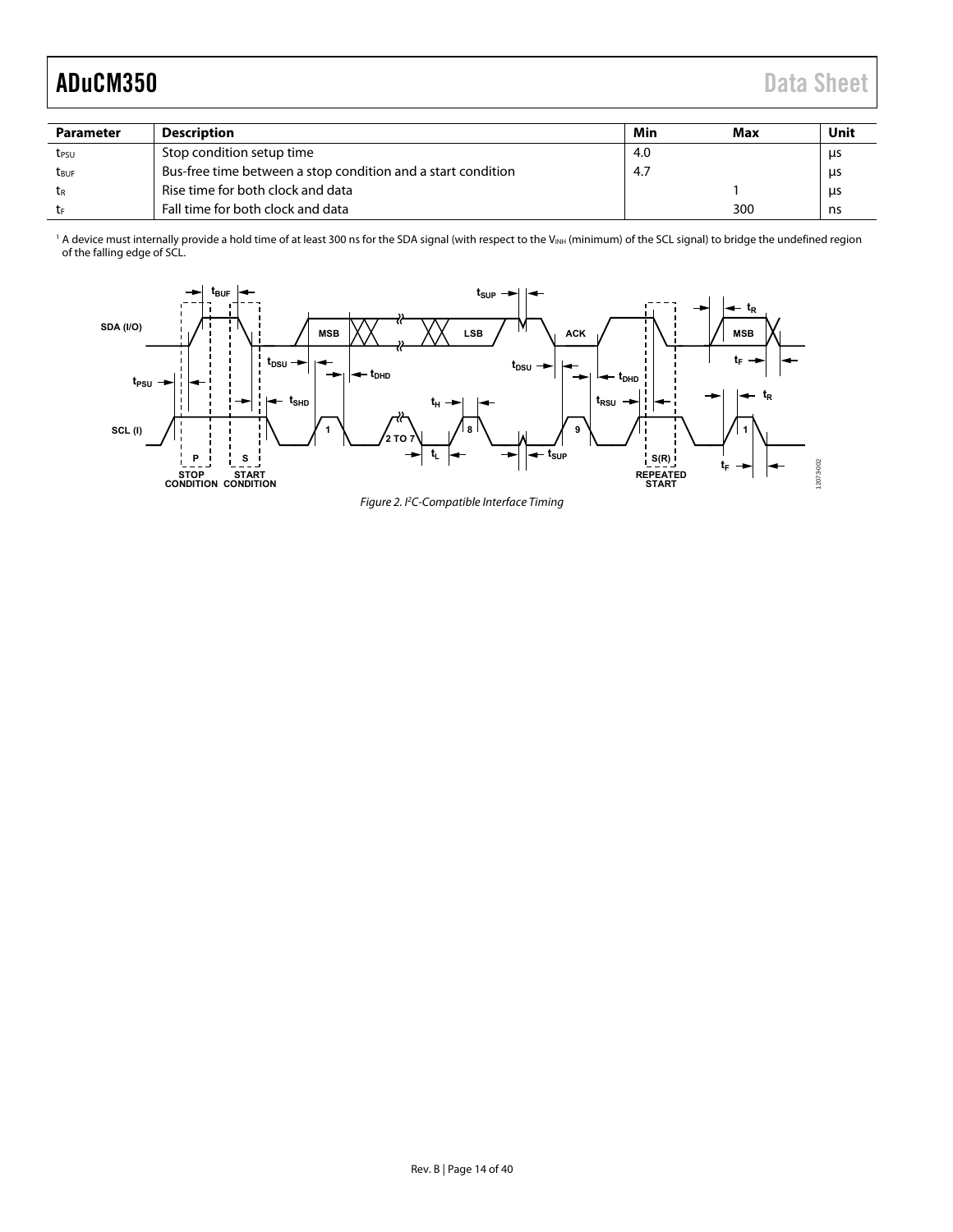| <b>Parameter</b> | <b>Description</b>                                           | Min | Max | Unit      |
|------------------|--------------------------------------------------------------|-----|-----|-----------|
| tesu             | Stop condition setup time                                    | 4.0 |     | us        |
| t <sub>ruf</sub> | Bus-free time between a stop condition and a start condition | 4.7 |     | <b>us</b> |
| tr               | Rise time for both clock and data                            |     |     | μs        |
| tr               | Fall time for both clock and data                            |     | 300 | ns        |

 $^1$  A device must internally provide a hold time of at least 300 ns for the SDA signal (with respect to the V $_{\text{NH}}$  (minimum) of the SCL signal) to bridge the undefined region of the falling edge of SCL.



Figure 2. PC-Compatible Interface Timing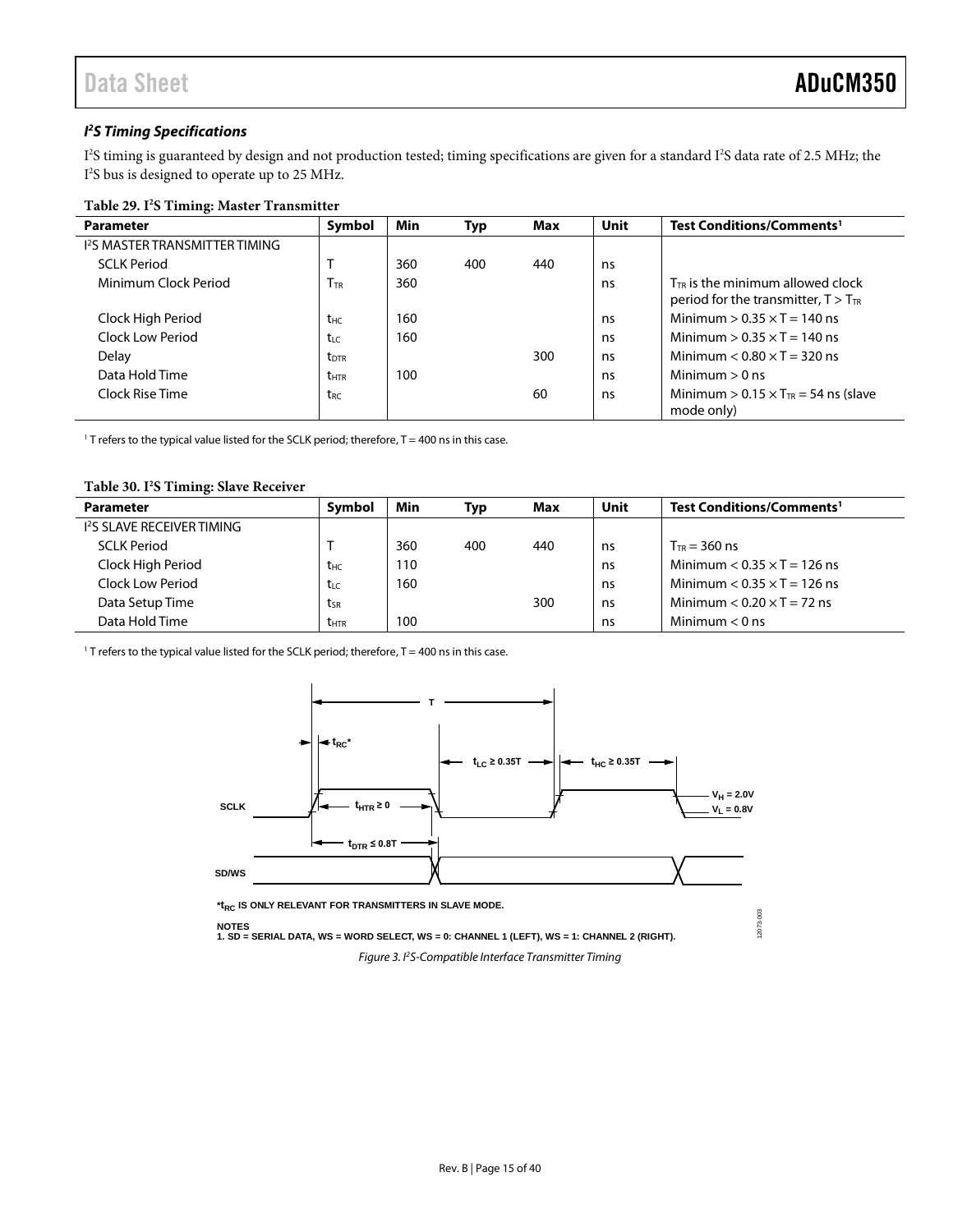#### *I 2 S Timing Specifications*

I'S timing is guaranteed by design and not production tested; timing specifications are given for a standard I'S data rate of 2.5 MHz; the I 2 S bus is designed to operate up to 25 MHz.

#### **Table 29. I2 S Timing: Master Transmitter**

| <b>Parameter</b>                                | Symbol                  | Min | <b>Typ</b> | Max | Unit | Test Conditions/Comments <sup>1</sup>                                             |
|-------------------------------------------------|-------------------------|-----|------------|-----|------|-----------------------------------------------------------------------------------|
| <b>I<sup>2</sup>S MASTER TRANSMITTER TIMING</b> |                         |     |            |     |      |                                                                                   |
| <b>SCI K Period</b>                             |                         | 360 | 400        | 440 | ns   |                                                                                   |
| Minimum Clock Period                            | Ttr                     | 360 |            |     | ns   | $T_{TR}$ is the minimum allowed clock<br>period for the transmitter, $T > T_{TR}$ |
| Clock High Period                               | t <sub>HC</sub>         | 160 |            |     | ns   | Minimum $> 0.35 \times T = 140$ ns                                                |
| Clock Low Period                                | $t_{LC}$                | 160 |            |     | ns   | Minimum $> 0.35 \times T = 140$ ns                                                |
| Delay                                           | <b>t</b> <sub>DTR</sub> |     |            | 300 | ns   | Minimum $< 0.80 \times T = 320$ ns                                                |
| Data Hold Time                                  | <b>t</b> <sub>HTR</sub> | 100 |            |     | ns   | Minimum $> 0$ ns                                                                  |
| Clock Rise Time                                 | t <sub>RC</sub>         |     |            | 60  | ns   | Minimum > $0.15 \times T_{TR} = 54$ ns (slave<br>mode only)                       |

<sup>1</sup> T refers to the typical value listed for the SCLK period; therefore,  $T = 400$  ns in this case.

#### **Table 30. I2 S Timing: Slave Receiver**

| <b>Parameter</b>                       | <b>Symbol</b>   | Min | Typ | Max | Unit | Test Conditions/Comments <sup>1</sup> |
|----------------------------------------|-----------------|-----|-----|-----|------|---------------------------------------|
| 1 <sup>2</sup> S SLAVE RECEIVER TIMING |                 |     |     |     |      |                                       |
| <b>SCLK Period</b>                     |                 | 360 | 400 | 440 | ns   | $T_{TR}$ = 360 ns                     |
| Clock High Period                      | t <sub>HC</sub> | 110 |     |     | ns   | Minimum $< 0.35 \times T = 126$ ns    |
| Clock Low Period                       | tư              | 160 |     |     | ns   | Minimum $< 0.35 \times T = 126$ ns    |
| Data Setup Time                        | tsr             |     |     | 300 | ns   | Minimum $< 0.20 \times T = 72$ ns     |
| Data Hold Time                         | <b>t</b> htr    | 100 |     |     | ns   | Minimum $< 0$ ns                      |

<sup>1</sup> T refers to the typical value listed for the SCLK period; therefore,  $T = 400$  ns in this case.

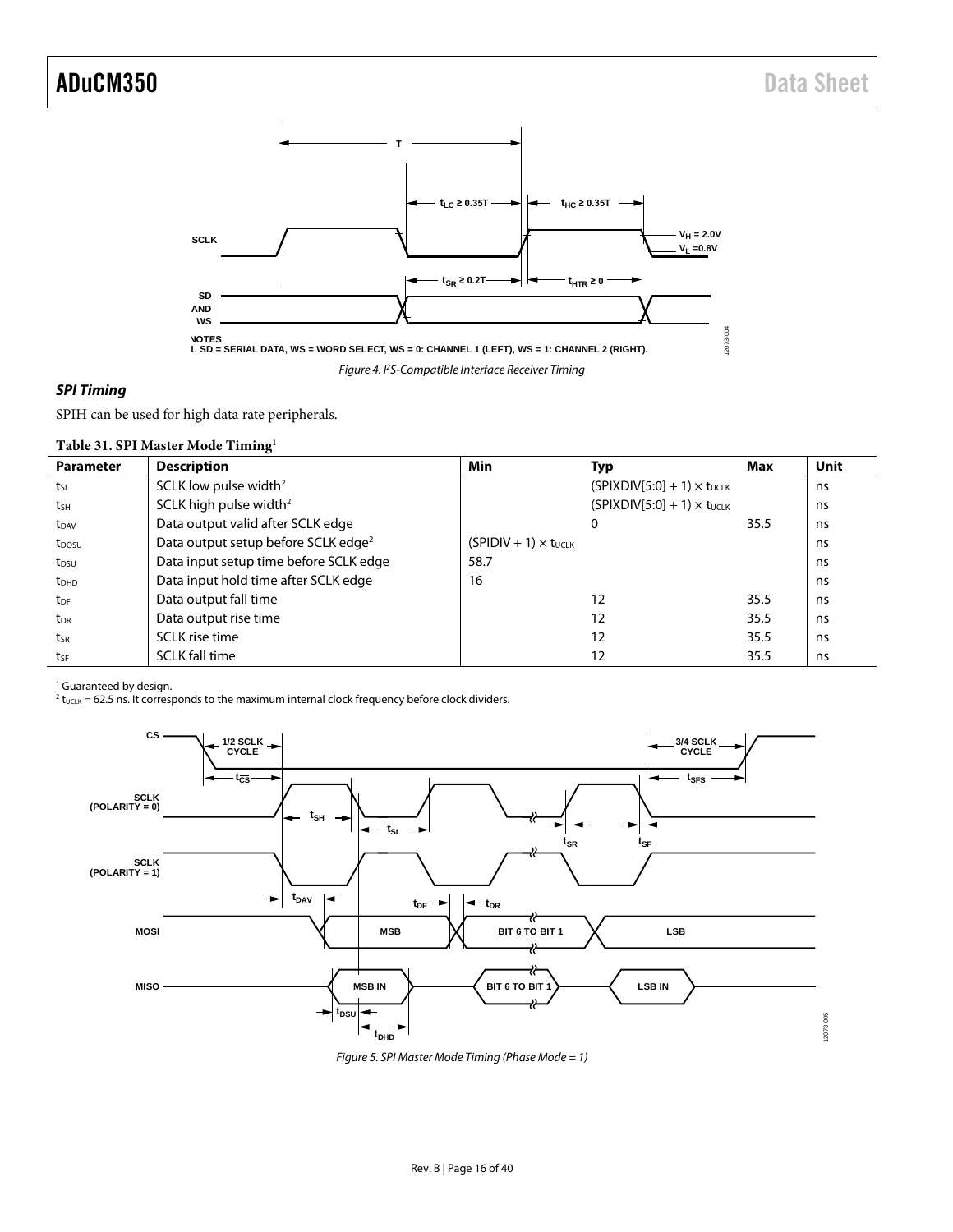

#### *SPI Timing*

SPIH can be used for high data rate peripherals.

| Table 31. SPI Master Mode Timing <sup>1</sup> |  |  |  |  |
|-----------------------------------------------|--|--|--|--|
|-----------------------------------------------|--|--|--|--|

| <b>Parameter</b>        | <b>Description</b>                              | Min                            | Typ                                  | Max  | <b>Unit</b> |
|-------------------------|-------------------------------------------------|--------------------------------|--------------------------------------|------|-------------|
| tsL                     | SCLK low pulse width <sup>2</sup>               |                                | $(SPIXDIV[5:0] + 1) \times t_{UCLK}$ |      | ns          |
| tsH                     | SCLK high pulse width <sup>2</sup>              |                                | $(SPIXDIV[5:0] + 1) \times t_{UCIK}$ |      | ns          |
| t <sub>DAV</sub>        | Data output valid after SCLK edge               |                                | 0                                    | 35.5 | ns          |
| t <sub>DOSU</sub>       | Data output setup before SCLK edge <sup>2</sup> | $(SPIDIV + 1) \times t_{UCLK}$ |                                      |      | ns          |
| t <sub>DSU</sub>        | Data input setup time before SCLK edge          | 58.7                           |                                      |      | ns          |
| <b>t</b> <sub>DHD</sub> | Data input hold time after SCLK edge            | 16                             |                                      |      | ns          |
| t <sub>DF</sub>         | Data output fall time                           |                                | 12                                   | 35.5 | ns          |
| t <sub>DR</sub>         | Data output rise time                           |                                | 12                                   | 35.5 | ns          |
| tsr                     | SCLK rise time                                  |                                | 12                                   | 35.5 | ns          |
| tsF                     | <b>SCLK</b> fall time                           |                                | 12                                   | 35.5 | ns          |

<sup>1</sup> Guaranteed by design.

 $^2$  t<sub>UCLK</sub> = 62.5 ns. It corresponds to the maximum internal clock frequency before clock dividers.



*Figure 5. SPI Master Mode Timing (Phase Mode = 1)*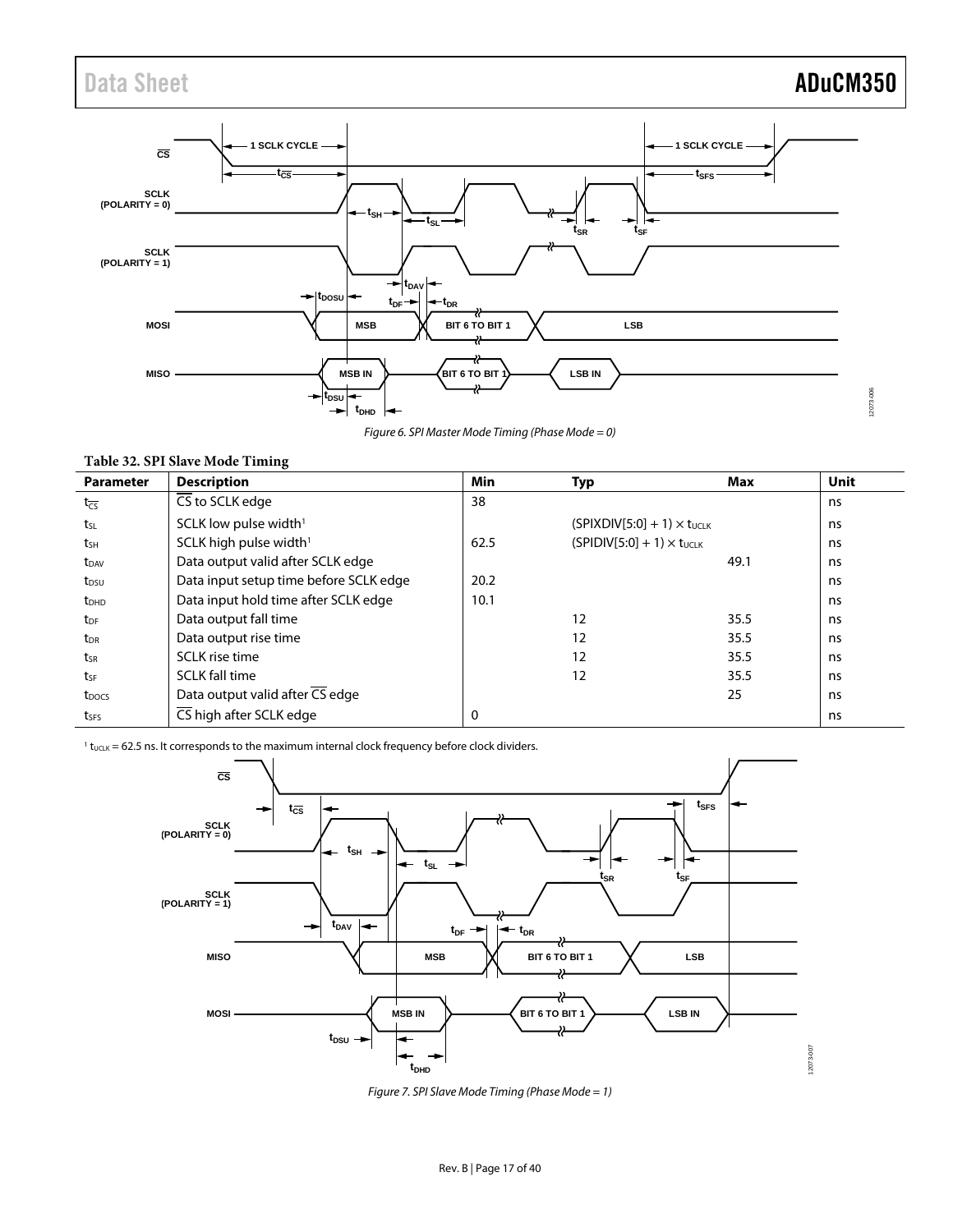### Data Sheet **ADuCM350**

12073-006



*Figure 6. SPI Master Mode Timing (Phase Mode = 0)*

| <b>Parameter</b>    | <b>Description</b>                     | Min      | Typ                                  | Max  | <b>Unit</b> |
|---------------------|----------------------------------------|----------|--------------------------------------|------|-------------|
| $t_{\overline{CS}}$ | CS to SCLK edge                        | 38       |                                      |      | ns          |
| tsL                 | SCLK low pulse width <sup>1</sup>      |          | $(SPIXDIV[5:0] + 1) \times t_{UCLK}$ |      | ns          |
| tsh                 | SCLK high pulse width $1$              | 62.5     | $(SPIDIV[5:0] + 1) \times t_{UCLK}$  |      | ns          |
| t <sub>DAV</sub>    | Data output valid after SCLK edge      |          |                                      | 49.1 | ns          |
| t <sub>DSU</sub>    | Data input setup time before SCLK edge | 20.2     |                                      |      | ns          |
| $t_{DHD}$           | Data input hold time after SCLK edge   | 10.1     |                                      |      | ns          |
| t <sub>DF</sub>     | Data output fall time                  |          | 12                                   | 35.5 | ns          |
| t <sub>DR</sub>     | Data output rise time                  |          | 12                                   | 35.5 | ns          |
| tsr                 | SCLK rise time                         |          | 12                                   | 35.5 | ns          |
| tsF                 | <b>SCLK fall time</b>                  |          | 12                                   | 35.5 | ns          |
| t <sub>pocs</sub>   | Data output valid after CS edge        |          |                                      | 25   | ns          |
| tses                | CS high after SCLK edge                | $\Omega$ |                                      |      | ns          |

 $1$  t<sub>UCLK</sub> = 62.5 ns. It corresponds to the maximum internal clock frequency before clock dividers.



*Figure 7. SPI Slave Mode Timing (Phase Mode = 1)*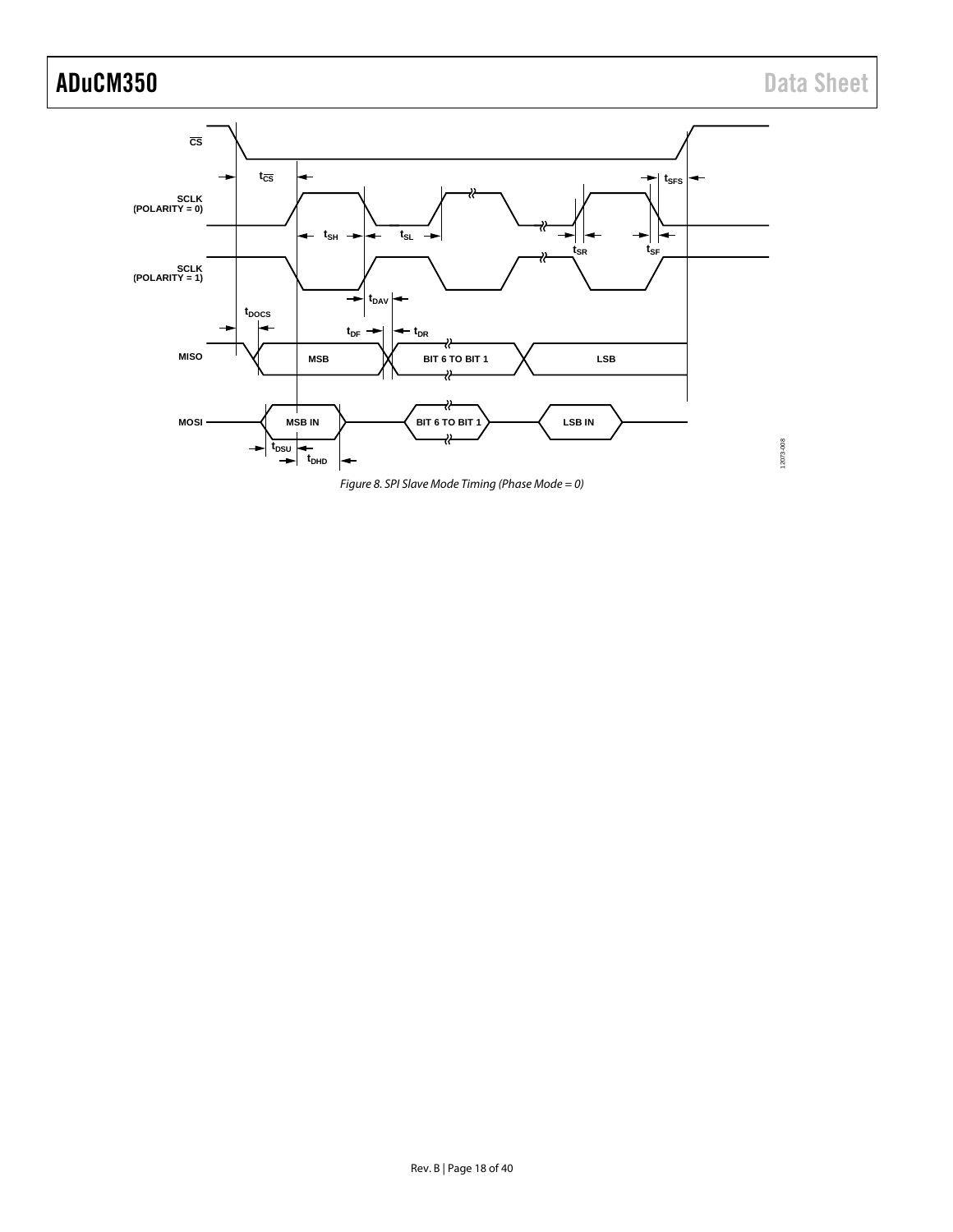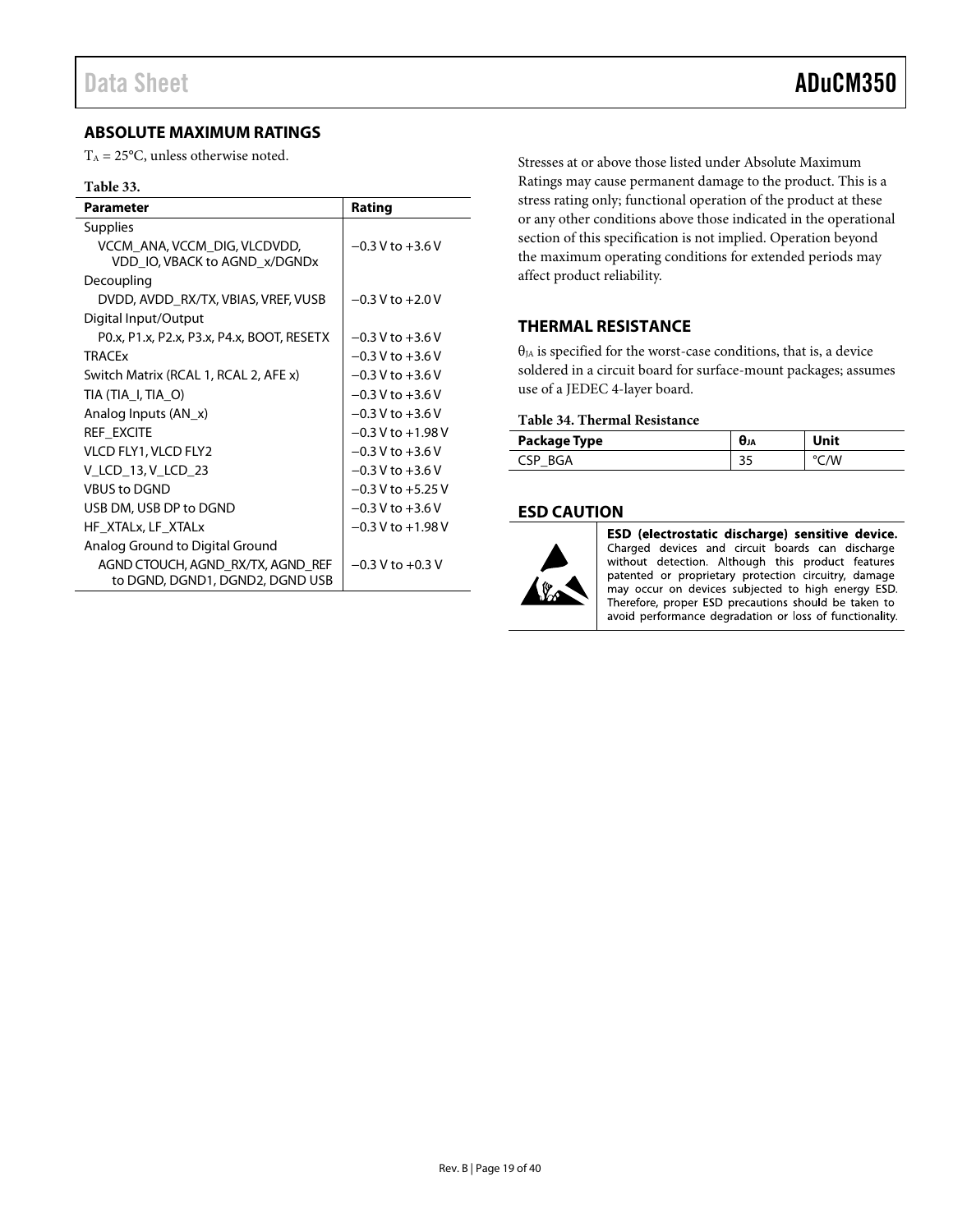#### <span id="page-18-0"></span>**ABSOLUTE MAXIMUM RATINGS**

 $T_A = 25^{\circ}$ C, unless otherwise noted.

#### **Table 33.**

| <b>Parameter</b>                                                     | Rating                |
|----------------------------------------------------------------------|-----------------------|
| <b>Supplies</b>                                                      |                       |
| VCCM ANA, VCCM DIG, VLCDVDD,<br>VDD IO, VBACK to AGND x/DGNDx        | $-0.3$ V to $+3.6$ V  |
| Decoupling                                                           |                       |
| DVDD, AVDD_RX/TX, VBIAS, VREF, VUSB                                  | $-0.3$ V to $+2.0$ V  |
| Digital Input/Output                                                 |                       |
| PO.x, P1.x, P2.x, P3.x, P4.x, BOOT, RESETX                           | $-0.3$ V to $+3.6$ V  |
| <b>TRACF<sub>x</sub></b>                                             | $-0.3 V$ to $+3.6 V$  |
| Switch Matrix (RCAL 1, RCAL 2, AFE x)                                | $-0.3$ V to $+3.6$ V  |
| TIA (TIA_I, TIA_O)                                                   | $-0.3 V$ to $+3.6 V$  |
| Analog Inputs $(AN_x)$                                               | $-0.3$ V to $+3.6$ V  |
| REF EXCITE                                                           | $-0.3$ V to $+1.98$ V |
| VLCD FLY1, VLCD FLY2                                                 | $-0.3$ V to $+3.6$ V  |
| V LCD 13, V LCD 23                                                   | $-0.3 V$ to $+3.6 V$  |
| <b>VBUS to DGND</b>                                                  | $-0.3$ V to $+5.25$ V |
| USB DM, USB DP to DGND                                               | $-0.3$ V to $+3.6$ V  |
| HF XTALx, LF XTALx                                                   | $-0.3$ V to $+1.98$ V |
| Analog Ground to Digital Ground                                      |                       |
| AGND CTOUCH, AGND_RX/TX, AGND_REF<br>to DGND, DGND1, DGND2, DGND USB | $-0.3$ V to $+0.3$ V  |

Stresses at or above those listed under Absolute Maximum Ratings may cause permanent damage to the product. This is a stress rating only; functional operation of the product at these or any other conditions above those indicated in the operational section of this specification is not implied. Operation beyond the maximum operating conditions for extended periods may affect product reliability.

#### <span id="page-18-1"></span>**THERMAL RESISTANCE**

 $\theta_{JA}$  is specified for the worst-case conditions, that is, a device soldered in a circuit board for surface-mount packages; assumes use of a JEDEC 4-layer board.

#### **Table 34. Thermal Resistance**

| Package Type        | <b>UJA</b> | Unit |
|---------------------|------------|------|
| <sup>~</sup> SP RGA | ر ر        |      |

#### <span id="page-18-2"></span>**ESD CAUTION**



ESD (electrostatic discharge) sensitive device. Charged devices and circuit boards can discharge without detection. Although this product features patented or proprietary protection circuitry, damage may occur on devices subjected to high energy ESD. Therefore, proper ESD precautions should be taken to avoid performance degradation or loss of functionality.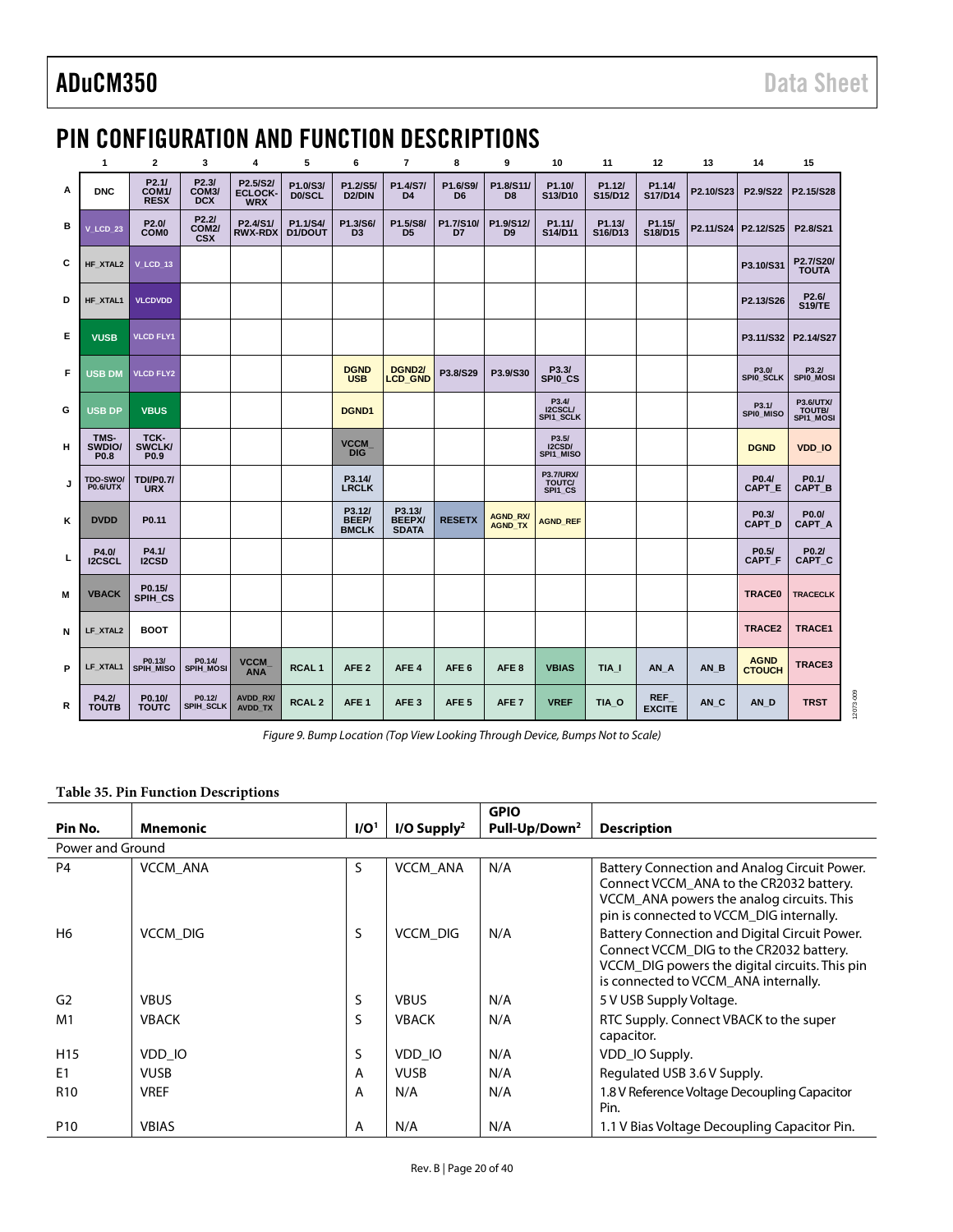12073-009 12073-009

### <span id="page-19-0"></span>PIN CONFIGURATION AND FUNCTION DESCRIPTIONS

|   | 1                           | $\overline{2}$                             | 3                                         | 4                                        | 5                   | 6                                      | 7                                       | 8                          | 9                                 | 10                                    | 11                | 12                          | 13                  | 14                           | 15                               |
|---|-----------------------------|--------------------------------------------|-------------------------------------------|------------------------------------------|---------------------|----------------------------------------|-----------------------------------------|----------------------------|-----------------------------------|---------------------------------------|-------------------|-----------------------------|---------------------|------------------------------|----------------------------------|
| Α | <b>DNC</b>                  | P2.1/<br>COM <sub>1</sub> /<br><b>RESX</b> | P2.3/<br>COM <sub>3</sub> /<br><b>DCX</b> | P2.5/S2/<br><b>ECLOCK-</b><br><b>WRX</b> | P1.0/S3/<br>D0/SCL  | P1.2/S5/<br>D <sub>2</sub> /DIN        | P1.4/S7/<br>D <sub>4</sub>              | P1.6/S9/<br>D <sub>6</sub> | P1.8/S11/<br>D <sub>8</sub>       | P1.10/<br>S13/D10                     | P1.12/<br>S15/D12 | P1.14/<br>S17/D14           | P2.10/S23           | P2.9/S22                     | P2.15/S28                        |
| в | V LCD 23                    | P <sub>2.0</sub> /<br><b>COMO</b>          | P2.2I<br><b>COM2/</b><br><b>CSX</b>       | P2.4/S1/<br><b>RWX-RDX</b>               | P1.1/S4/<br>D1/DOUT | P1.3/S6/<br>D <sub>3</sub>             | P1.5/S8/<br>D <sub>5</sub>              | P1.7/S10/<br>D7            | P1.9/S12/<br>D <sub>9</sub>       | P1.11/<br>S14/D11                     | P1.13/<br>S16/D13 | P1.15/<br>S18/D15           | P2.11/S24 P2.12/S25 |                              | P2.8/S21                         |
| С | HF XTAL2                    | V LCD 13                                   |                                           |                                          |                     |                                        |                                         |                            |                                   |                                       |                   |                             |                     | P3.10/S31                    | P2.7/S20/<br><b>TOUTA</b>        |
| D | HF XTAL1                    | <b>VLCDVDD</b>                             |                                           |                                          |                     |                                        |                                         |                            |                                   |                                       |                   |                             |                     | P2.13/S26                    | P2.6/<br><b>S19/TE</b>           |
| Е | <b>VUSB</b>                 | <b>VLCD FLY1</b>                           |                                           |                                          |                     |                                        |                                         |                            |                                   |                                       |                   |                             |                     | P3.11/S32                    | P2.14/S27                        |
| F | USB DM                      | <b>VLCD FLY2</b>                           |                                           |                                          |                     | <b>DGND</b><br><b>USB</b>              | DGND2/<br><b>LCD GND</b>                | P3.8/S29                   | P3.9/S30                          | P3.3/<br>SPIO CS                      |                   |                             |                     | P3.0/<br>SPI0_SCLK           | P3.2/<br>SPI0_MOSI               |
| G | USB DP                      | <b>VBUS</b>                                |                                           |                                          |                     | <b>DGND1</b>                           |                                         |                            |                                   | P3.4/<br>I2CSCL/<br>SPI1 SCLK         |                   |                             |                     | P3.1/<br>SPIO MISO           | P3.6/UTX/<br>TOUTB/<br>SPI1 MOSI |
| н | TMS-<br>SWDIO/<br>P0.8      | TCK-<br><b>SWCLK/</b><br>P <sub>0.9</sub>  |                                           |                                          |                     | <b>VCCM</b><br><b>DIG</b>              |                                         |                            |                                   | P3.5/<br>I2CSD/<br>SPI1 MISO          |                   |                             |                     | <b>DGND</b>                  | <b>VDD IO</b>                    |
| J | TDO-SWO/<br><b>P0.6/UTX</b> | <b>TDI/P0.7/</b><br><b>URX</b>             |                                           |                                          |                     | P3.14/<br><b>LRCLK</b>                 |                                         |                            |                                   | <b>P3.7/URX/</b><br>TOUTC/<br>SPI1 CS |                   |                             |                     | P0.4/<br>CAPT_E              | P0.1/<br><b>CAPT B</b>           |
| Κ | <b>DVDD</b>                 | P0.11                                      |                                           |                                          |                     | P3.12/<br><b>BEEP/</b><br><b>BMCLK</b> | P3.13/<br><b>BEEPX/</b><br><b>SDATA</b> | <b>RESETX</b>              | <b>AGND RX/</b><br><b>AGND TX</b> | <b>AGND REF</b>                       |                   |                             |                     | P0.3/<br><b>CAPT D</b>       | P0.0/<br>CAPT A                  |
| L | P4.0/<br><b>I2CSCL</b>      | P4.1/<br><b>I2CSD</b>                      |                                           |                                          |                     |                                        |                                         |                            |                                   |                                       |                   |                             |                     | P0.5/<br><b>CAPT F</b>       | P0.2/<br>CAPT <sub>C</sub>       |
| M | <b>VBACK</b>                | P0.15/<br>SPIH CS                          |                                           |                                          |                     |                                        |                                         |                            |                                   |                                       |                   |                             |                     | <b>TRACE0</b>                | <b>TRACECLK</b>                  |
| N | LF XTAL2                    | <b>BOOT</b>                                |                                           |                                          |                     |                                        |                                         |                            |                                   |                                       |                   |                             |                     | <b>TRACE2</b>                | <b>TRACE1</b>                    |
| P | LF XTAL1                    | P0.13/<br>SPIH MISO                        | P0.14/<br>SPIH MOSI                       | <b>VCCM</b><br><b>ANA</b>                | RCAL <sub>1</sub>   | AFE <sub>2</sub>                       | AFE <sub>4</sub>                        | AFE <sub>6</sub>           | AFE <sub>8</sub>                  | <b>VBIAS</b>                          | TIA I             | AN A                        | AN B                | <b>AGND</b><br><b>CTOUCH</b> | <b>TRACE3</b>                    |
| R | P4.2I<br><b>TOUTB</b>       | P0.10/<br><b>TOUTC</b>                     | P0.12/<br>SPIH_SCLK                       | <b>AVDD RX/</b><br><b>AVDD TX</b>        | <b>RCAL2</b>        | AFE <sub>1</sub>                       | AFE <sub>3</sub>                        | AFE <sub>5</sub>           | AFE <sub>7</sub>                  | <b>VREF</b>                           | TIA O             | <b>REF</b><br><b>EXCITE</b> | AN C                | AN D                         | <b>TRST</b>                      |

*Figure 9. Bump Location (Top View Looking Through Device, Bumps Not to Scale)*

#### <span id="page-19-1"></span>**Table 35. Pin Function Descriptions**

|                  |                 |                  |                           | <b>GPIO</b>               |                                                                                                                                                                                    |  |  |  |  |
|------------------|-----------------|------------------|---------------------------|---------------------------|------------------------------------------------------------------------------------------------------------------------------------------------------------------------------------|--|--|--|--|
| Pin No.          | <b>Mnemonic</b> | I/O <sup>1</sup> | $I/O$ Supply <sup>2</sup> | Pull-Up/Down <sup>2</sup> | <b>Description</b>                                                                                                                                                                 |  |  |  |  |
| Power and Ground |                 |                  |                           |                           |                                                                                                                                                                                    |  |  |  |  |
| <b>P4</b>        | <b>VCCM ANA</b> | S                | VCCM_ANA                  | N/A                       | Battery Connection and Analog Circuit Power.<br>Connect VCCM_ANA to the CR2032 battery.<br>VCCM_ANA powers the analog circuits. This<br>pin is connected to VCCM_DIG internally.   |  |  |  |  |
| H6               | <b>VCCM DIG</b> | S                | <b>VCCM DIG</b>           | N/A                       | Battery Connection and Digital Circuit Power.<br>Connect VCCM_DIG to the CR2032 battery.<br>VCCM_DIG powers the digital circuits. This pin<br>is connected to VCCM_ANA internally. |  |  |  |  |
| G <sub>2</sub>   | <b>VBUS</b>     | S                | <b>VBUS</b>               | N/A                       | 5 V USB Supply Voltage.                                                                                                                                                            |  |  |  |  |
| M <sub>1</sub>   | <b>VBACK</b>    | S                | <b>VBACK</b>              | N/A                       | RTC Supply. Connect VBACK to the super<br>capacitor.                                                                                                                               |  |  |  |  |
| H <sub>15</sub>  | VDD IO          | S                | VDD IO                    | N/A                       | VDD_IO Supply.                                                                                                                                                                     |  |  |  |  |
| E <sub>1</sub>   | <b>VUSB</b>     | A                | <b>VUSB</b>               | N/A                       | Regulated USB 3.6 V Supply.                                                                                                                                                        |  |  |  |  |
| R <sub>10</sub>  | <b>VREF</b>     | A                | N/A                       | N/A                       | 1.8 V Reference Voltage Decoupling Capacitor<br>Pin.                                                                                                                               |  |  |  |  |
| P <sub>10</sub>  | <b>VBIAS</b>    | A                | N/A                       | N/A                       | 1.1 V Bias Voltage Decoupling Capacitor Pin.                                                                                                                                       |  |  |  |  |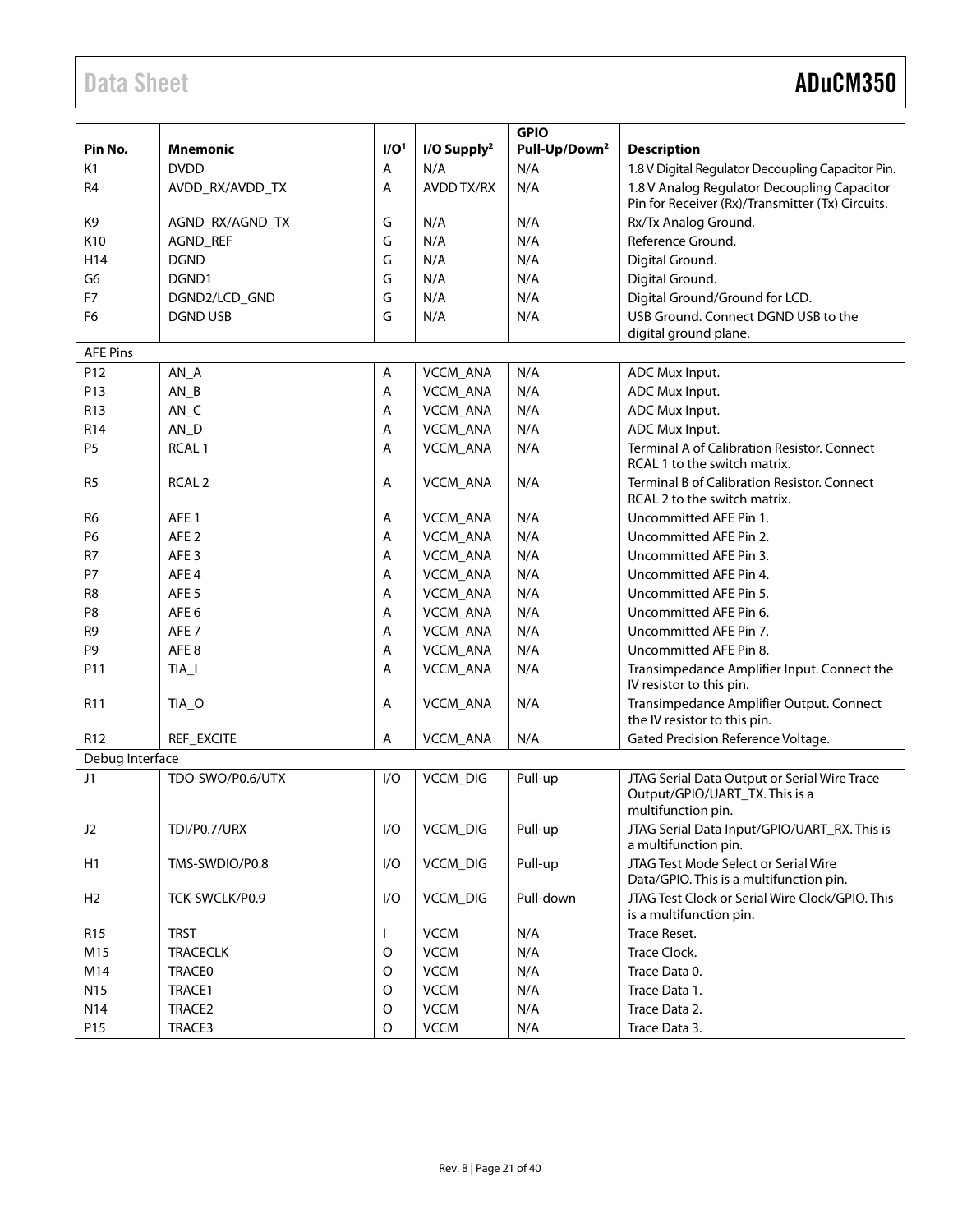## Data Sheet **ADuCM350**

|                 |                   |                  |                           | <b>GPIO</b>               |                                                                                                      |
|-----------------|-------------------|------------------|---------------------------|---------------------------|------------------------------------------------------------------------------------------------------|
| Pin No.         | <b>Mnemonic</b>   | I/O <sup>1</sup> | $I/O$ Supply <sup>2</sup> | Pull-Up/Down <sup>2</sup> | <b>Description</b>                                                                                   |
| K <sub>1</sub>  | <b>DVDD</b>       | Α                | N/A                       | N/A                       | 1.8 V Digital Regulator Decoupling Capacitor Pin.                                                    |
| R <sub>4</sub>  | AVDD_RX/AVDD_TX   | A                | AVDD TX/RX                | N/A                       | 1.8 V Analog Regulator Decoupling Capacitor<br>Pin for Receiver (Rx)/Transmitter (Tx) Circuits.      |
| K <sub>9</sub>  | AGND_RX/AGND_TX   | G                | N/A                       | N/A                       | Rx/Tx Analog Ground.                                                                                 |
| K10             | AGND_REF          | G                | N/A                       | N/A                       | Reference Ground.                                                                                    |
| H14             | <b>DGND</b>       | G                | N/A                       | N/A                       | Digital Ground.                                                                                      |
| G <sub>6</sub>  | DGND1             | G                | N/A                       | N/A                       | Digital Ground.                                                                                      |
| F7              | DGND2/LCD_GND     | G                | N/A                       | N/A                       | Digital Ground/Ground for LCD.                                                                       |
| F <sub>6</sub>  | <b>DGND USB</b>   | G                | N/A                       | N/A                       | USB Ground. Connect DGND USB to the<br>digital ground plane.                                         |
| <b>AFE Pins</b> |                   |                  |                           |                           |                                                                                                      |
| P12             | $AN_A$            | Α                | VCCM_ANA                  | N/A                       | ADC Mux Input.                                                                                       |
| P13             | $AN_B$            | Α                | VCCM_ANA                  | N/A                       | ADC Mux Input.                                                                                       |
| R <sub>13</sub> | $AN_C$            | Α                | VCCM_ANA                  | N/A                       | ADC Mux Input.                                                                                       |
| R <sub>14</sub> | $AN_D$            | Α                | VCCM_ANA                  | N/A                       | ADC Mux Input.                                                                                       |
| <b>P5</b>       | RCAL <sub>1</sub> | A                | VCCM_ANA                  | N/A                       | Terminal A of Calibration Resistor. Connect<br>RCAL 1 to the switch matrix.                          |
| R <sub>5</sub>  | RCAL <sub>2</sub> | Α                | VCCM_ANA                  | N/A                       | <b>Terminal B of Calibration Resistor, Connect</b><br>RCAL 2 to the switch matrix.                   |
| R <sub>6</sub>  | AFE <sub>1</sub>  | Α                | VCCM_ANA                  | N/A                       | Uncommitted AFE Pin 1.                                                                               |
| P <sub>6</sub>  | AFE <sub>2</sub>  | Α                | VCCM_ANA                  | N/A                       | Uncommitted AFE Pin 2.                                                                               |
| R7              | AFE <sub>3</sub>  | Α                | VCCM_ANA                  | N/A                       | Uncommitted AFE Pin 3.                                                                               |
| <b>P7</b>       | AFE <sub>4</sub>  | Α                | VCCM_ANA                  | N/A                       | Uncommitted AFE Pin 4.                                                                               |
| R <sub>8</sub>  | AFE <sub>5</sub>  | Α                | VCCM_ANA                  | N/A                       | Uncommitted AFE Pin 5.                                                                               |
| P <sub>8</sub>  | AFE <sub>6</sub>  | Α                | VCCM_ANA                  | N/A                       | Uncommitted AFE Pin 6.                                                                               |
| R <sub>9</sub>  | AFE <sub>7</sub>  | A                | VCCM_ANA                  | N/A                       | Uncommitted AFE Pin 7.                                                                               |
| P <sub>9</sub>  | AFE8              | A                | VCCM_ANA                  | N/A                       | Uncommitted AFE Pin 8.                                                                               |
| P11             | TIA_I             | Α                | VCCM_ANA                  | N/A                       | Transimpedance Amplifier Input. Connect the<br>IV resistor to this pin.                              |
| R11             | TIA_O             | Α                | VCCM_ANA                  | N/A                       | Transimpedance Amplifier Output. Connect<br>the IV resistor to this pin.                             |
| R <sub>12</sub> | REF_EXCITE        | Α                | VCCM_ANA                  | N/A                       | Gated Precision Reference Voltage.                                                                   |
| Debug Interface |                   |                  |                           |                           |                                                                                                      |
| J1              | TDO-SWO/P0.6/UTX  | I/O              | VCCM_DIG                  | Pull-up                   | JTAG Serial Data Output or Serial Wire Trace<br>Output/GPIO/UART_TX. This is a<br>multifunction pin. |
| J <sub>2</sub>  | TDI/P0.7/URX      | I/O              | VCCM_DIG                  | Pull-up                   | JTAG Serial Data Input/GPIO/UART_RX. This is<br>a multifunction pin.                                 |
| H1              | TMS-SWDIO/P0.8    | I/O              | <b>VCCM_DIG</b>           | Pull-up                   | JTAG Test Mode Select or Serial Wire<br>Data/GPIO. This is a multifunction pin.                      |
| H <sub>2</sub>  | TCK-SWCLK/P0.9    | I/O              | VCCM_DIG                  | Pull-down                 | JTAG Test Clock or Serial Wire Clock/GPIO. This<br>is a multifunction pin.                           |
| R <sub>15</sub> | <b>TRST</b>       |                  | <b>VCCM</b>               | N/A                       | Trace Reset.                                                                                         |
| M15             | <b>TRACECLK</b>   | O                | <b>VCCM</b>               | N/A                       | Trace Clock.                                                                                         |
| M14             | <b>TRACE0</b>     | $\mathsf O$      | <b>VCCM</b>               | N/A                       | Trace Data 0.                                                                                        |
| N <sub>15</sub> | TRACE1            | $\mathsf O$      | <b>VCCM</b>               | N/A                       | Trace Data 1.                                                                                        |
| N14             | TRACE2            | $\mathsf O$      | <b>VCCM</b>               | N/A                       | Trace Data 2.                                                                                        |
| P15             | TRACE3            | $\mathsf O$      | <b>VCCM</b>               | N/A                       | Trace Data 3.                                                                                        |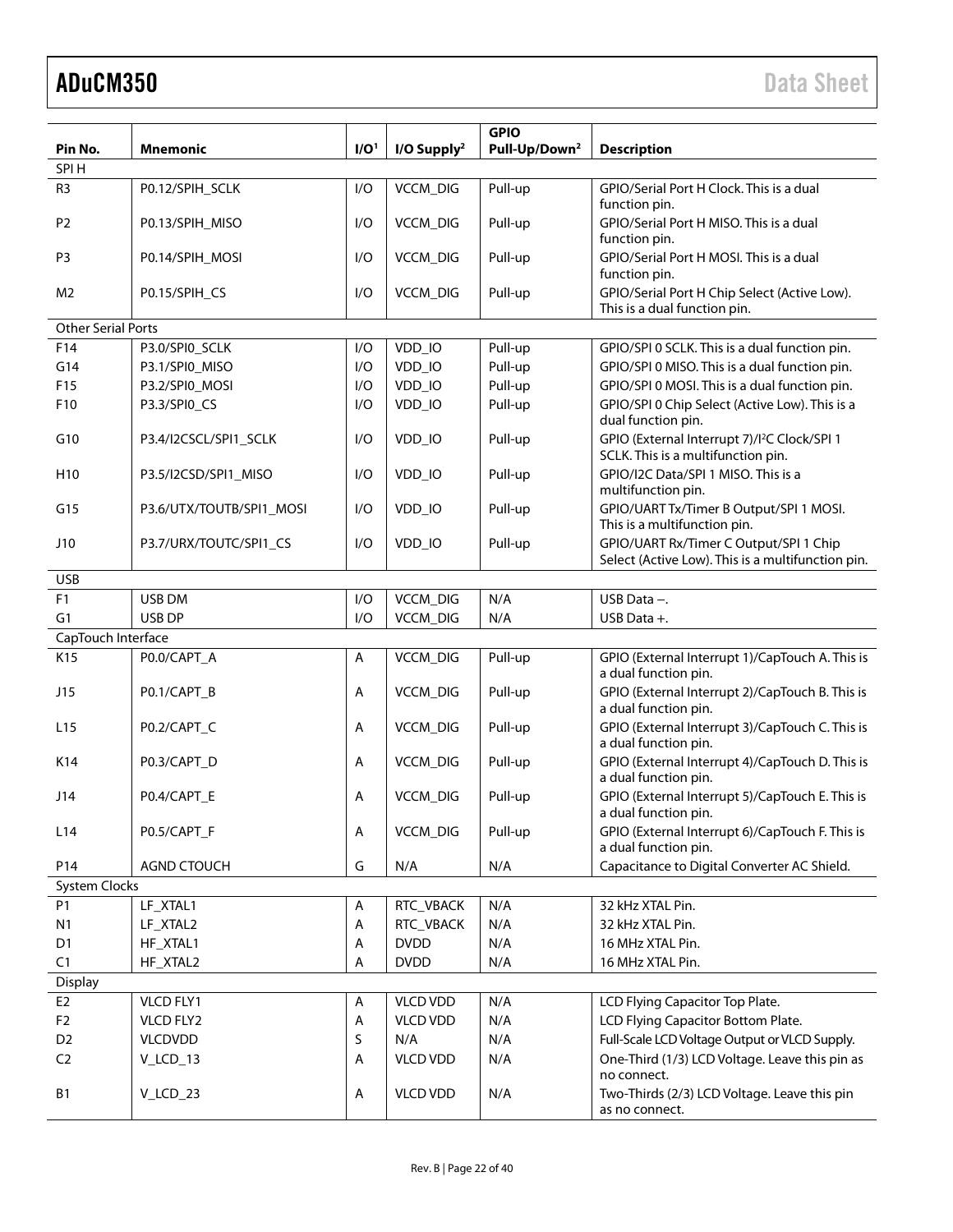|                           |                          |                  |                         | <b>GPIO</b>               |                                                                                                |
|---------------------------|--------------------------|------------------|-------------------------|---------------------------|------------------------------------------------------------------------------------------------|
| Pin No.                   | Mnemonic                 | I/O <sup>1</sup> | I/O Supply <sup>2</sup> | Pull-Up/Down <sup>2</sup> | <b>Description</b>                                                                             |
| SPI H                     |                          |                  |                         |                           |                                                                                                |
| R <sub>3</sub>            | P0.12/SPIH_SCLK          | I/O              | VCCM_DIG                | Pull-up                   | GPIO/Serial Port H Clock. This is a dual<br>function pin.                                      |
| P <sub>2</sub>            | P0.13/SPIH_MISO          | I/O              | VCCM_DIG                | Pull-up                   | GPIO/Serial Port H MISO. This is a dual<br>function pin.                                       |
| P <sub>3</sub>            | P0.14/SPIH_MOSI          | I/O              | VCCM_DIG                | Pull-up                   | GPIO/Serial Port H MOSI. This is a dual<br>function pin.                                       |
| M <sub>2</sub>            | P0.15/SPIH_CS            | I/O              | <b>VCCM_DIG</b>         | Pull-up                   | GPIO/Serial Port H Chip Select (Active Low).<br>This is a dual function pin.                   |
| <b>Other Serial Ports</b> |                          |                  |                         |                           |                                                                                                |
| F14                       | P3.0/SPI0_SCLK           | I/O              | VDD_IO                  | Pull-up                   | GPIO/SPI 0 SCLK. This is a dual function pin.                                                  |
| G14                       | P3.1/SPI0_MISO           | I/O              | VDD_IO                  | Pull-up                   | GPIO/SPI 0 MISO. This is a dual function pin.                                                  |
| F15                       | P3.2/SPI0_MOSI           | I/O              | VDD_IO                  | Pull-up                   | GPIO/SPI 0 MOSI. This is a dual function pin.                                                  |
| F10                       | P3.3/SPIO_CS             | I/O              | VDD_IO                  | Pull-up                   | GPIO/SPI 0 Chip Select (Active Low). This is a<br>dual function pin.                           |
| G10                       | P3.4/I2CSCL/SPI1_SCLK    | I/O              | VDD_IO                  | Pull-up                   | GPIO (External Interrupt 7)/l <sup>2</sup> C Clock/SPI 1<br>SCLK. This is a multifunction pin. |
| H <sub>10</sub>           | P3.5/I2CSD/SPI1_MISO     | I/O              | VDD_IO                  | Pull-up                   | GPIO/I2C Data/SPI 1 MISO. This is a<br>multifunction pin.                                      |
| G15                       | P3.6/UTX/TOUTB/SPI1_MOSI | I/O              | VDD_IO                  | Pull-up                   | GPIO/UART Tx/Timer B Output/SPI 1 MOSI.<br>This is a multifunction pin.                        |
| J10                       | P3.7/URX/TOUTC/SPI1_CS   | I/O              | VDD_IO                  | Pull-up                   | GPIO/UART Rx/Timer C Output/SPI 1 Chip<br>Select (Active Low). This is a multifunction pin.    |
| <b>USB</b>                |                          |                  |                         |                           |                                                                                                |
| F <sub>1</sub>            | USB DM                   | I/O              | VCCM_DIG                | N/A                       | USB Data $-$ .                                                                                 |
| G1                        | USB DP                   | I/O              | VCCM_DIG                | N/A                       | USB Data +.                                                                                    |
| CapTouch Interface        |                          |                  |                         |                           |                                                                                                |
| K15                       | P0.0/CAPT_A              | A                | VCCM_DIG                | Pull-up                   | GPIO (External Interrupt 1)/CapTouch A. This is<br>a dual function pin.                        |
| J15                       | P0.1/CAPT_B              | Α                | VCCM_DIG                | Pull-up                   | GPIO (External Interrupt 2)/CapTouch B. This is<br>a dual function pin.                        |
| L <sub>15</sub>           | P0.2/CAPT_C              | Α                | VCCM_DIG                | Pull-up                   | GPIO (External Interrupt 3)/CapTouch C. This is<br>a dual function pin.                        |
| K14                       | P0.3/CAPT_D              | Α                | VCCM_DIG                | Pull-up                   | GPIO (External Interrupt 4)/CapTouch D. This is<br>a dual function pin.                        |
| J14                       | P0.4/CAPT_E              | Α                | VCCM_DIG                | Pull-up                   | GPIO (External Interrupt 5)/CapTouch E. This is<br>a dual function pin.                        |
| L14                       | P0.5/CAPT_F              | Α                | VCCM_DIG                | Pull-up                   | GPIO (External Interrupt 6)/CapTouch F. This is<br>a dual function pin.                        |
| P14                       | <b>AGND CTOUCH</b>       | G                | N/A                     | N/A                       | Capacitance to Digital Converter AC Shield.                                                    |
| <b>System Clocks</b>      |                          |                  |                         |                           |                                                                                                |
| <b>P1</b>                 | LF_XTAL1                 | Α                | RTC_VBACK               | N/A                       | 32 kHz XTAL Pin.                                                                               |
| N1                        | LF_XTAL2                 | A                | RTC_VBACK               | N/A                       | 32 kHz XTAL Pin.                                                                               |
| D <sub>1</sub>            | HF_XTAL1                 | А                | <b>DVDD</b>             | N/A                       | 16 MHz XTAL Pin.                                                                               |
| C1                        | HF_XTAL2                 | А                | <b>DVDD</b>             | N/A                       | 16 MHz XTAL Pin.                                                                               |
| Display                   |                          |                  |                         |                           |                                                                                                |
| E <sub>2</sub>            | VLCD FLY1                | Α                | <b>VLCD VDD</b>         | N/A                       | LCD Flying Capacitor Top Plate.                                                                |
| F <sub>2</sub>            | VLCD FLY2                | Α                | <b>VLCD VDD</b>         | N/A                       | LCD Flying Capacitor Bottom Plate.                                                             |
| D <sub>2</sub>            | <b>VLCDVDD</b>           | S                | N/A                     | N/A                       | Full-Scale LCD Voltage Output or VLCD Supply.                                                  |
| C <sub>2</sub>            | V_LCD_13                 | Α                | <b>VLCD VDD</b>         | N/A                       | One-Third (1/3) LCD Voltage. Leave this pin as<br>no connect.                                  |
| <b>B1</b>                 | $V_LCD_23$               | Α                | <b>VLCD VDD</b>         | N/A                       | Two-Thirds (2/3) LCD Voltage. Leave this pin<br>as no connect.                                 |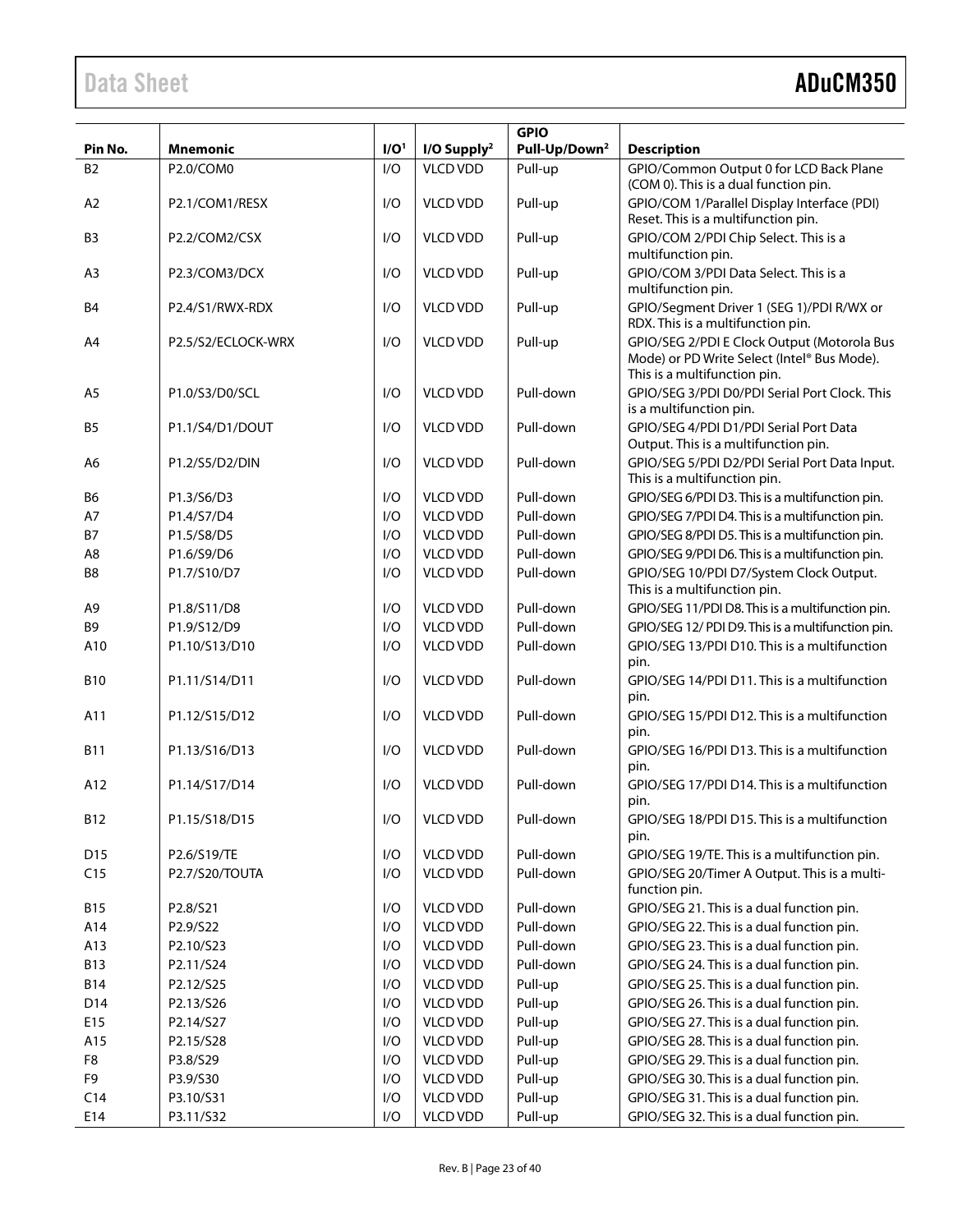## Data Sheet **ADuCM350**

|                |                    |                  |                           | <b>GPIO</b>               |                                                                                                                            |
|----------------|--------------------|------------------|---------------------------|---------------------------|----------------------------------------------------------------------------------------------------------------------------|
| Pin No.        | <b>Mnemonic</b>    | I/O <sup>1</sup> | $I/O$ Supply <sup>2</sup> | Pull-Up/Down <sup>2</sup> | <b>Description</b>                                                                                                         |
| <b>B2</b>      | P2.0/COM0          | I/O              | <b>VLCD VDD</b>           | Pull-up                   | GPIO/Common Output 0 for LCD Back Plane                                                                                    |
|                |                    |                  |                           |                           | (COM 0). This is a dual function pin.                                                                                      |
| A2             | P2.1/COM1/RESX     | I/O              | <b>VLCD VDD</b>           | Pull-up                   | GPIO/COM 1/Parallel Display Interface (PDI)<br>Reset. This is a multifunction pin.                                         |
| B <sub>3</sub> | P2.2/COM2/CSX      | I/O              | <b>VLCD VDD</b>           | Pull-up                   | GPIO/COM 2/PDI Chip Select. This is a<br>multifunction pin.                                                                |
| A <sub>3</sub> | P2.3/COM3/DCX      | I/O              | <b>VLCD VDD</b>           | Pull-up                   | GPIO/COM 3/PDI Data Select. This is a<br>multifunction pin.                                                                |
| B <sub>4</sub> | P2.4/S1/RWX-RDX    | I/O              | <b>VLCD VDD</b>           | Pull-up                   | GPIO/Segment Driver 1 (SEG 1)/PDI R/WX or<br>RDX. This is a multifunction pin.                                             |
| A4             | P2.5/S2/ECLOCK-WRX | I/O              | <b>VLCD VDD</b>           | Pull-up                   | GPIO/SEG 2/PDI E Clock Output (Motorola Bus<br>Mode) or PD Write Select (Intel® Bus Mode).<br>This is a multifunction pin. |
| A <sub>5</sub> | P1.0/S3/D0/SCL     | I/O              | <b>VLCD VDD</b>           | Pull-down                 | GPIO/SEG 3/PDI D0/PDI Serial Port Clock. This<br>is a multifunction pin.                                                   |
| B <sub>5</sub> | P1.1/S4/D1/DOUT    | I/O              | <b>VLCD VDD</b>           | Pull-down                 | GPIO/SEG 4/PDI D1/PDI Serial Port Data<br>Output. This is a multifunction pin.                                             |
| A <sub>6</sub> | P1.2/S5/D2/DIN     | I/O              | <b>VLCD VDD</b>           | Pull-down                 | GPIO/SEG 5/PDI D2/PDI Serial Port Data Input.<br>This is a multifunction pin.                                              |
| B6             | P1.3/S6/D3         | I/O              | <b>VLCD VDD</b>           | Pull-down                 | GPIO/SEG 6/PDI D3. This is a multifunction pin.                                                                            |
| A7             | P1.4/S7/D4         | I/O              | <b>VLCD VDD</b>           | Pull-down                 | GPIO/SEG 7/PDI D4. This is a multifunction pin.                                                                            |
| <b>B7</b>      | P1.5/S8/D5         | I/O              | <b>VLCD VDD</b>           | Pull-down                 | GPIO/SEG 8/PDI D5. This is a multifunction pin.                                                                            |
| A <sub>8</sub> | P1.6/S9/D6         | I/O              | <b>VLCD VDD</b>           | Pull-down                 | GPIO/SEG 9/PDI D6. This is a multifunction pin.                                                                            |
| B8             | P1.7/S10/D7        | I/O              | <b>VLCD VDD</b>           | Pull-down                 | GPIO/SEG 10/PDI D7/System Clock Output.<br>This is a multifunction pin.                                                    |
| A <sub>9</sub> | P1.8/S11/D8        | I/O              | <b>VLCD VDD</b>           | Pull-down                 | GPIO/SEG 11/PDI D8. This is a multifunction pin.                                                                           |
| B <sub>9</sub> | P1.9/S12/D9        | I/O              | <b>VLCD VDD</b>           | Pull-down                 | GPIO/SEG 12/ PDI D9. This is a multifunction pin.                                                                          |
| A10            | P1.10/S13/D10      | I/O              | <b>VLCD VDD</b>           | Pull-down                 | GPIO/SEG 13/PDI D10. This is a multifunction<br>pin.                                                                       |
| <b>B10</b>     | P1.11/S14/D11      | I/O              | <b>VLCD VDD</b>           | Pull-down                 | GPIO/SEG 14/PDI D11. This is a multifunction<br>pin.                                                                       |
| A11            | P1.12/S15/D12      | I/O              | <b>VLCD VDD</b>           | Pull-down                 | GPIO/SEG 15/PDI D12. This is a multifunction<br>pin.                                                                       |
| <b>B11</b>     | P1.13/S16/D13      | I/O              | <b>VLCD VDD</b>           | Pull-down                 | GPIO/SEG 16/PDI D13. This is a multifunction<br>pin.                                                                       |
| A12            | P1.14/S17/D14      | I/O              | <b>VLCD VDD</b>           | Pull-down                 | GPIO/SEG 17/PDI D14. This is a multifunction<br>pin.                                                                       |
| B12            | P1.15/S18/D15      | I/O              | <b>VLCD VDD</b>           | Pull-down                 | GPIO/SEG 18/PDI D15. This is a multifunction<br>pin.                                                                       |
| D15            | P2.6/S19/TE        | I/O              | <b>VLCD VDD</b>           | Pull-down                 | GPIO/SEG 19/TE. This is a multifunction pin.                                                                               |
| C15            | P2.7/S20/TOUTA     | I/O              | <b>VLCD VDD</b>           | Pull-down                 | GPIO/SEG 20/Timer A Output. This is a multi-<br>function pin.                                                              |
| <b>B15</b>     | P2.8/S21           | I/O              | <b>VLCD VDD</b>           | Pull-down                 | GPIO/SEG 21. This is a dual function pin.                                                                                  |
| A14            | P2.9/S22           | I/O              | <b>VLCD VDD</b>           | Pull-down                 | GPIO/SEG 22. This is a dual function pin.                                                                                  |
| A13            | P2.10/S23          | I/O              | <b>VLCD VDD</b>           | Pull-down                 | GPIO/SEG 23. This is a dual function pin.                                                                                  |
| <b>B13</b>     | P2.11/S24          | I/O              | <b>VLCD VDD</b>           | Pull-down                 | GPIO/SEG 24. This is a dual function pin.                                                                                  |
| <b>B14</b>     | P2.12/S25          | I/O              | <b>VLCD VDD</b>           | Pull-up                   | GPIO/SEG 25. This is a dual function pin.                                                                                  |
| D14            | P2.13/S26          | I/O              | <b>VLCD VDD</b>           | Pull-up                   | GPIO/SEG 26. This is a dual function pin.                                                                                  |
| E15            | P2.14/S27          | I/O              | <b>VLCD VDD</b>           | Pull-up                   | GPIO/SEG 27. This is a dual function pin.                                                                                  |
| A15            | P2.15/S28          | I/O              | <b>VLCD VDD</b>           | Pull-up                   | GPIO/SEG 28. This is a dual function pin.                                                                                  |
| F8             | P3.8/S29           | I/O              | <b>VLCD VDD</b>           | Pull-up                   | GPIO/SEG 29. This is a dual function pin.                                                                                  |
| F9             | P3.9/S30           | I/O              | <b>VLCD VDD</b>           | Pull-up                   | GPIO/SEG 30. This is a dual function pin.                                                                                  |
| C14            | P3.10/S31          | I/O              | <b>VLCD VDD</b>           | Pull-up                   | GPIO/SEG 31. This is a dual function pin.                                                                                  |
| E14            | P3.11/S32          | I/O              | <b>VLCD VDD</b>           | Pull-up                   | GPIO/SEG 32. This is a dual function pin.                                                                                  |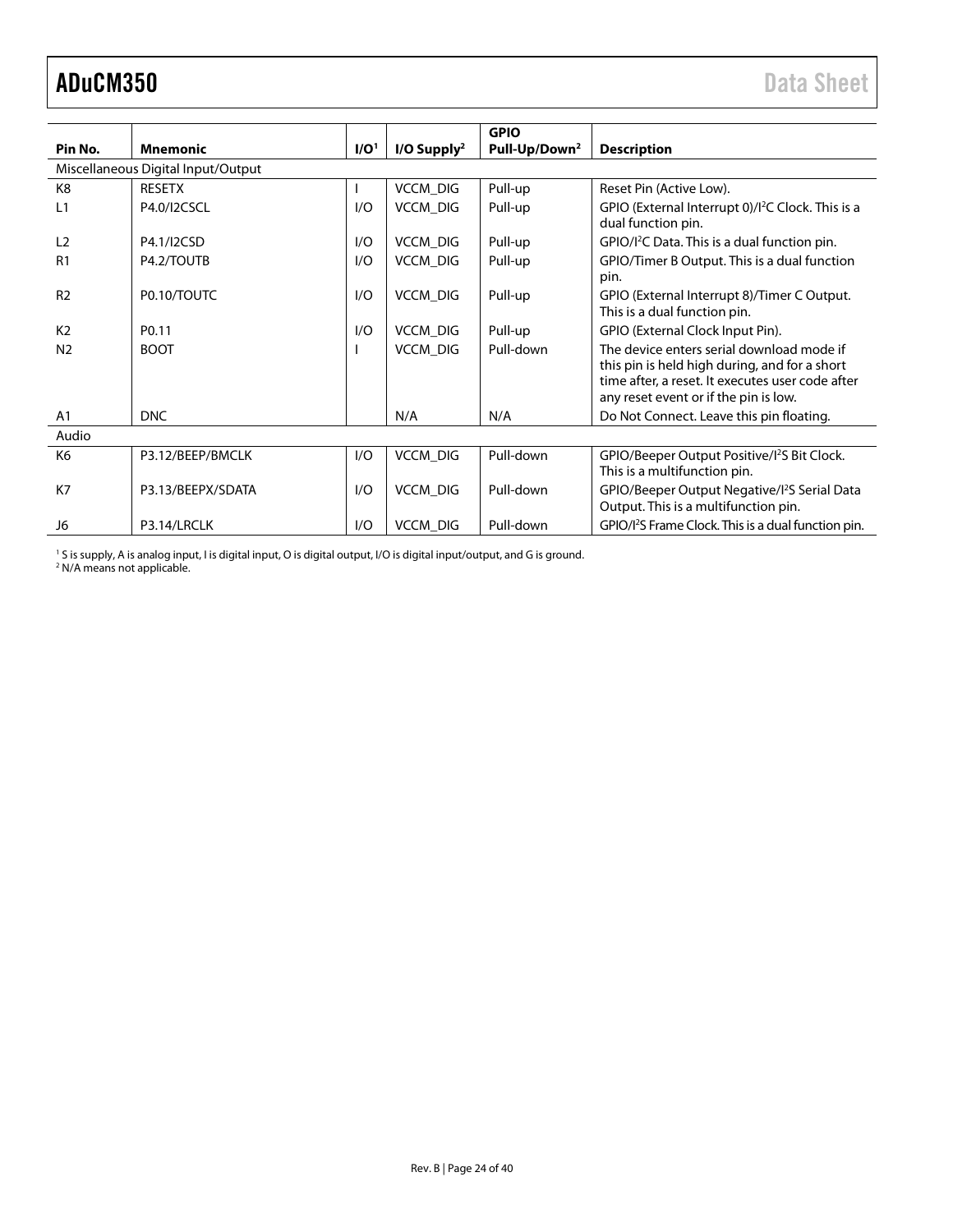<span id="page-23-0"></span>

|                |                                    |                  |                           | <b>GPIO</b>               |                                                                                                                                                                                         |
|----------------|------------------------------------|------------------|---------------------------|---------------------------|-----------------------------------------------------------------------------------------------------------------------------------------------------------------------------------------|
| Pin No.        | <b>Mnemonic</b>                    | I/O <sup>1</sup> | $I/O$ Supply <sup>2</sup> | Pull-Up/Down <sup>2</sup> | <b>Description</b>                                                                                                                                                                      |
|                | Miscellaneous Digital Input/Output |                  |                           |                           |                                                                                                                                                                                         |
| K <sub>8</sub> | <b>RESETX</b>                      |                  | <b>VCCM DIG</b>           | Pull-up                   | Reset Pin (Active Low).                                                                                                                                                                 |
| L <sub>1</sub> | P4.0/I2CSCL                        | I/O              | <b>VCCM DIG</b>           | Pull-up                   | GPIO (External Interrupt 0)/l <sup>2</sup> C Clock. This is a<br>dual function pin.                                                                                                     |
| L <sub>2</sub> | P4.1/I2CSD                         | I/O              | <b>VCCM DIG</b>           | Pull-up                   | GPIO/I <sup>2</sup> C Data. This is a dual function pin.                                                                                                                                |
| R <sub>1</sub> | P4.2/TOUTB                         | I/O              | <b>VCCM DIG</b>           | Pull-up                   | GPIO/Timer B Output. This is a dual function<br>pin.                                                                                                                                    |
| R <sub>2</sub> | P0.10/TOUTC                        | I/O              | <b>VCCM DIG</b>           | Pull-up                   | GPIO (External Interrupt 8)/Timer C Output.<br>This is a dual function pin.                                                                                                             |
| K <sub>2</sub> | P <sub>0.11</sub>                  | 1/O              | <b>VCCM DIG</b>           | Pull-up                   | GPIO (External Clock Input Pin).                                                                                                                                                        |
| N <sub>2</sub> | <b>BOOT</b>                        |                  | <b>VCCM DIG</b>           | Pull-down                 | The device enters serial download mode if<br>this pin is held high during, and for a short<br>time after, a reset. It executes user code after<br>any reset event or if the pin is low. |
| A <sub>1</sub> | <b>DNC</b>                         |                  | N/A                       | N/A                       | Do Not Connect. Leave this pin floating.                                                                                                                                                |
| Audio          |                                    |                  |                           |                           |                                                                                                                                                                                         |
| K6             | P3.12/BEEP/BMCLK                   | I/O              | <b>VCCM DIG</b>           | Pull-down                 | GPIO/Beeper Output Positive/I <sup>2</sup> S Bit Clock.<br>This is a multifunction pin.                                                                                                 |
| K7             | P3.13/BEEPX/SDATA                  | I/O              | VCCM_DIG                  | Pull-down                 | GPIO/Beeper Output Negative/I <sup>2</sup> S Serial Data<br>Output. This is a multifunction pin.                                                                                        |
| J6             | P3.14/LRCLK                        | I/O              | <b>VCCM DIG</b>           | Pull-down                 | GPIO/I <sup>2</sup> S Frame Clock. This is a dual function pin.                                                                                                                         |

<sup>1</sup> S is supply, A is analog input, I is digital input, O is digital output, I/O is digital input/output, and G is ground. <sup>2</sup> N/A means not applicable.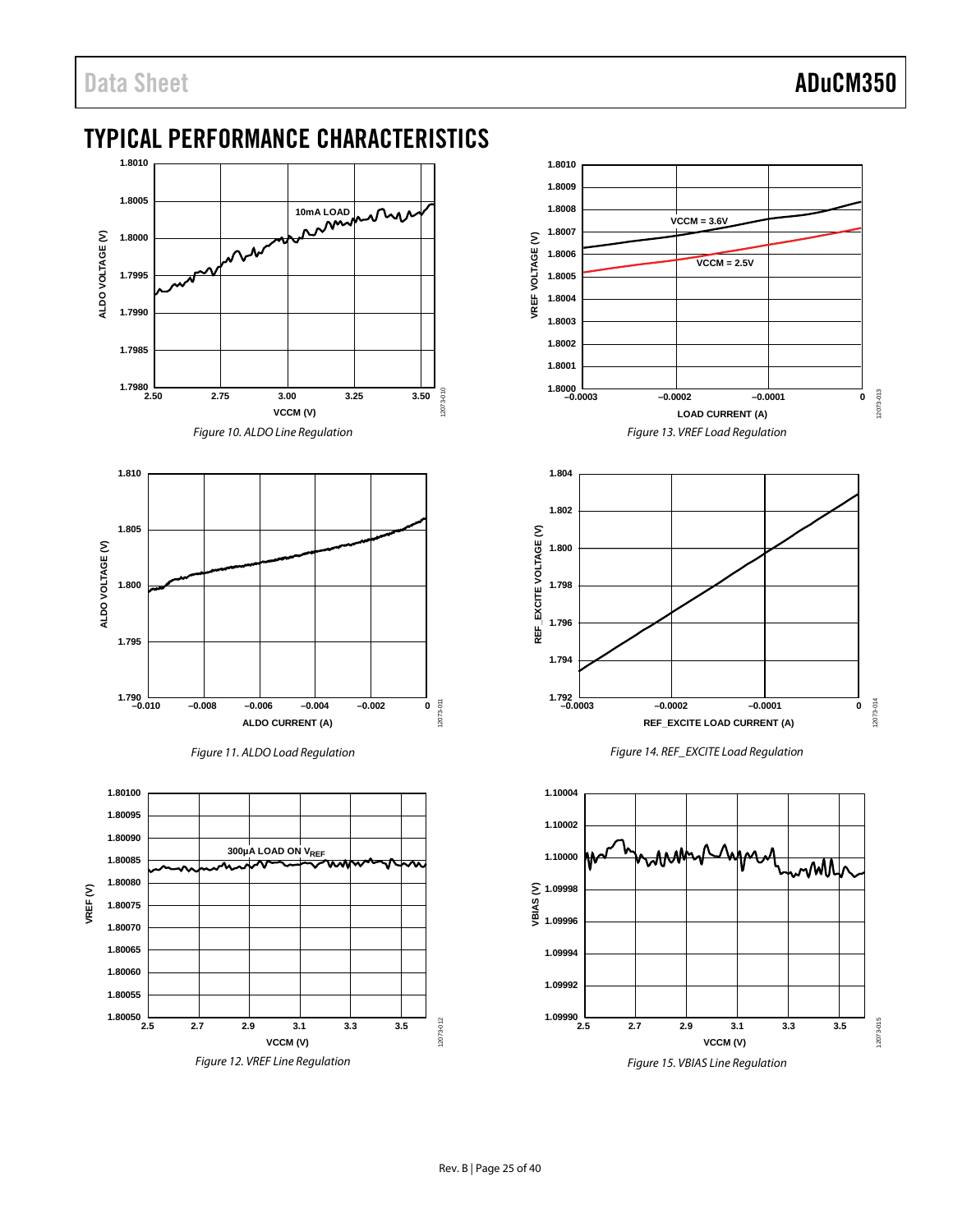## Data Sheet **ADuCM350**

### <span id="page-24-0"></span>TYPICAL PERFORMANCE CHARACTERISTICS











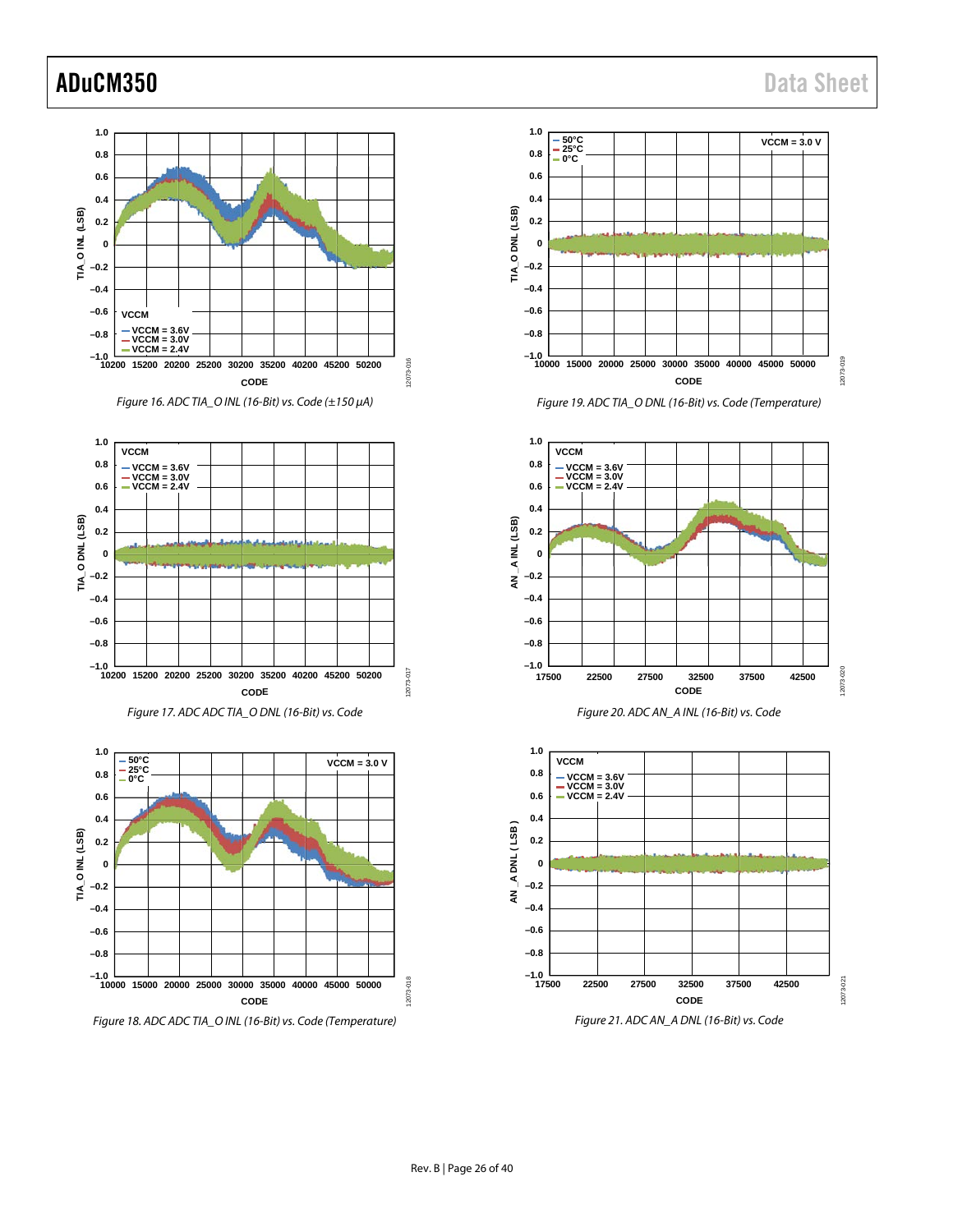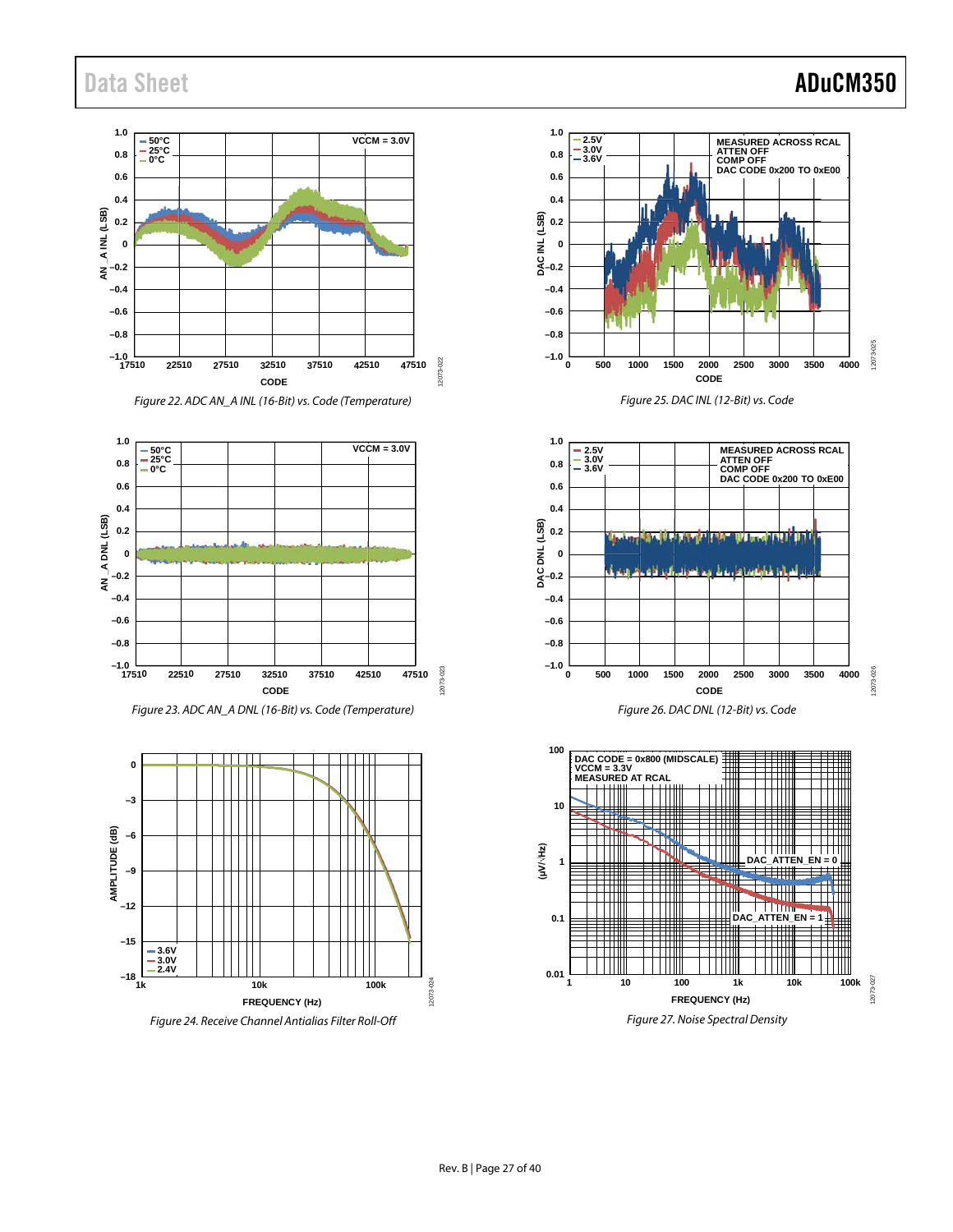#### $\begin{array}{c} 1.0 \\ 0.8 \end{array}$   $\begin{array}{|c|c|c|c|c|} \hline -50^{\circ}{\rm C} \\ -25^{\circ}{\rm C} \\ -0^{\circ}{\rm C} \end{array}$ **VCCM = 3.0V 0.8 0.6 0.4**  $A$  INL (LSB) **AN \_A INL (LSB) 0.2 0**  $\bar{z}^{-0.2}$ **–0.4 –0.6 –0.8 –1.0** 12073-022 12073-022 **17510 22510 27510 32510 37510 42510 47510 CODE**









*Figure 24. Receive Channel Antialias Filter Roll-Off*



*Figure 25. DAC INL (12-Bit) vs. Code*





### Data Sheet **ADuCM350**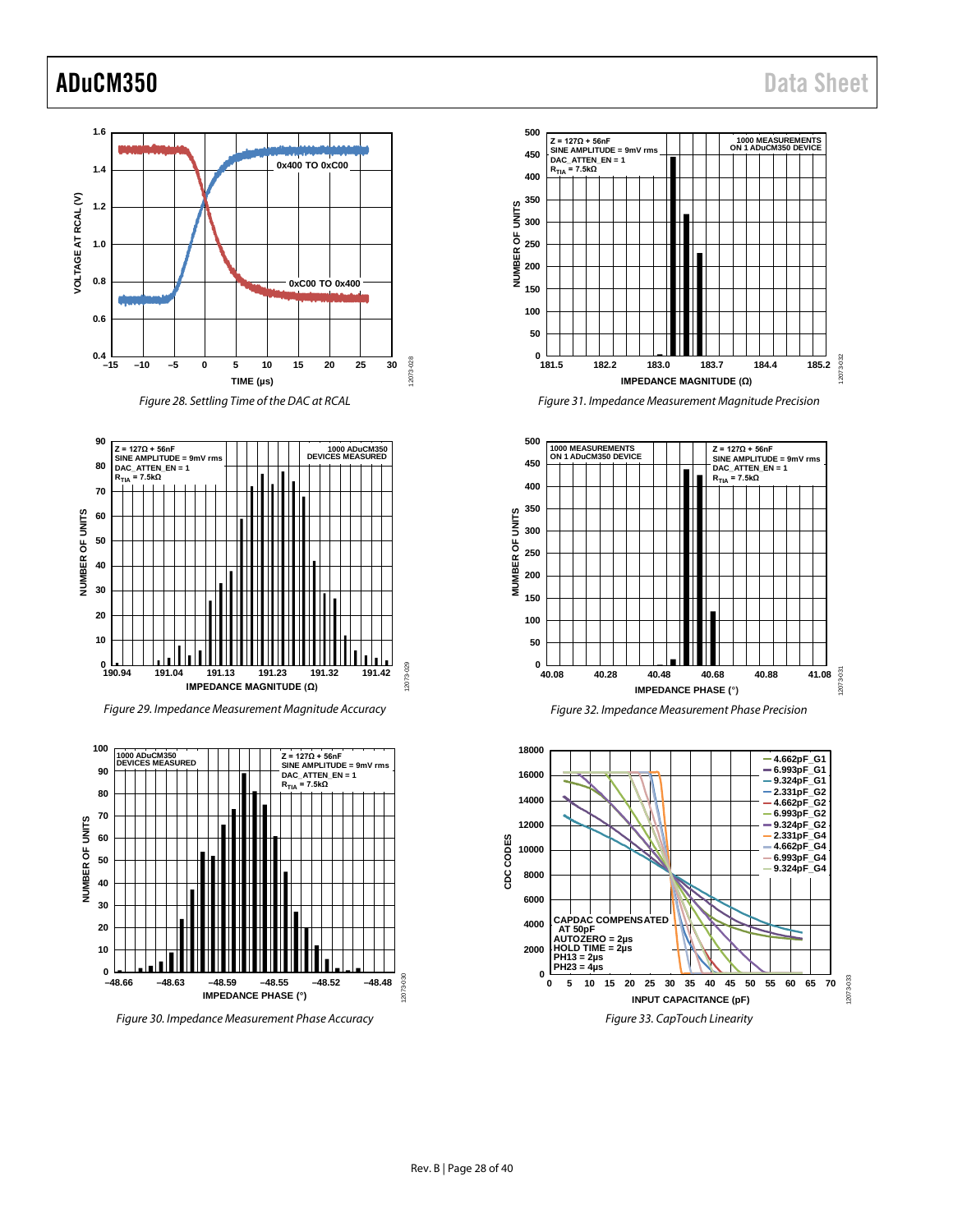12073-033

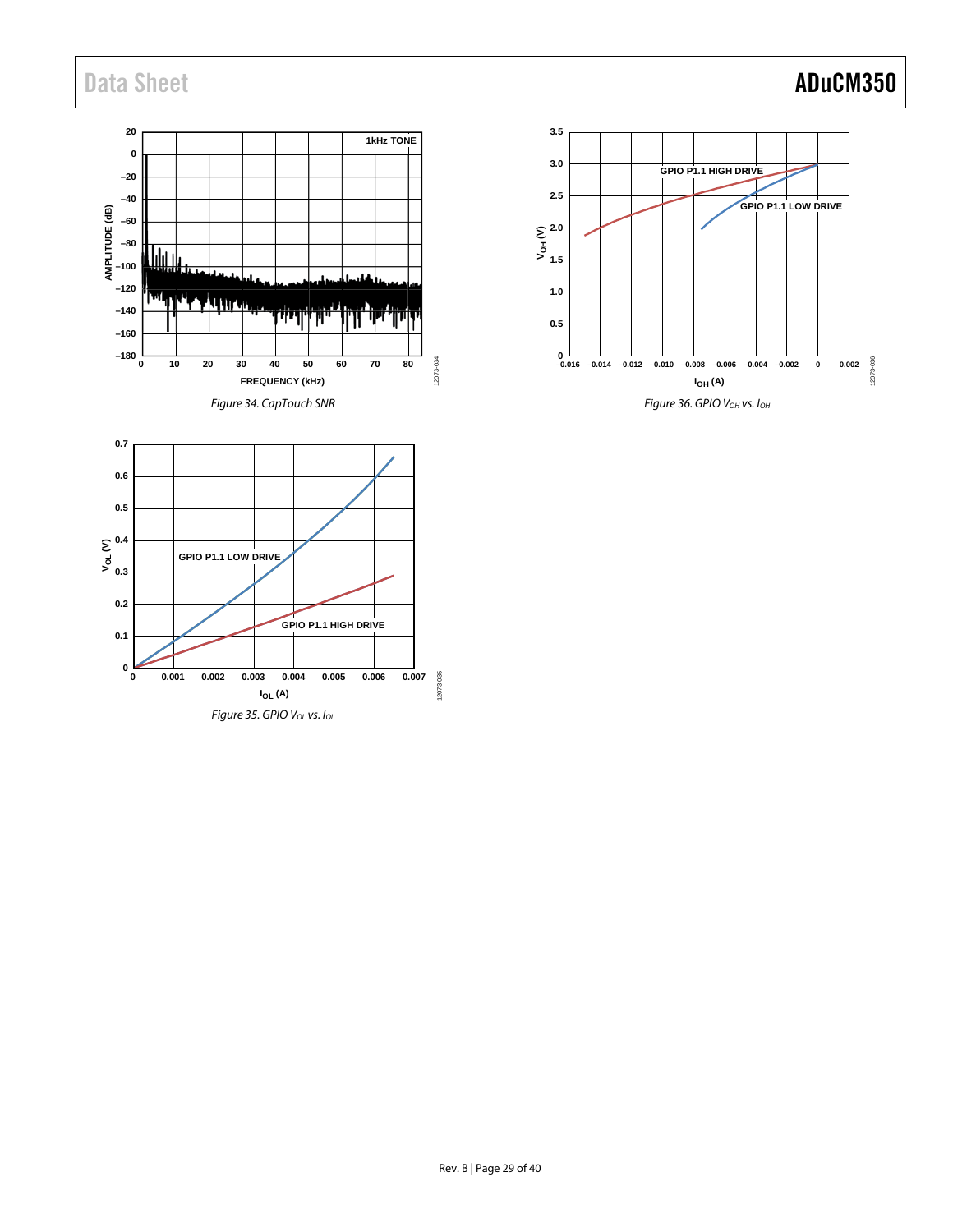## Data Sheet **ADuCM350**





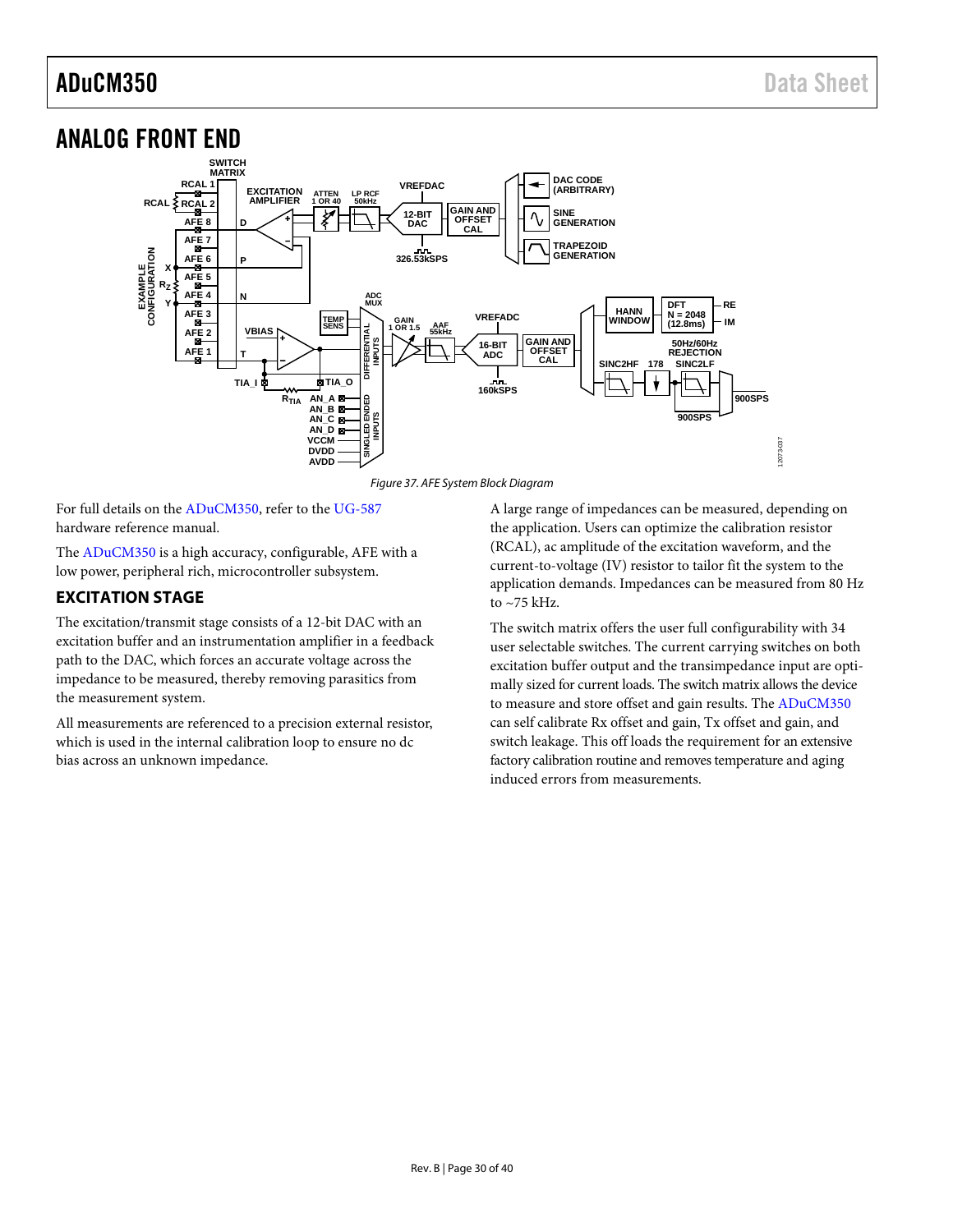### <span id="page-29-0"></span>ANALOG FRONT END



*Figure 37. AFE System Block Diagram*

For full details on the [ADuCM350,](http://www.analog.com/ADuCM350?doc=ADuCM350.pdf) refer to the [UG-587](http://www.analog.com/EVAL-ADuCM350?doc=ADuCM350.pdf) hardware reference manual.

The [ADuCM350](http://www.analog.com/ADuCM350?doc=ADuCM350.pdf) is a high accuracy, configurable, AFE with a low power, peripheral rich, microcontroller subsystem.

### <span id="page-29-1"></span>**EXCITATION STAGE**

The excitation/transmit stage consists of a 12-bit DAC with an excitation buffer and an instrumentation amplifier in a feedback path to the DAC, which forces an accurate voltage across the impedance to be measured, thereby removing parasitics from the measurement system.

All measurements are referenced to a precision external resistor, which is used in the internal calibration loop to ensure no dc bias across an unknown impedance.

A large range of impedances can be measured, depending on the application. Users can optimize the calibration resistor (RCAL), ac amplitude of the excitation waveform, and the current-to-voltage (IV) resistor to tailor fit the system to the application demands. Impedances can be measured from 80 Hz to  $\sim$  75 kHz.

The switch matrix offers the user full configurability with 34 user selectable switches. The current carrying switches on both excitation buffer output and the transimpedance input are optimally sized for current loads. The switch matrix allows the device to measure and store offset and gain results. The [ADuCM350](http://www.analog.com/ADuCM350?doc=ADuCM350.pdf) can self calibrate Rx offset and gain, Tx offset and gain, and switch leakage. This off loads the requirement for an extensive factory calibration routine and removes temperature and aging induced errors from measurements.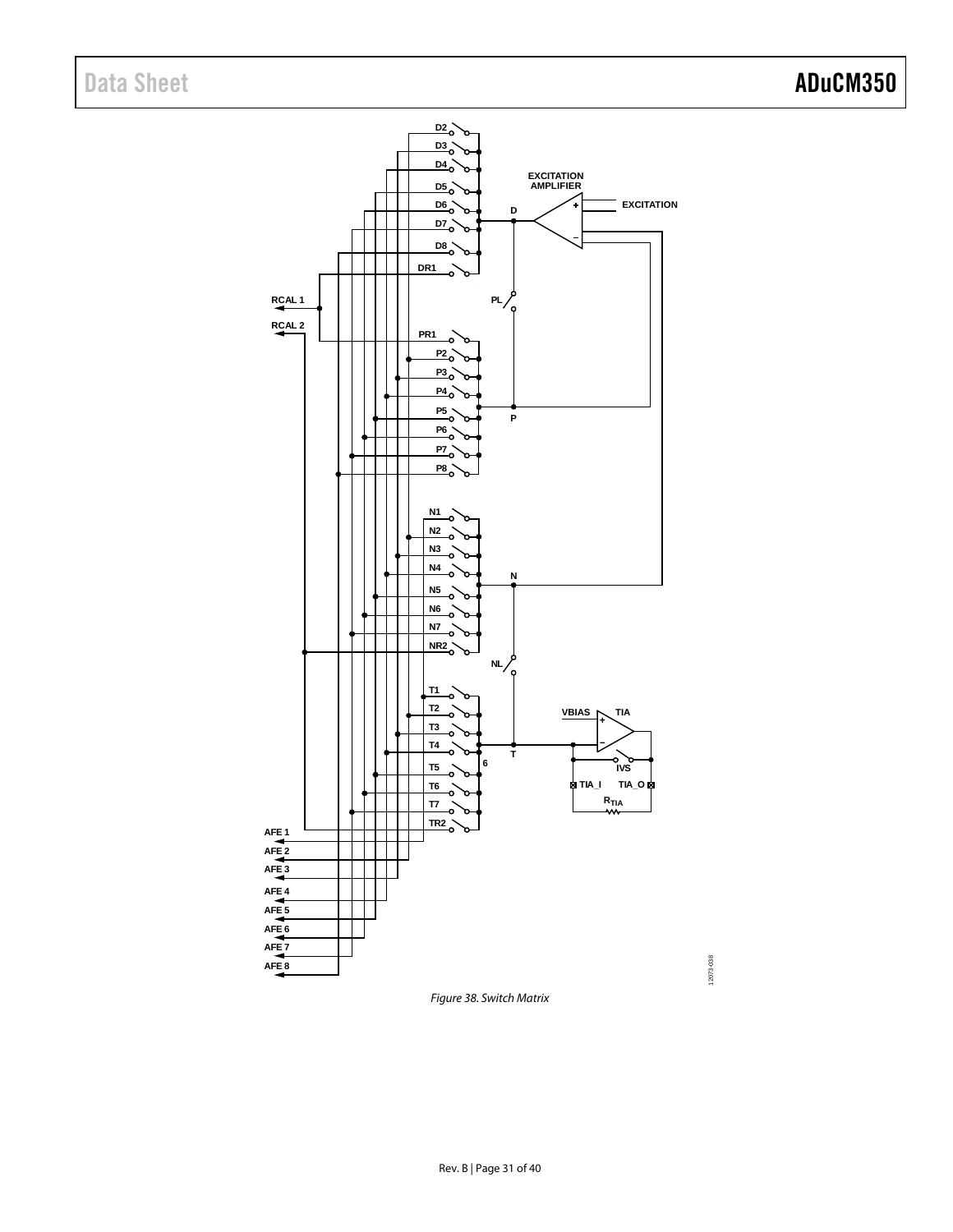

<span id="page-30-0"></span>*Figure 38. Switch Matrix*

12073-038

12073-038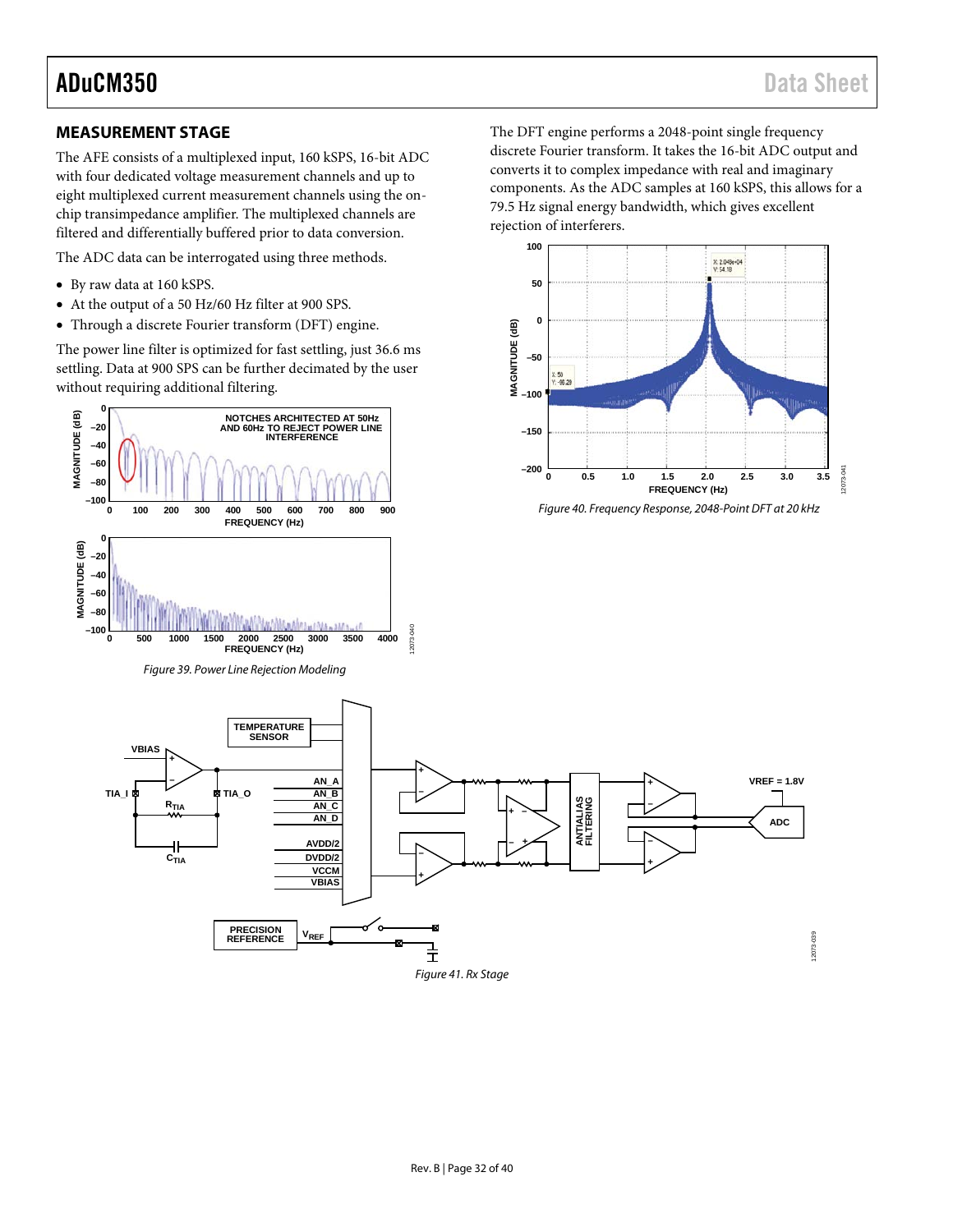12073-041

2073-041

The DFT engine performs a 2048-point single frequency discrete Fourier transform. It takes the 16-bit ADC output and converts it to complex impedance with real and imaginary components. As the ADC samples at 160 kSPS, this allows for a

79.5 Hz signal energy bandwidth, which gives excellent

X: 2.048e+04<br>Y: 54.18

rejection of interferers.

**100**

**50**

**0**

**–50**

50<br>-96.29

#### <span id="page-31-0"></span>**MEASUREMENT STAGE**

The AFE consists of a multiplexed input, 160 kSPS, 16-bit ADC with four dedicated voltage measurement channels and up to eight multiplexed current measurement channels using the onchip transimpedance amplifier. The multiplexed channels are filtered and differentially buffered prior to data conversion.

The ADC data can be interrogated using three methods.

• By raw data at 160 kSPS.

**MAGNITUDE (dB)**

MAGNITUDE (dB)

- At the output of a 50 Hz/60 Hz filter at 900 SPS.
- Through a discrete Fourier transform (DFT) engine.

The power line filter is optimized for fast settling, just 36.6 ms settling. Data at 900 SPS can be further decimated by the user without requiring additional filtering.



*Figure 41. Rx Stage*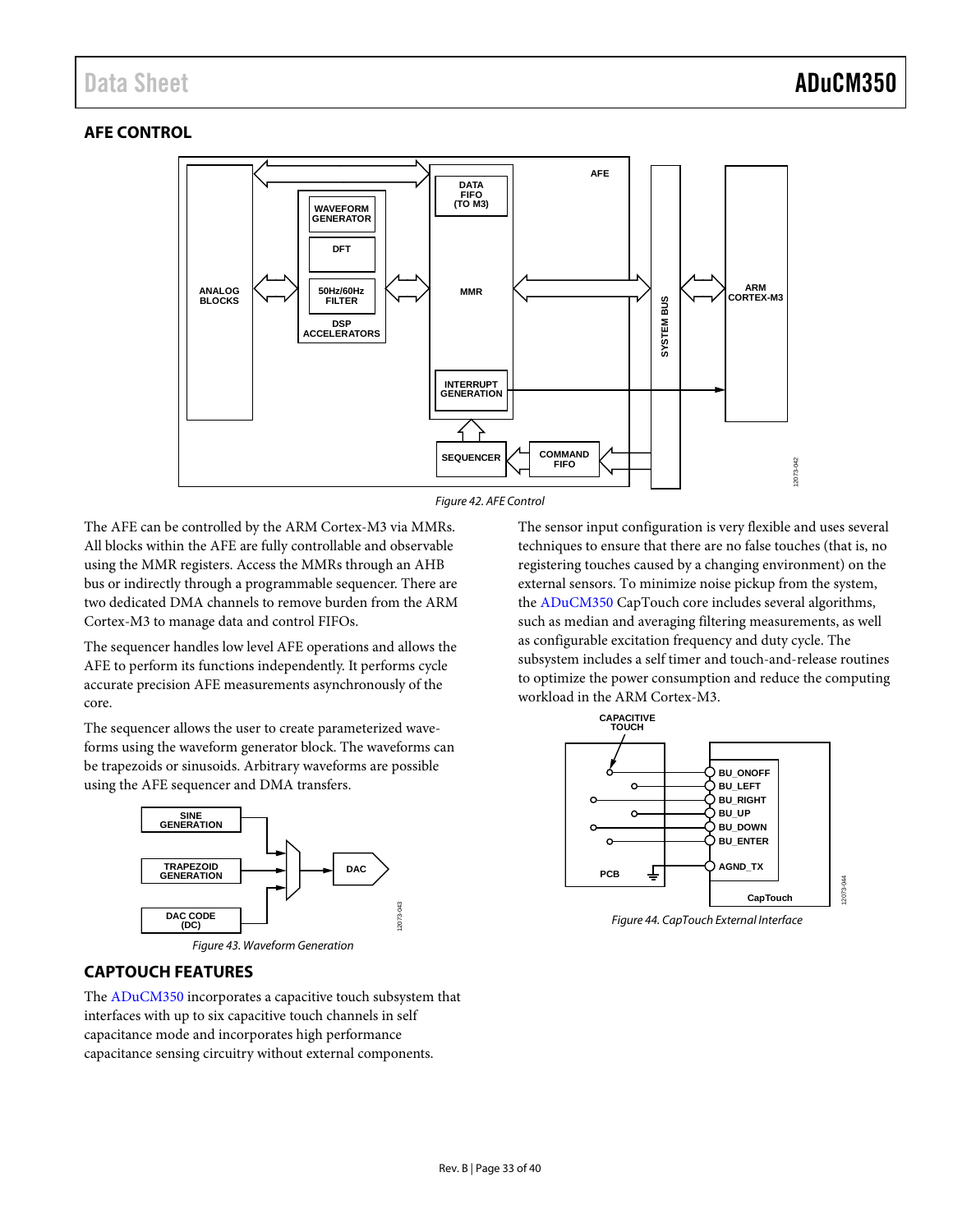### <span id="page-32-0"></span>**AFE CONTROL**





The AFE can be controlled by the ARM Cortex-M3 via MMRs. All blocks within the AFE are fully controllable and observable using the MMR registers. Access the MMRs through an AHB bus or indirectly through a programmable sequencer. There are two dedicated DMA channels to remove burden from the ARM Cortex-M3 to manage data and control FIFOs.

The sequencer handles low level AFE operations and allows the AFE to perform its functions independently. It performs cycle accurate precision AFE measurements asynchronously of the core.

The sequencer allows the user to create parameterized waveforms using the waveform generator block. The waveforms can be trapezoids or sinusoids. Arbitrary waveforms are possible using the AFE sequencer and DMA transfers.



*Figure 43. Waveform Generation*

The sensor input configuration is very flexible and uses several techniques to ensure that there are no false touches (that is, no registering touches caused by a changing environment) on the external sensors. To minimize noise pickup from the system, the [ADuCM350](http://www.analog.com/ADuCM350?doc=ADuCM350.pdf) CapTouch core includes several algorithms, such as median and averaging filtering measurements, as well as configurable excitation frequency and duty cycle. The subsystem includes a self timer and touch-and-release routines to optimize the power consumption and reduce the computing workload in the ARM Cortex-M3.





### <span id="page-32-1"></span>**CAPTOUCH FEATURES**

The [ADuCM350](http://www.analog.com/ADuCM350?doc=ADuCM350.pdf) incorporates a capacitive touch subsystem that interfaces with up to six capacitive touch channels in self capacitance mode and incorporates high performance capacitance sensing circuitry without external components.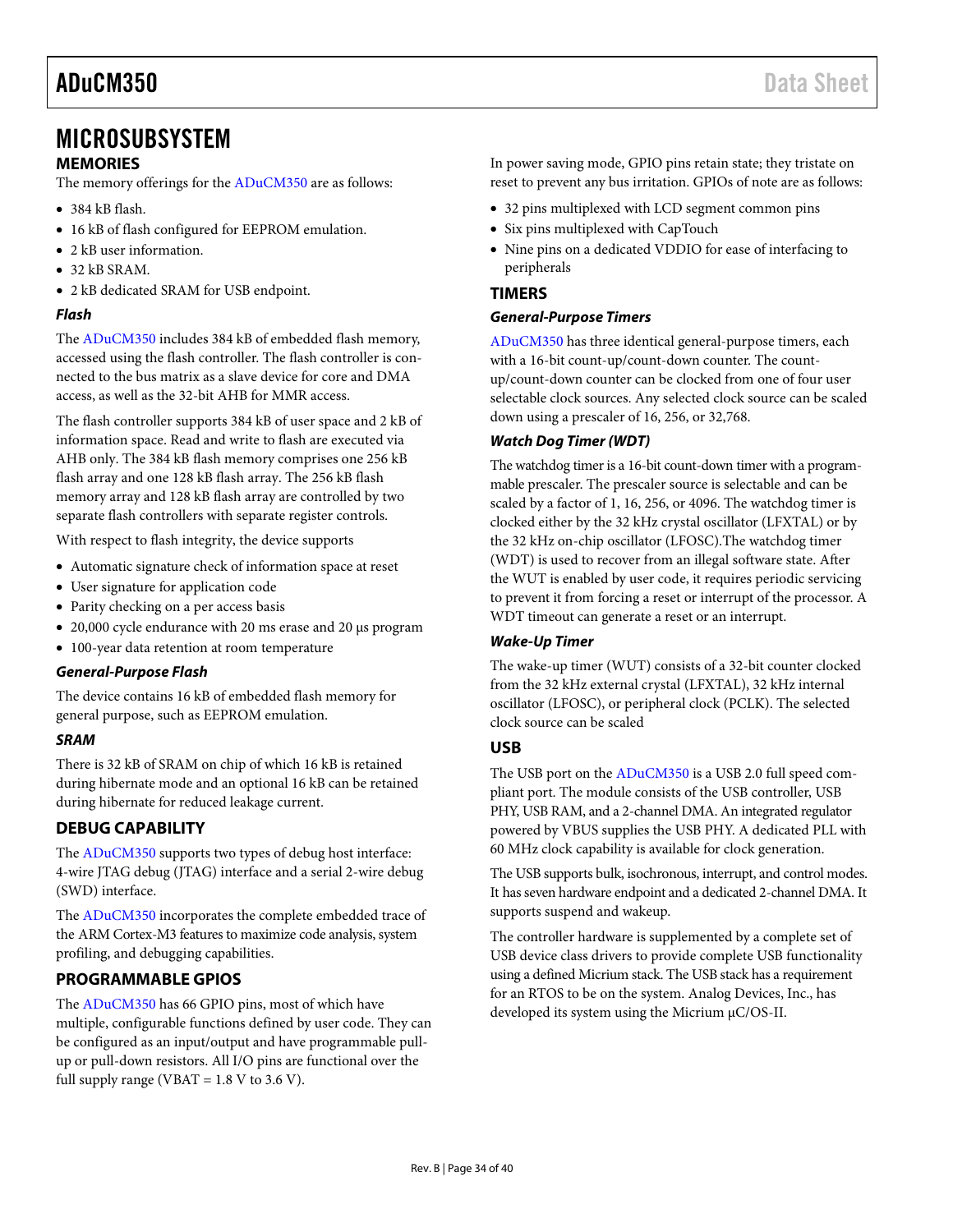### <span id="page-33-0"></span>MICROSUBSYSTEM

#### <span id="page-33-1"></span>**MEMORIES**

The memory offerings for th[e ADuCM350](http://www.analog.com/ADuCM350?doc=ADuCM350.pdf) are as follows:

- 384 kB flash.
- 16 kB of flash configured for EEPROM emulation.
- 2 kB user information.
- 32 kB SRAM.
- 2 kB dedicated SRAM for USB endpoint.

#### *Flash*

The [ADuCM350](http://www.analog.com/ADuCM350?doc=ADuCM350.pdf) includes 384 kB of embedded flash memory, accessed using the flash controller. The flash controller is connected to the bus matrix as a slave device for core and DMA access, as well as the 32-bit AHB for MMR access.

The flash controller supports 384 kB of user space and 2 kB of information space. Read and write to flash are executed via AHB only. The 384 kB flash memory comprises one 256 kB flash array and one 128 kB flash array. The 256 kB flash memory array and 128 kB flash array are controlled by two separate flash controllers with separate register controls.

With respect to flash integrity, the device supports

- Automatic signature check of information space at reset
- User signature for application code
- Parity checking on a per access basis
- 20,000 cycle endurance with 20 ms erase and 20 μs program
- 100-year data retention at room temperature

#### *General-Purpose Flash*

The device contains 16 kB of embedded flash memory for general purpose, such as EEPROM emulation.

#### *SRAM*

There is 32 kB of SRAM on chip of which 16 kB is retained during hibernate mode and an optional 16 kB can be retained during hibernate for reduced leakage current.

### <span id="page-33-2"></span>**DEBUG CAPABILITY**

The [ADuCM350](http://www.analog.com/ADuCM350?doc=ADuCM350.pdf) supports two types of debug host interface: 4-wire JTAG debug (JTAG) interface and a serial 2-wire debug (SWD) interface.

The [ADuCM350](http://www.analog.com/ADuCM350?doc=ADuCM350.pdf) incorporates the complete embedded trace of the ARM Cortex-M3 features to maximize code analysis, system profiling, and debugging capabilities.

### <span id="page-33-3"></span>**PROGRAMMABLE GPIOS**

The [ADuCM350](http://www.analog.com/ADuCM350?doc=ADuCM350.pdf) has 66 GPIO pins, most of which have multiple, configurable functions defined by user code. They can be configured as an input/output and have programmable pullup or pull-down resistors. All I/O pins are functional over the full supply range (VBAT =  $1.8$  V to  $3.6$  V).

In power saving mode, GPIO pins retain state; they tristate on reset to prevent any bus irritation. GPIOs of note are as follows:

- 32 pins multiplexed with LCD segment common pins
- Six pins multiplexed with CapTouch
- Nine pins on a dedicated VDDIO for ease of interfacing to peripherals

#### <span id="page-33-4"></span>**TIMERS**

#### *General-Purpose Timers*

[ADuCM350](http://www.analog.com/ADuCM350?doc=ADuCM350_UG-587.pdf) has three identical general-purpose timers, each with a 16-bit count-up/count-down counter. The countup/count-down counter can be clocked from one of four user selectable clock sources. Any selected clock source can be scaled down using a prescaler of 16, 256, or 32,768.

#### *Watch Dog Timer (WDT)*

The watchdog timer is a 16-bit count-down timer with a programmable prescaler. The prescaler source is selectable and can be scaled by a factor of 1, 16, 256, or 4096. The watchdog timer is clocked either by the 32 kHz crystal oscillator (LFXTAL) or by the 32 kHz on-chip oscillator (LFOSC).The watchdog timer (WDT) is used to recover from an illegal software state. After the WUT is enabled by user code, it requires periodic servicing to prevent it from forcing a reset or interrupt of the processor. A WDT timeout can generate a reset or an interrupt.

#### *Wake-Up Timer*

The wake-up timer (WUT) consists of a 32-bit counter clocked from the 32 kHz external crystal (LFXTAL), 32 kHz internal oscillator (LFOSC), or peripheral clock (PCLK). The selected clock source can be scaled

#### <span id="page-33-5"></span>**USB**

The USB port on the [ADuCM350](http://www.analog.com/ADuCM350?doc=ADuCM350.pdf) is a USB 2.0 full speed compliant port. The module consists of the USB controller, USB PHY, USB RAM, and a 2-channel DMA. An integrated regulator powered by VBUS supplies the USB PHY. A dedicated PLL with 60 MHz clock capability is available for clock generation.

The USB supports bulk, isochronous, interrupt, and control modes. It has seven hardware endpoint and a dedicated 2-channel DMA. It supports suspend and wakeup.

The controller hardware is supplemented by a complete set of USB device class drivers to provide complete USB functionality using a defined Micrium stack. The USB stack has a requirement for an RTOS to be on the system. Analog Devices, Inc., has developed its system using the Micrium μC/OS-II.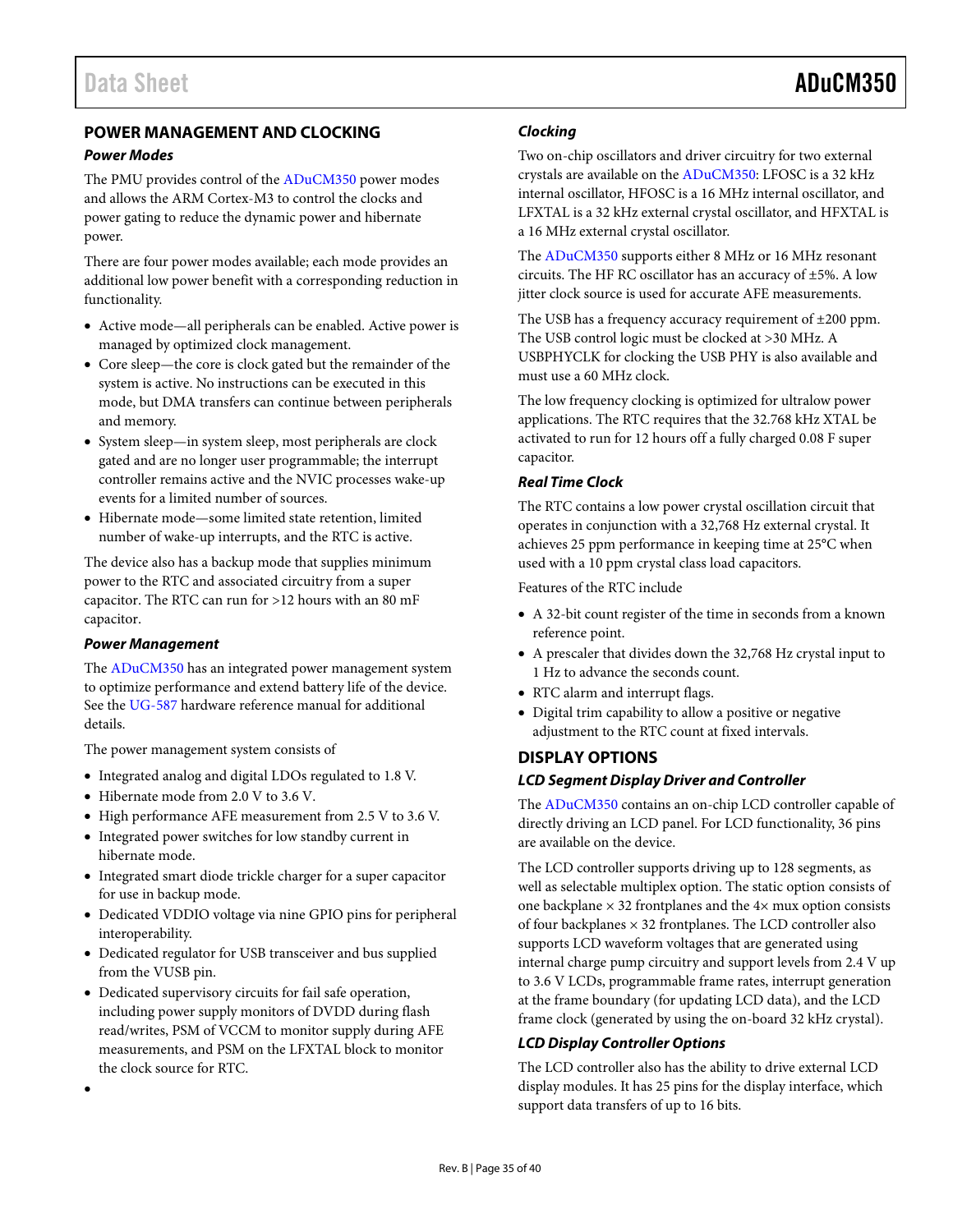### <span id="page-34-0"></span>**POWER MANAGEMENT AND CLOCKING**

#### *Power Modes*

The PMU provides control of the [ADuCM350](http://www.analog.com/ADuCM350?doc=ADuCM350.pdf) power modes and allows the ARM Cortex-M3 to control the clocks and power gating to reduce the dynamic power and hibernate power.

There are four power modes available; each mode provides an additional low power benefit with a corresponding reduction in functionality.

- Active mode—all peripherals can be enabled. Active power is managed by optimized clock management.
- Core sleep—the core is clock gated but the remainder of the system is active. No instructions can be executed in this mode, but DMA transfers can continue between peripherals and memory.
- System sleep—in system sleep, most peripherals are clock gated and are no longer user programmable; the interrupt controller remains active and the NVIC processes wake-up events for a limited number of sources.
- Hibernate mode—some limited state retention, limited number of wake-up interrupts, and the RTC is active.

The device also has a backup mode that supplies minimum power to the RTC and associated circuitry from a super capacitor. The RTC can run for >12 hours with an 80 mF capacitor.

#### *Power Management*

•

The [ADuCM350](http://www.analog.com/ADuCM350?doc=ADuCM350.pdf) has an integrated power management system to optimize performance and extend battery life of the device. See the [UG-587](http://www.analog.com/EVAL-ADuCM350?doc=ADuCM350.pdf) hardware reference manual for additional details.

The power management system consists of

- Integrated analog and digital LDOs regulated to 1.8 V.
- Hibernate mode from 2.0 V to 3.6 V.
- High performance AFE measurement from 2.5 V to 3.6 V.
- Integrated power switches for low standby current in hibernate mode.
- Integrated smart diode trickle charger for a super capacitor for use in backup mode.
- Dedicated VDDIO voltage via nine GPIO pins for peripheral interoperability.
- Dedicated regulator for USB transceiver and bus supplied from the VUSB pin.
- Dedicated supervisory circuits for fail safe operation, including power supply monitors of DVDD during flash read/writes, PSM of VCCM to monitor supply during AFE measurements, and PSM on the LFXTAL block to monitor the clock source for RTC.

#### *Clocking*

Two on-chip oscillators and driver circuitry for two external crystals are available on th[e ADuCM350:](http://www.analog.com/ADuCM350?doc=ADuCM350.pdf) LFOSC is a 32 kHz internal oscillator, HFOSC is a 16 MHz internal oscillator, and LFXTAL is a 32 kHz external crystal oscillator, and HFXTAL is a 16 MHz external crystal oscillator.

The [ADuCM350](http://www.analog.com/ADuCM350?doc=ADuCM350.pdf) supports either 8 MHz or 16 MHz resonant circuits. The HF RC oscillator has an accuracy of ±5%. A low jitter clock source is used for accurate AFE measurements.

The USB has a frequency accuracy requirement of ±200 ppm. The USB control logic must be clocked at >30 MHz. A USBPHYCLK for clocking the USB PHY is also available and must use a 60 MHz clock.

The low frequency clocking is optimized for ultralow power applications. The RTC requires that the 32.768 kHz XTAL be activated to run for 12 hours off a fully charged 0.08 F super capacitor.

#### *Real Time Clock*

The RTC contains a low power crystal oscillation circuit that operates in conjunction with a 32,768 Hz external crystal. It achieves 25 ppm performance in keeping time at 25°C when used with a 10 ppm crystal class load capacitors.

Features of the RTC include

- A 32-bit count register of the time in seconds from a known reference point.
- A prescaler that divides down the 32,768 Hz crystal input to 1 Hz to advance the seconds count.
- RTC alarm and interrupt flags.
- Digital trim capability to allow a positive or negative adjustment to the RTC count at fixed intervals.

#### <span id="page-34-1"></span>**DISPLAY OPTIONS**

#### *LCD Segment Display Driver and Controller*

The [ADuCM350](http://www.analog.com/ADuCM350?doc=ADuCM350.pdf) contains an on-chip LCD controller capable of directly driving an LCD panel. For LCD functionality, 36 pins are available on the device.

The LCD controller supports driving up to 128 segments, as well as selectable multiplex option. The static option consists of one backplane  $\times$  32 frontplanes and the 4 $\times$  mux option consists of four backplanes  $\times$  32 frontplanes. The LCD controller also supports LCD waveform voltages that are generated using internal charge pump circuitry and support levels from 2.4 V up to 3.6 V LCDs, programmable frame rates, interrupt generation at the frame boundary (for updating LCD data), and the LCD frame clock (generated by using the on-board 32 kHz crystal).

#### *LCD Display Controller Options*

The LCD controller also has the ability to drive external LCD display modules. It has 25 pins for the display interface, which support data transfers of up to 16 bits.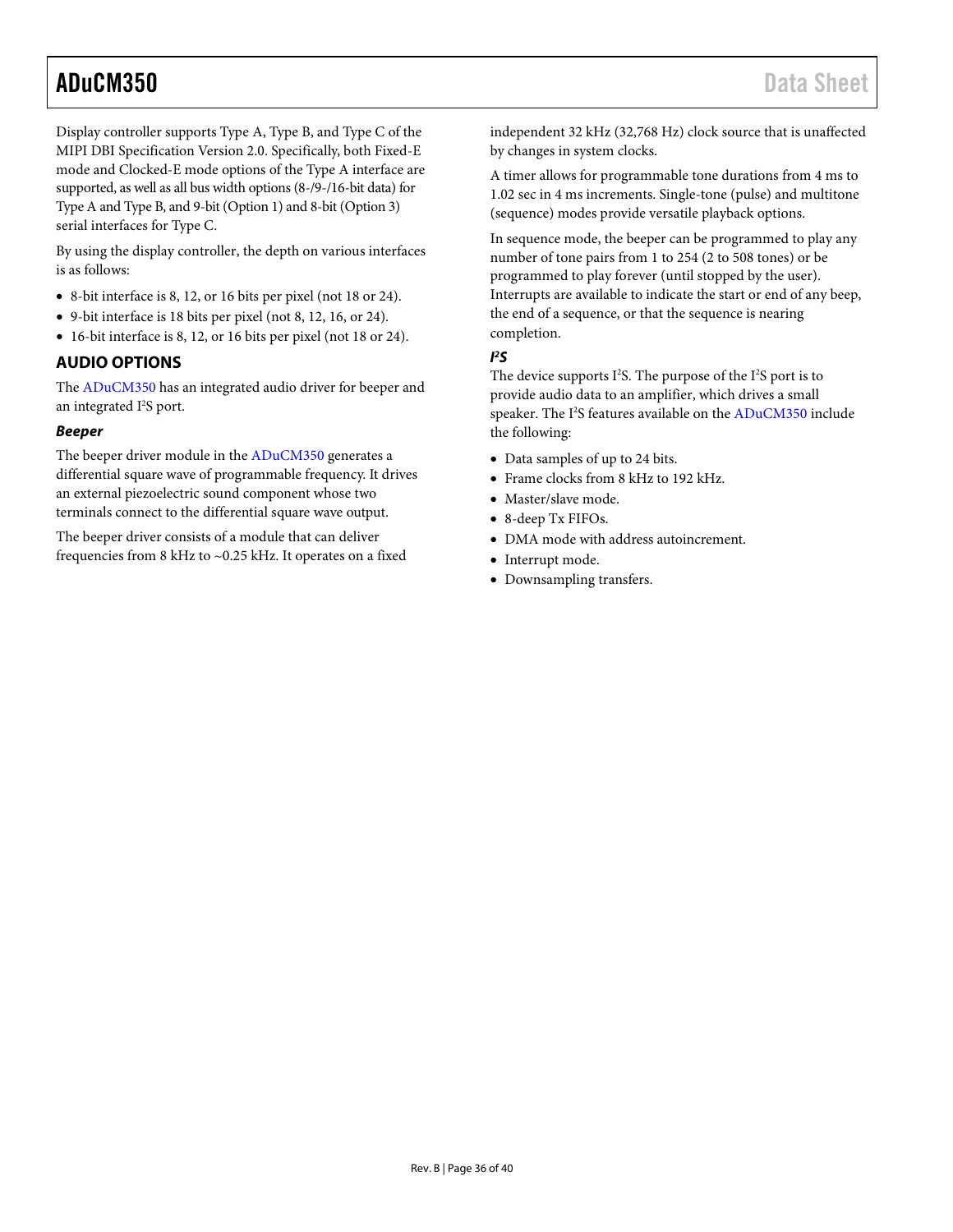Display controller supports Type A, Type B, and Type C of the MIPI DBI Specification Version 2.0. Specifically, both Fixed-E mode and Clocked-E mode options of the Type A interface are supported, as well as all bus width options (8-/9-/16-bit data) for Type A and Type B, and 9-bit (Option 1) and 8-bit (Option 3) serial interfaces for Type C.

By using the display controller, the depth on various interfaces is as follows:

- 8-bit interface is 8, 12, or 16 bits per pixel (not 18 or 24).
- 9-bit interface is 18 bits per pixel (not 8, 12, 16, or 24).
- 16-bit interface is 8, 12, or 16 bits per pixel (not 18 or 24).

#### <span id="page-35-0"></span>**AUDIO OPTIONS**

The [ADuCM350](http://www.analog.com/ADuCM350?doc=ADuCM350.pdf) has an integrated audio driver for beeper and an integrated I<sup>2</sup>S port.

#### *Beeper*

The beeper driver module in th[e ADuCM350](http://www.analog.com/ADuCM350?doc=ADuCM350.pdf) generates a differential square wave of programmable frequency. It drives an external piezoelectric sound component whose two terminals connect to the differential square wave output.

The beeper driver consists of a module that can deliver frequencies from 8 kHz to ~0.25 kHz. It operates on a fixed independent 32 kHz (32,768 Hz) clock source that is unaffected by changes in system clocks.

A timer allows for programmable tone durations from 4 ms to 1.02 sec in 4 ms increments. Single-tone (pulse) and multitone (sequence) modes provide versatile playback options.

In sequence mode, the beeper can be programmed to play any number of tone pairs from 1 to 254 (2 to 508 tones) or be programmed to play forever (until stopped by the user). Interrupts are available to indicate the start or end of any beep, the end of a sequence, or that the sequence is nearing completion.

#### *I 2 S*

The device supports I<sup>2</sup>S. The purpose of the I<sup>2</sup>S port is to provide audio data to an amplifier, which drives a small speaker. The I<sup>2</sup>S features available on the [ADuCM350](http://www.analog.com/ADuCM350?doc=ADuCM350.pdf) include the following:

- Data samples of up to 24 bits.
- Frame clocks from 8 kHz to 192 kHz.
- Master/slave mode.
- 8-deep Tx FIFOs.
- DMA mode with address autoincrement.
- Interrupt mode.
- Downsampling transfers.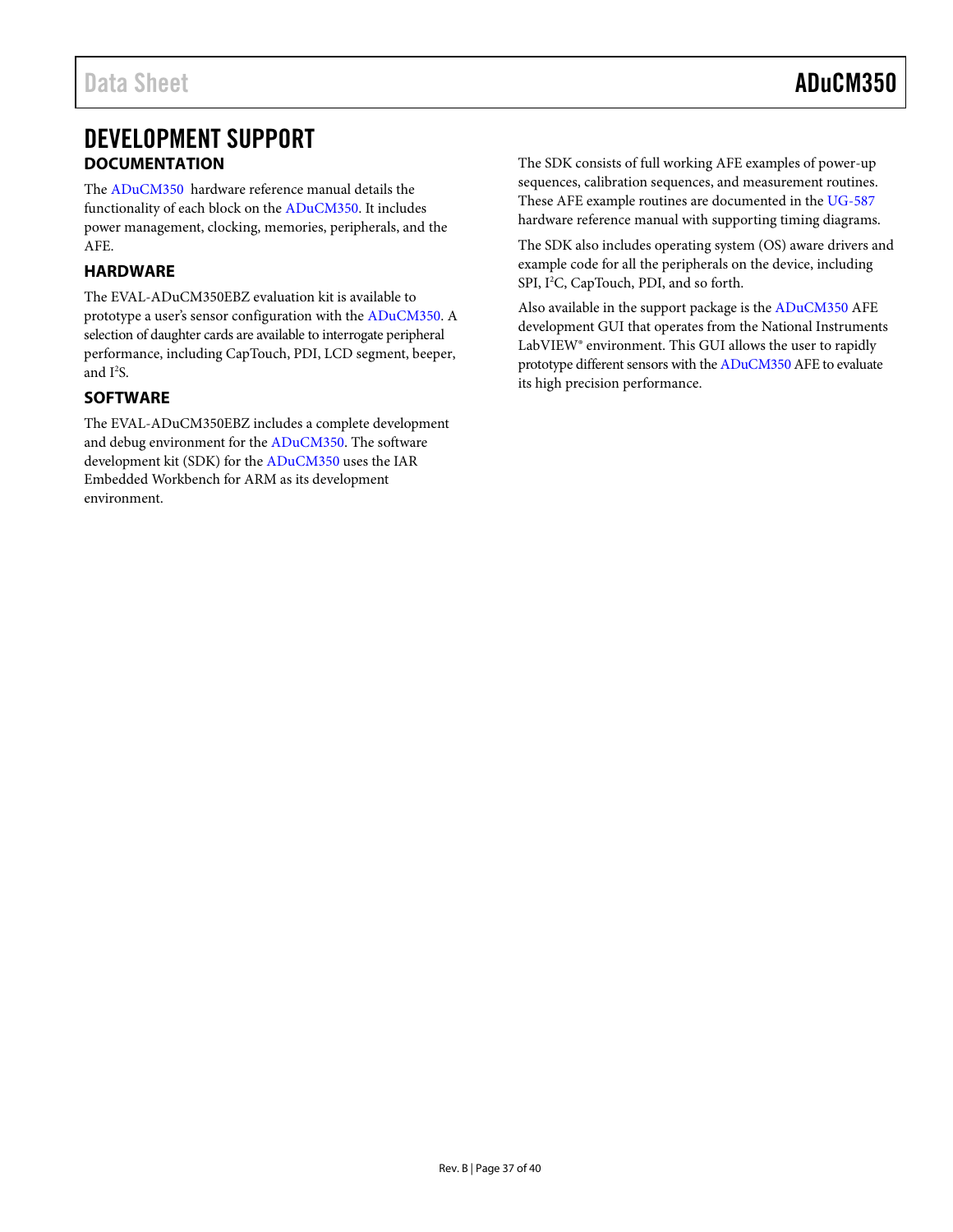### <span id="page-36-0"></span>DEVELOPMENT SUPPORT **DOCUMENTATION**

<span id="page-36-1"></span>The [ADuCM350](http://www.analog.com/ADuCM350?doc=ADuCM350.pdf) hardware reference manual details the functionality of each block on th[e ADuCM350.](http://www.analog.com/ADuCM350?doc=ADuCM350.pdf) It includes power management, clocking, memories, peripherals, and the AFE.

#### <span id="page-36-2"></span>**HARDWARE**

The EVAL-ADuCM350EBZ evaluation kit is available to prototype a user's sensor configuration with the [ADuCM350.](http://www.analog.com/ADuCM350?doc=ADuCM350.pdf) A selection of daughter cards are available to interrogate peripheral performance, including CapTouch, PDI, LCD segment, beeper, and  $I^2S$ .

#### <span id="page-36-3"></span>**SOFTWARE**

The EVAL-ADuCM350EBZ includes a complete development and debug environment for th[e ADuCM350.](http://www.analog.com/ADuCM350?doc=ADuCM350.pdf) The software development kit (SDK) for th[e ADuCM350 u](http://www.analog.com/ADuCM350?doc=ADuCM350.pdf)ses the IAR Embedded Workbench for ARM as its development environment.

The SDK consists of full working AFE examples of power-up sequences, calibration sequences, and measurement routines. These AFE example routines are documented in the [UG-587](http://www.analog.com/EVAL-ADuCM350?doc=ADuCM350.pdf) hardware reference manual with supporting timing diagrams.

The SDK also includes operating system (OS) aware drivers and example code for all the peripherals on the device, including SPI, I<sup>2</sup>C, CapTouch, PDI, and so forth.

Also available in the support package is the [ADuCM350](http://www.analog.com/ADuCM350?doc=ADuCM350.pdf) AFE development GUI that operates from the National Instruments LabVIEW® environment. This GUI allows the user to rapidly prototype different sensors with th[e ADuCM350](http://www.analog.com/ADuCM350?doc=ADuCM350.pdf) AFE to evaluate its high precision performance.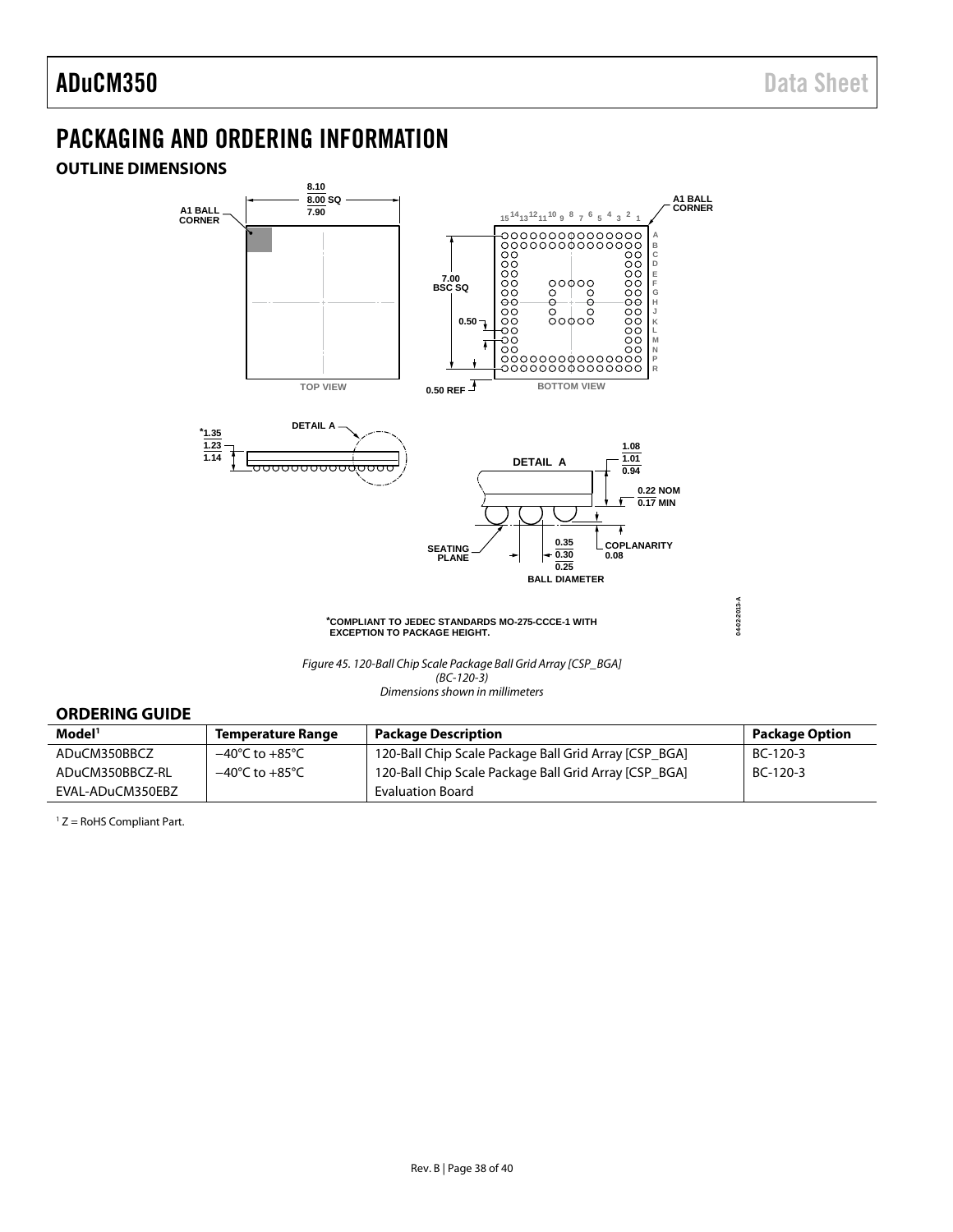### <span id="page-37-0"></span>PACKAGING AND ORDERING INFORMATION

### <span id="page-37-1"></span>**OUTLINE DIMENSIONS**



#### <span id="page-37-2"></span>**ORDERING GUIDE**

| Model <sup>1</sup> | <b>Temperature Range</b>           | <b>Package Description</b>                            | <b>Package Option</b> |
|--------------------|------------------------------------|-------------------------------------------------------|-----------------------|
| ADuCM350BBCZ       | –40°C to +85°C                     | 120-Ball Chip Scale Package Ball Grid Array [CSP BGA] | BC-120-3              |
| ADuCM350BBCZ-RL    | $-40^{\circ}$ C to $+85^{\circ}$ C | 120-Ball Chip Scale Package Ball Grid Array [CSP BGA] | BC-120-3              |
| EVAL-ADuCM350EBZ   |                                    | <b>Evaluation Board</b>                               |                       |

<sup>1</sup> Z = RoHS Compliant Part.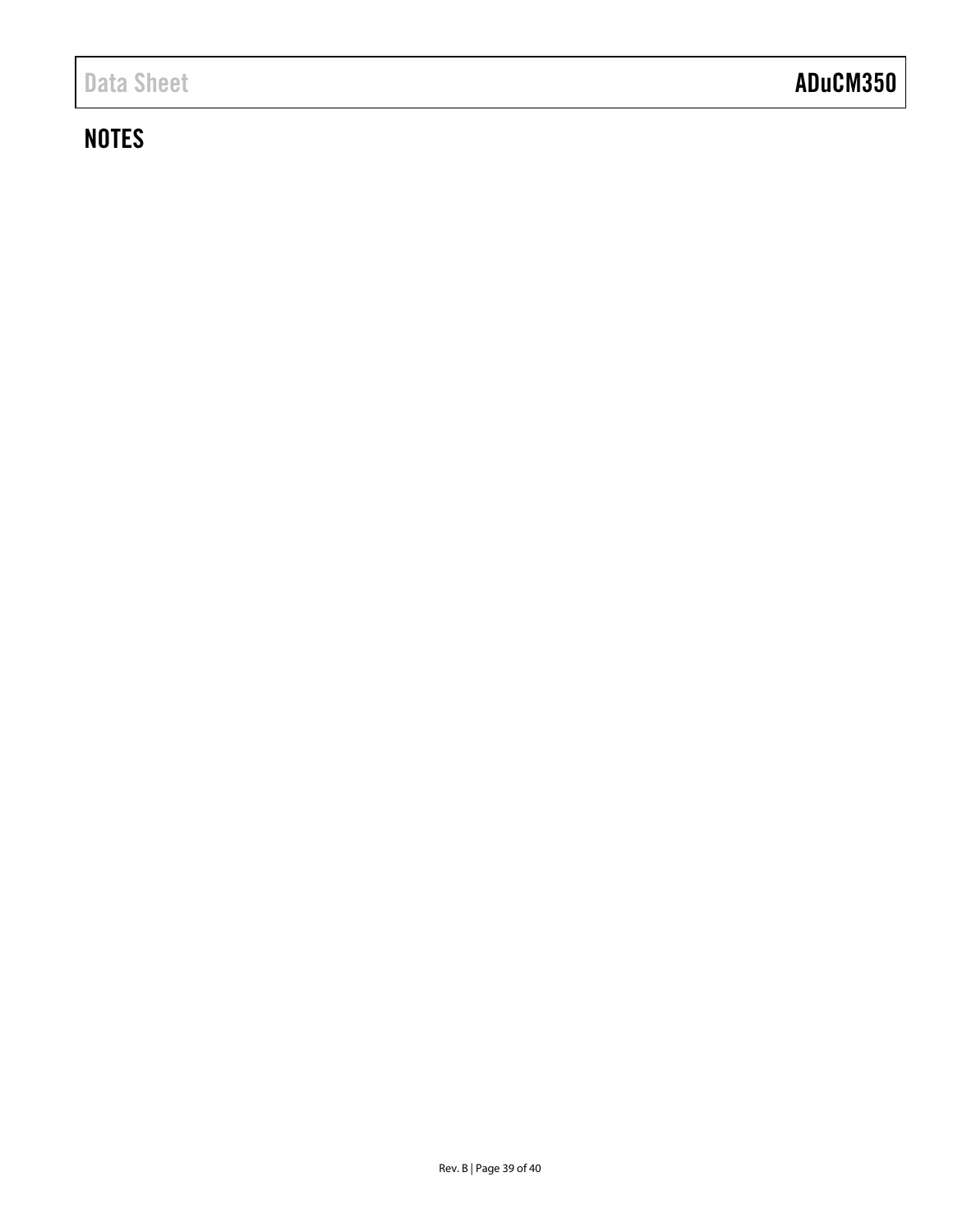### **NOTES**